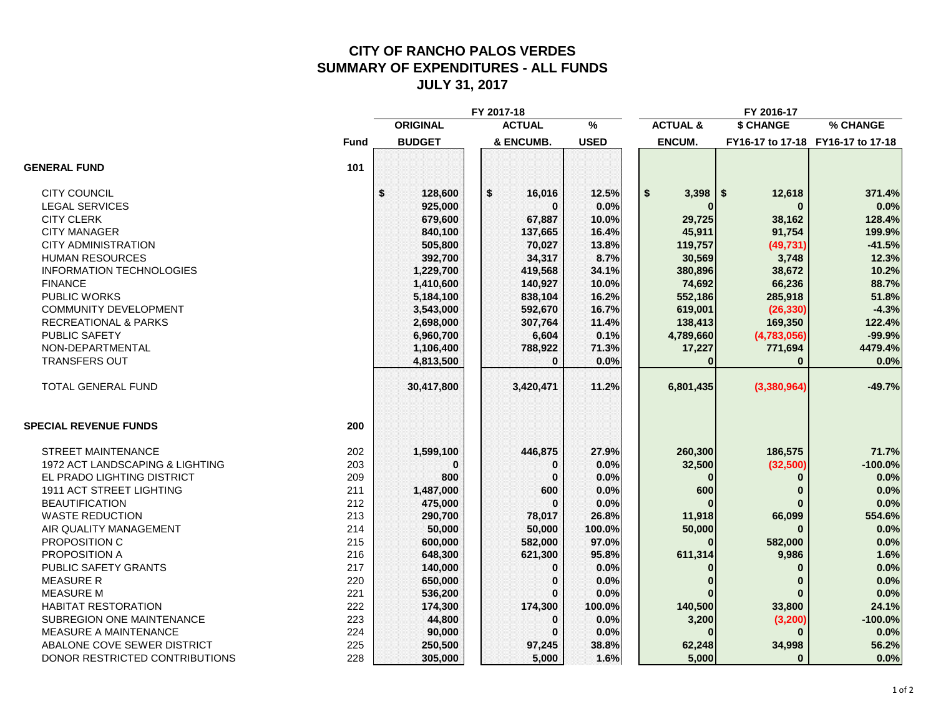## **CITY OF RANCHO PALOS VERDES SUMMARY OF EXPENDITURES - ALL FUNDS JULY 31, 2017**

|                                 |             |                 | FY 2017-18    |             | FY 2016-17          |              |                                   |  |
|---------------------------------|-------------|-----------------|---------------|-------------|---------------------|--------------|-----------------------------------|--|
|                                 |             | <b>ORIGINAL</b> | <b>ACTUAL</b> | $\%$        | <b>ACTUAL &amp;</b> | \$ CHANGE    | % CHANGE                          |  |
|                                 | <b>Fund</b> | <b>BUDGET</b>   | & ENCUMB.     | <b>USED</b> | <b>ENCUM.</b>       |              | FY16-17 to 17-18 FY16-17 to 17-18 |  |
| <b>GENERAL FUND</b>             | 101         |                 |               |             |                     |              |                                   |  |
| <b>CITY COUNCIL</b>             |             | \$<br>128,600   | \$<br>16,016  | 12.5%       | $3,398$ \$<br>\$    | 12,618       | 371.4%                            |  |
| <b>LEGAL SERVICES</b>           |             | 925,000         |               | 0.0%        |                     | $\Omega$     | 0.0%                              |  |
| <b>CITY CLERK</b>               |             | 679,600         | 67,887        | 10.0%       | 29,725              | 38,162       | 128.4%                            |  |
| <b>CITY MANAGER</b>             |             | 840,100         | 137,665       | 16.4%       | 45,911              | 91,754       | 199.9%                            |  |
| <b>CITY ADMINISTRATION</b>      |             | 505,800         | 70,027        | 13.8%       | 119,757             | (49, 731)    | $-41.5%$                          |  |
| <b>HUMAN RESOURCES</b>          |             | 392,700         | 34,317        | 8.7%        | 30,569              | 3,748        | 12.3%                             |  |
| <b>INFORMATION TECHNOLOGIES</b> |             | 1,229,700       | 419,568       | 34.1%       | 380,896             | 38,672       | 10.2%                             |  |
| <b>FINANCE</b>                  |             | 1,410,600       | 140,927       | 10.0%       | 74,692              | 66,236       | 88.7%                             |  |
| PUBLIC WORKS                    |             | 5,184,100       | 838,104       | 16.2%       | 552,186             | 285,918      | 51.8%                             |  |
| <b>COMMUNITY DEVELOPMENT</b>    |             | 3,543,000       | 592,670       | 16.7%       | 619,001             | (26, 330)    | $-4.3%$                           |  |
| <b>RECREATIONAL &amp; PARKS</b> |             | 2,698,000       | 307,764       | 11.4%       | 138,413             | 169,350      | 122.4%                            |  |
| <b>PUBLIC SAFETY</b>            |             | 6,960,700       | 6,604         | 0.1%        | 4,789,660           | (4,783,056)  | $-99.9%$                          |  |
| NON-DEPARTMENTAL                |             | 1,106,400       | 788,922       | 71.3%       | 17,227              | 771,694      | 4479.4%                           |  |
| <b>TRANSFERS OUT</b>            |             | 4,813,500       | 0             | 0.0%        | $\bf{0}$            | $\bf{0}$     | 0.0%                              |  |
| <b>TOTAL GENERAL FUND</b>       |             | 30,417,800      | 3,420,471     | 11.2%       | 6,801,435           | (3,380,964)  | $-49.7%$                          |  |
| <b>SPECIAL REVENUE FUNDS</b>    | 200         |                 |               |             |                     |              |                                   |  |
| <b>STREET MAINTENANCE</b>       | 202         | 1,599,100       | 446,875       | 27.9%       | 260,300             | 186,575      | 71.7%                             |  |
| 1972 ACT LANDSCAPING & LIGHTING | 203         | 0               | 0             | 0.0%        | 32,500              | (32, 500)    | $-100.0%$                         |  |
| EL PRADO LIGHTING DISTRICT      | 209         | 800             | $\bf{0}$      | 0.0%        |                     | $\bf{0}$     | 0.0%                              |  |
| 1911 ACT STREET LIGHTING        | 211         | 1,487,000       | 600           | 0.0%        | 600                 | $\bf{0}$     | 0.0%                              |  |
| <b>BEAUTIFICATION</b>           | 212         | 475,000         | $\bf{0}$      | 0.0%        |                     |              | 0.0%                              |  |
| <b>WASTE REDUCTION</b>          | 213         | 290,700         | 78,017        | 26.8%       | 11,918              | 66,099       | 554.6%                            |  |
| AIR QUALITY MANAGEMENT          | 214         | 50,000          | 50,000        | 100.0%      | 50,000              | $\mathbf{0}$ | 0.0%                              |  |
| PROPOSITION C                   | 215         | 600,000         | 582,000       | 97.0%       | n                   | 582,000      | 0.0%                              |  |
| PROPOSITION A                   | 216         | 648,300         | 621,300       | 95.8%       | 611,314             | 9,986        | 1.6%                              |  |
| PUBLIC SAFETY GRANTS            | 217         | 140,000         | Ω             | 0.0%        |                     | $\bf{0}$     | 0.0%                              |  |
| <b>MEASURE R</b>                | 220         | 650,000         | 0             | 0.0%        |                     | $\mathbf{0}$ | 0.0%                              |  |
| <b>MEASURE M</b>                | 221         | 536,200         | Ω             | 0.0%        |                     | $\Omega$     | 0.0%                              |  |
| <b>HABITAT RESTORATION</b>      | 222         | 174,300         | 174,300       | 100.0%      | 140,500             | 33,800       | 24.1%                             |  |
| SUBREGION ONE MAINTENANCE       | 223         | 44,800          | Ω             | 0.0%        | 3,200               | (3, 200)     | $-100.0%$                         |  |
| MEASURE A MAINTENANCE           | 224         | 90,000          |               | 0.0%        | $\Omega$            | $\bf{0}$     | 0.0%                              |  |
| ABALONE COVE SEWER DISTRICT     | 225         | 250,500         | 97,245        | 38.8%       | 62,248              | 34,998       | 56.2%                             |  |
| DONOR RESTRICTED CONTRIBUTIONS  | 228         | 305,000         | 5,000         | 1.6%        | 5,000               | $\bf{0}$     | 0.0%                              |  |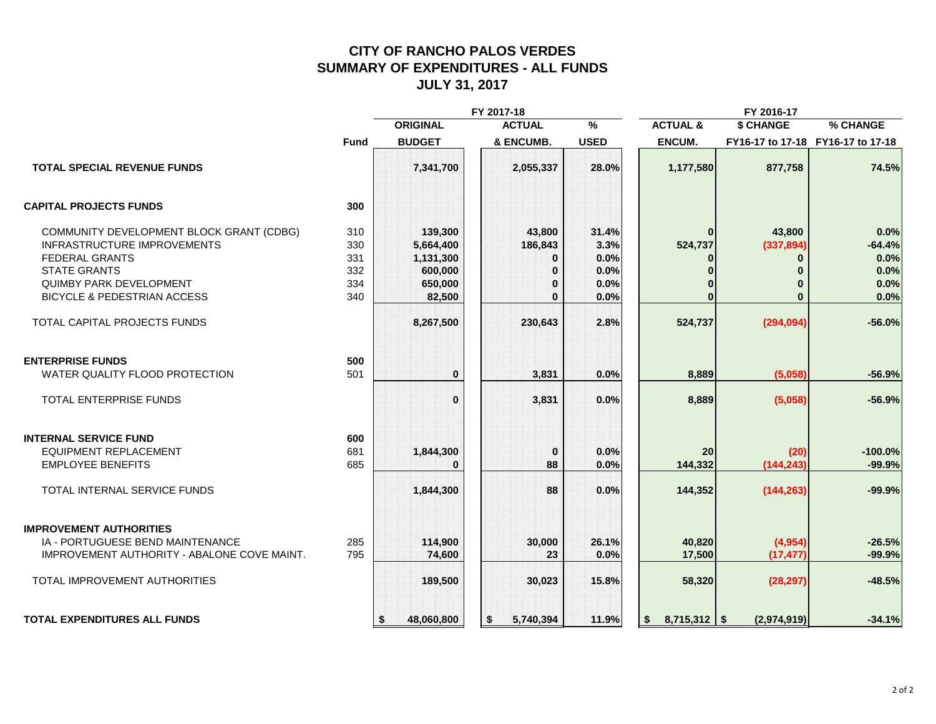## **CITY OF RANCHO PALOS VERDES SUMMARY OF EXPENDITURES - ALL FUNDS JULY 31, 2017**

|                                             |             |                  | FY 2017-18      |               |                                | FY 2016-17  |                                   |
|---------------------------------------------|-------------|------------------|-----------------|---------------|--------------------------------|-------------|-----------------------------------|
|                                             |             | <b>ORIGINAL</b>  | <b>ACTUAL</b>   | $\frac{9}{6}$ | <b>ACTUAL &amp;</b>            | \$ CHANGE   | % CHANGE                          |
|                                             | <b>Fund</b> | <b>BUDGET</b>    | & ENCUMB.       | <b>USED</b>   | <b>ENCUM.</b>                  |             | FY16-17 to 17-18 FY16-17 to 17-18 |
| <b>TOTAL SPECIAL REVENUE FUNDS</b>          |             | 7,341,700        | 2,055,337       | 28.0%         | 1,177,580                      | 877,758     | 74.5%                             |
| <b>CAPITAL PROJECTS FUNDS</b>               | 300         |                  |                 |               |                                |             |                                   |
| COMMUNITY DEVELOPMENT BLOCK GRANT (CDBG)    | 310         | 139,300          | 43,800          | 31.4%         | $\bf{0}$                       | 43,800      | 0.0%                              |
| INFRASTRUCTURE IMPROVEMENTS                 | 330         | 5,664,400        | 186,843         | 3.3%          | 524,737                        | (337, 894)  | $-64.4%$                          |
| <b>FEDERAL GRANTS</b>                       | 331         | 1,131,300        | $\Omega$        | 0.0%          |                                | 0           | 0.0%                              |
| <b>STATE GRANTS</b>                         | 332         | 600,000          | O               | 0.0%          |                                | $\bf{0}$    | 0.0%                              |
| QUIMBY PARK DEVELOPMENT                     | 334         | 650,000          | Ω               | 0.0%          |                                | $\bf{0}$    | 0.0%                              |
| <b>BICYCLE &amp; PEDESTRIAN ACCESS</b>      | 340         | 82,500           | 0               | 0.0%          |                                | $\bf{0}$    | 0.0%                              |
| TOTAL CAPITAL PROJECTS FUNDS                |             | 8,267,500        | 230,643         | 2.8%          | 524,737                        | (294, 094)  | $-56.0%$                          |
| <b>ENTERPRISE FUNDS</b>                     | 500         |                  |                 |               |                                |             |                                   |
| WATER QUALITY FLOOD PROTECTION              | 501         | $\bf{0}$         | 3,831           | 0.0%          | 8,889                          | (5,058)     | $-56.9%$                          |
| <b>TOTAL ENTERPRISE FUNDS</b>               |             | $\bf{0}$         | 3,831           | 0.0%          | 8,889                          | (5,058)     | $-56.9%$                          |
| <b>INTERNAL SERVICE FUND</b>                | 600         |                  |                 |               |                                |             |                                   |
| <b>EQUIPMENT REPLACEMENT</b>                | 681         | 1,844,300        | $\bf{0}$        | 0.0%          | 20                             | (20)        | $-100.0%$                         |
| <b>EMPLOYEE BENEFITS</b>                    | 685         | 0                | 88              | 0.0%          | 144,332                        | (144, 243)  | $-99.9%$                          |
| TOTAL INTERNAL SERVICE FUNDS                |             | 1,844,300        | 88              | 0.0%          | 144,352                        | (144, 263)  | $-99.9%$                          |
| <b>IMPROVEMENT AUTHORITIES</b>              |             |                  |                 |               |                                |             |                                   |
| IA - PORTUGUESE BEND MAINTENANCE            | 285         |                  |                 | 26.1%         |                                |             |                                   |
| IMPROVEMENT AUTHORITY - ABALONE COVE MAINT. | 795         | 114,900          | 30,000          |               | 40,820                         | (4,954)     | $-26.5%$                          |
|                                             |             | 74,600           | 23              | 0.0%          | 17,500                         | (17, 477)   | $-99.9%$                          |
| TOTAL IMPROVEMENT AUTHORITIES               |             | 189,500          | 30,023          | 15.8%         | 58,320                         | (28, 297)   | $-48.5%$                          |
| <b>TOTAL EXPENDITURES ALL FUNDS</b>         |             | 48,060,800<br>\$ | 5,740,394<br>\$ | 11.9%         | $8,715,312$ \$<br>$\mathsf{s}$ | (2,974,919) | $-34.1%$                          |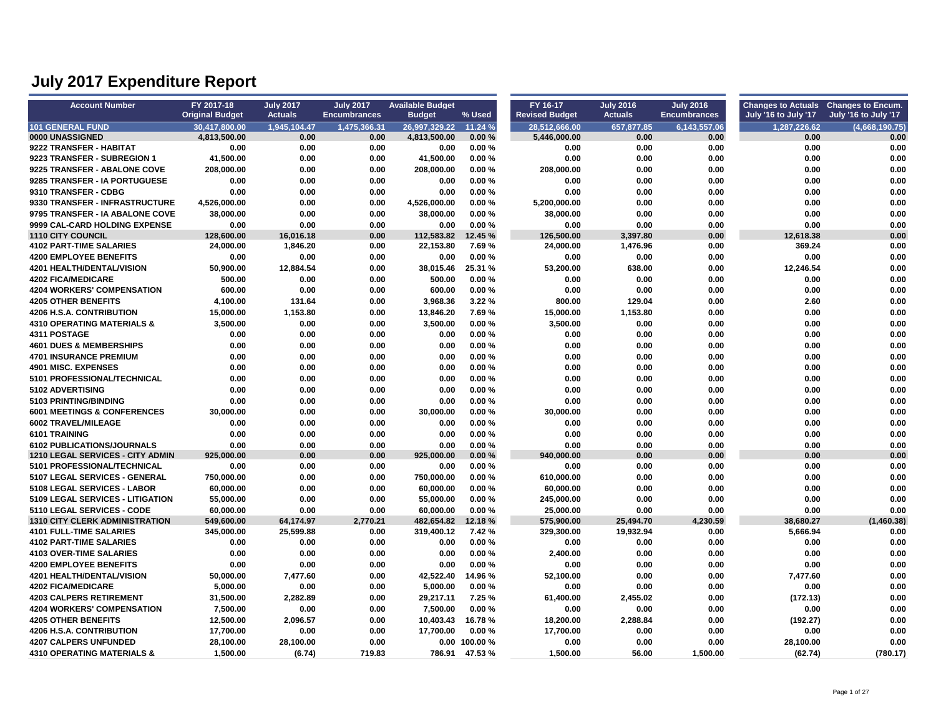| <b>Actuals</b><br><b>Encumbrances</b><br>% Used<br><b>Revised Budget</b><br><b>Actuals</b><br><b>Encumbrances</b><br>July '16 to July '17<br><b>Original Budget</b><br><b>Budget</b> | July '16 to July '17 |
|--------------------------------------------------------------------------------------------------------------------------------------------------------------------------------------|----------------------|
|                                                                                                                                                                                      |                      |
| <b>101 GENERAL FUND</b><br>1,945,104.47<br>1,475,366.31<br>26,997,329.22<br>11.24 %<br>28.512.666.00<br>657,877.85<br>6,143,557.06<br>1,287,226.62<br>30.417.800.00                  | (4,668,190.75)       |
| 0000 UNASSIGNED<br>4,813,500.00<br>0.00%<br>4,813,500.00<br>0.00<br>0.00<br>5,446,000.00<br>0.00<br>0.00<br>0.00                                                                     | 0.00                 |
| 9222 TRANSFER - HABITAT<br>0.00<br>0.00<br>0.00%<br>0.00<br>0.00<br>0.00<br>0.00<br>0.00<br>0.00                                                                                     | 0.00                 |
| 9223 TRANSFER - SUBREGION 1<br>41,500.00<br>0.00<br>41,500.00<br>0.00%<br>0.00<br>0.00<br>0.00<br>0.00<br>0.00                                                                       | 0.00                 |
| 9225 TRANSFER - ABALONE COVE<br>0.00%<br>208.000.00<br>0.00<br>0.00<br>208.000.00<br>208.000.00<br>0.00<br>0.00<br>0.00                                                              | 0.00                 |
| 0.00<br>0.00<br>0.00%<br>0.00<br>9285 TRANSFER - IA PORTUGUESE<br>0.00<br>0.00<br>0.00<br>0.00<br>0.00                                                                               | 0.00                 |
| 9310 TRANSFER - CDBG<br>0.00<br>0.00<br>0.00<br>0.00<br>0.00%<br>0.00<br>0.00<br>0.00<br>0.00                                                                                        | 0.00                 |
| 9330 TRANSFER - INFRASTRUCTURE<br>4,526,000.00<br>0.00<br>0.00<br>4,526,000.00<br>0.00%<br>5,200,000.00<br>0.00<br>0.00<br>0.00                                                      | 0.00                 |
| 9795 TRANSFER - IA ABALONE COVE<br>0.00<br>38,000.00<br>0.00%<br>38,000.00<br>0.00<br>38,000.00<br>0.00<br>0.00<br>0.00                                                              | 0.00                 |
| 0.00<br>0.00<br>0.00<br>9999 CAL-CARD HOLDING EXPENSE<br>0.00<br>0.00<br>0.00<br>0.00%<br>0.00<br>0.00                                                                               | 0.00                 |
| 128,600.00<br>112,583.82<br>12.45 %<br>126,500.00<br>3,397.80<br>0.00<br><b>1110 CITY COUNCIL</b><br>16,016.18<br>0.00<br>12,618.38                                                  | 0.00                 |
| <b>4102 PART-TIME SALARIES</b><br>24,000.00<br>1,846.20<br>22,153.80<br>7.69%<br>24,000.00<br>1,476.96<br>0.00<br>369.24<br>0.00                                                     | 0.00                 |
| <b>4200 EMPLOYEE BENEFITS</b><br>0.00<br>0.00<br>0.00<br>0.00<br>0.00%<br>0.00<br>0.00<br>0.00<br>0.00                                                                               | 0.00                 |
| 50,900.00<br>12,884.54<br>12,246.54<br><b>4201 HEALTH/DENTAL/VISION</b><br>0.00<br>38,015.46<br>25.31 %<br>53,200.00<br>638.00<br>0.00                                               | 0.00                 |
| 4202 FICA/MEDICARE<br>500.00<br>0.00<br>500.00<br>0.00%<br>0.00<br>0.00<br>0.00<br>0.00<br>0.00                                                                                      | 0.00                 |
| <b>4204 WORKERS' COMPENSATION</b><br>0.00%<br>0.00<br>0.00<br>600.00<br>0.00<br>0.00<br>600.00<br>0.00<br>0.00                                                                       | 0.00                 |
| <b>4205 OTHER BENEFITS</b><br>4,100.00<br>131.64<br>0.00<br>3,968.36<br>3.22%<br>800.00<br>129.04<br>0.00<br>2.60                                                                    | 0.00                 |
| 4206 H.S.A. CONTRIBUTION<br>1,153.80<br>13,846.20<br>7.69%<br>15,000.00<br>1,153.80<br>15,000.00<br>0.00<br>0.00<br>0.00                                                             | 0.00                 |
| <b>4310 OPERATING MATERIALS &amp;</b><br>3,500.00<br>0.00<br>0.00<br>3,500.00<br>0.00%<br>3,500.00<br>0.00<br>0.00<br>0.00                                                           | 0.00                 |
| 4311 POSTAGE<br>0.00<br>0.00<br>0.00<br>0.00<br>0.00%<br>0.00<br>0.00<br>0.00<br>0.00                                                                                                | 0.00                 |
| <b>4601 DUES &amp; MEMBERSHIPS</b><br>0.00<br>0.00<br>0.00<br>0.00%<br>0.00<br>0.00<br>0.00<br>0.00<br>0.00                                                                          | 0.00                 |
| <b>4701 INSURANCE PREMIUM</b><br>0.00<br>0.00<br>0.00<br>0.00<br>0.00%<br>0.00<br>0.00<br>0.00<br>0.00                                                                               | 0.00                 |
| 4901 MISC. EXPENSES<br>0.00<br>0.00<br>0.00<br>0.00%<br>0.00<br>0.00<br>0.00<br>0.00<br>0.00                                                                                         | 0.00                 |
| 5101 PROFESSIONAL/TECHNICAL<br>0.00<br>0.00<br>0.00<br>0.00<br>0.00%<br>0.00<br>0.00<br>0.00<br>0.00                                                                                 | 0.00                 |
| 5102 ADVERTISING<br>0.00<br>0.00<br>0.00<br>0.00%<br>0.00<br>0.00<br>0.00<br>0.00<br>0.00                                                                                            | 0.00                 |
| 5103 PRINTING/BINDING<br>0.00<br>0.00<br>0.00<br>0.00<br>0.00%<br>0.00<br>0.00<br>0.00<br>0.00                                                                                       | 0.00                 |
| <b>6001 MEETINGS &amp; CONFERENCES</b><br>30,000.00<br>0.00<br>0.00<br>30,000.00<br>0.00%<br>30,000.00<br>0.00<br>0.00<br>0.00                                                       | 0.00                 |
| 6002 TRAVEL/MILEAGE<br>0.00<br>0.00<br>0.00%<br>0.00<br>0.00<br>0.00<br>0.00<br>0.00<br>0.00                                                                                         | 0.00                 |
| 6101 TRAINING<br>0.00<br>0.00<br>0.00<br>0.00<br>0.00%<br>0.00<br>0.00<br>0.00<br>0.00                                                                                               | 0.00                 |
| 6102 PUBLICATIONS/JOURNALS<br>0.00<br>0.00%<br>0.00<br>0.00<br>0.00<br>0.00<br>0.00<br>0.00<br>0.00                                                                                  | 0.00                 |
| 925.000.00<br>925.000.00<br><b>1210 LEGAL SERVICES - CITY ADMIN</b><br>0.00<br>0.00<br>0.00%<br>940.000.00<br>0.00<br>0.00<br>0.00                                                   | 0.00                 |
| 0.00<br>0.00<br>5101 PROFESSIONAL/TECHNICAL<br>0.00<br>0.00<br>0.00<br>0.00%<br>0.00<br>0.00<br>0.00                                                                                 | 0.00                 |
| 5107 LEGAL SERVICES - GENERAL<br>750,000.00<br>0.00<br>0.00<br>750,000.00<br>0.00%<br>610,000.00<br>0.00<br>0.00<br>0.00                                                             | 0.00                 |
| 5108 LEGAL SERVICES - LABOR<br>60,000.00<br>60,000.00<br>60,000.00<br>0.00<br>0.00<br>0.00%<br>0.00<br>0.00<br>0.00                                                                  | 0.00                 |
| 5109 LEGAL SERVICES - LITIGATION<br>55,000.00<br>0.00<br>0.00<br>55,000.00<br>0.00%<br>245,000.00<br>0.00<br>0.00<br>0.00                                                            | 0.00                 |
| 5110 LEGAL SERVICES - CODE<br>60.000.00<br>25.000.00<br>0.00<br>60.000.00<br>0.00<br>0.00<br>0.00%<br>0.00<br>0.00                                                                   | 0.00                 |
| 12.18%<br>575,900.00<br><b>1310 CITY CLERK ADMINISTRATION</b><br>549,600.00<br>64,174.97<br>2,770.21<br>482,654.82<br>25,494.70<br>4,230.59<br>38,680.27                             | (1,460.38)           |
| 345,000.00<br>25,599.88<br>319,400.12<br>329,300.00<br>19,932.94<br>0.00<br>5,666.94<br><b>4101 FULL-TIME SALARIES</b><br>0.00<br>7.42 %                                             | 0.00                 |
| <b>4102 PART-TIME SALARIES</b><br>0.00<br>0.00<br>0.00<br>0.00%<br>0.00<br>0.00<br>0.00<br>0.00<br>0.00                                                                              | 0.00                 |
| 0.00<br>0.00<br>0.00%<br>2,400.00<br>0.00<br>0.00<br><b>4103 OVER-TIME SALARIES</b><br>0.00<br>0.00<br>0.00                                                                          | 0.00                 |
| 0.00%<br>0.00<br><b>4200 EMPLOYEE BENEFITS</b><br>0.00<br>0.00<br>0.00<br>0.00<br>0.00<br>0.00<br>0.00                                                                               | 0.00                 |
| 4201 HEALTH/DENTAL/VISION<br>50,000.00<br>7,477.60<br>42,522.40<br>14.96%<br>52,100.00<br>7,477.60<br>0.00<br>0.00<br>0.00                                                           | 0.00                 |
| <b>4202 FICA/MEDICARE</b><br>5,000.00<br>0.00<br>0.00<br>5,000.00<br>0.00%<br>0.00<br>0.00<br>0.00<br>0.00                                                                           | 0.00                 |
| 7.25 %<br><b>4203 CALPERS RETIREMENT</b><br>31,500.00<br>2,282.89<br>0.00<br>29,217.11<br>61,400.00<br>2,455.02<br>0.00<br>(172.13)                                                  | 0.00                 |
| <b>4204 WORKERS' COMPENSATION</b><br>0.00<br>7,500.00<br>0.00%<br>0.00<br>0.00<br>0.00<br>7,500.00<br>0.00<br>0.00                                                                   | 0.00                 |
| <b>4205 OTHER BENEFITS</b><br>12,500.00<br>2,096.57<br>0.00<br>10,403.43<br>16.78%<br>18,200.00<br>2,288.84<br>0.00<br>(192.27)                                                      | 0.00                 |
| 0.00<br>0.00<br>17,700.00<br>0.00%<br>17,700.00<br>0.00<br>4206 H.S.A. CONTRIBUTION<br>17,700.00<br>0.00<br>0.00                                                                     | 0.00                 |
| <b>4207 CALPERS UNFUNDED</b><br>28,100.00<br>28,100.00<br>0.00<br>$0.00$ 100.00 %<br>0.00<br>0.00<br>0.00<br>28,100.00                                                               | 0.00                 |
| 1,500.00<br>(6.74)<br>719.83<br>786.91<br>47.53%<br>(62.74)<br><b>4310 OPERATING MATERIALS &amp;</b><br>1,500.00<br>56.00<br>1,500.00                                                | (780.17)             |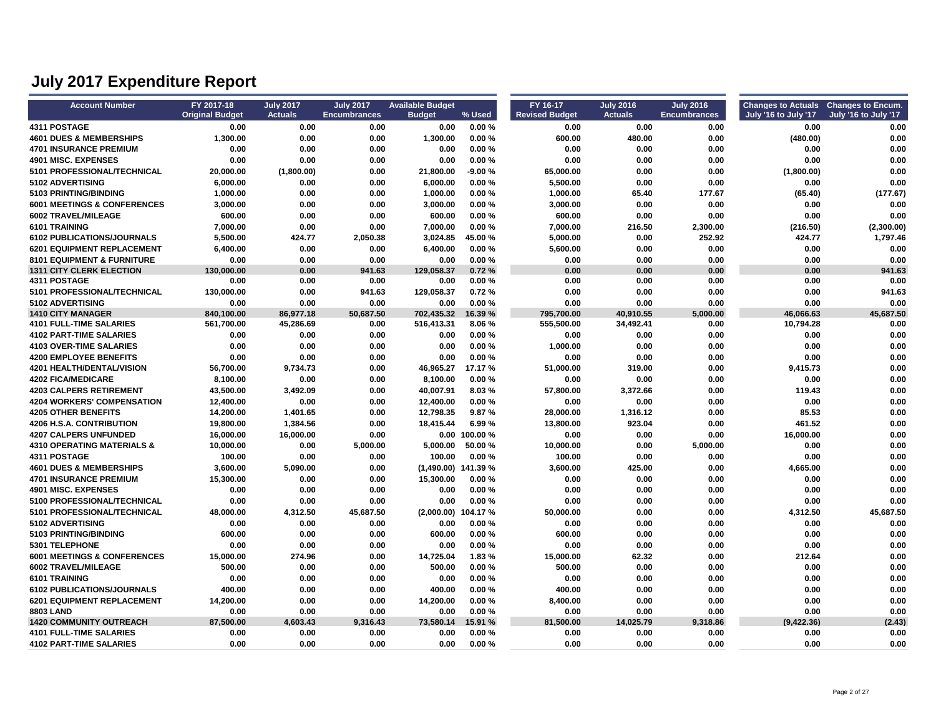| <b>Account Number</b>                  | FY 2017-18             | <b>July 2017</b> | <b>July 2017</b>    | <b>Available Budget</b> |                 | FY 16-17              | <b>July 2016</b> | <b>July 2016</b>    | Changes to Actuals Changes to Encum. |                      |
|----------------------------------------|------------------------|------------------|---------------------|-------------------------|-----------------|-----------------------|------------------|---------------------|--------------------------------------|----------------------|
|                                        | <b>Original Budget</b> | <b>Actuals</b>   | <b>Encumbrances</b> | <b>Budget</b>           | % Used          | <b>Revised Budget</b> | <b>Actuals</b>   | <b>Encumbrances</b> | July '16 to July '17                 | July '16 to July '17 |
| <b>4311 POSTAGE</b>                    | 0.00                   | 0.00             | 0.00                | 0.00                    | 0.00%           | 0.00                  | 0.00             | 0.00                | 0.00                                 | 0.00                 |
| <b>4601 DUES &amp; MEMBERSHIPS</b>     | 1,300.00               | 0.00             | 0.00                | 1,300.00                | 0.00%           | 600.00                | 480.00           | 0.00                | (480.00)                             | 0.00                 |
| <b>4701 INSURANCE PREMIUM</b>          | 0.00                   | 0.00             | 0.00                | 0.00                    | 0.00%           | 0.00                  | 0.00             | 0.00                | 0.00                                 | 0.00                 |
| 4901 MISC. EXPENSES                    | 0.00                   | 0.00             | 0.00                | 0.00                    | 0.00%           | 0.00                  | 0.00             | 0.00                | 0.00                                 | 0.00                 |
| 5101 PROFESSIONAL/TECHNICAL            | 20,000.00              | (1,800.00)       | 0.00                | 21,800.00               | $-9.00%$        | 65,000.00             | 0.00             | 0.00                | (1,800.00)                           | 0.00                 |
| 5102 ADVERTISING                       | 6,000.00               | 0.00             | 0.00                | 6,000.00                | 0.00%           | 5,500.00              | 0.00             | 0.00                | 0.00                                 | 0.00                 |
| 5103 PRINTING/BINDING                  | 1,000.00               | 0.00             | 0.00                | 1,000.00                | 0.00%           | 1,000.00              | 65.40            | 177.67              | (65.40)                              | (177.67)             |
| <b>6001 MEETINGS &amp; CONFERENCES</b> | 3,000.00               | 0.00             | 0.00                | 3,000.00                | 0.00%           | 3,000.00              | 0.00             | 0.00                | 0.00                                 | 0.00                 |
| 6002 TRAVEL/MILEAGE                    | 600.00                 | 0.00             | 0.00                | 600.00                  | 0.00%           | 600.00                | 0.00             | 0.00                | 0.00                                 | 0.00                 |
| 6101 TRAINING                          | 7,000.00               | 0.00             | 0.00                | 7,000.00                | 0.00%           | 7,000.00              | 216.50           | 2,300.00            | (216.50)                             | (2,300.00)           |
| <b>6102 PUBLICATIONS/JOURNALS</b>      | 5,500.00               | 424.77           | 2,050.38            | 3,024.85                | 45.00 %         | 5,000.00              | 0.00             | 252.92              | 424.77                               | 1,797.46             |
| <b>6201 EQUIPMENT REPLACEMENT</b>      | 6,400.00               | 0.00             | 0.00                | 6,400.00                | 0.00%           | 5,600.00              | 0.00             | 0.00                | 0.00                                 | 0.00                 |
| <b>8101 EQUIPMENT &amp; FURNITURE</b>  | 0.00                   | 0.00             | 0.00                | 0.00                    | 0.00%           | 0.00                  | 0.00             | 0.00                | 0.00                                 | 0.00                 |
| <b>1311 CITY CLERK ELECTION</b>        | 130,000.00             | 0.00             | 941.63              | 129,058.37              | 0.72%           | 0.00                  | 0.00             | 0.00                | 0.00                                 | 941.63               |
| 4311 POSTAGE                           | 0.00                   | 0.00             | 0.00                | 0.00                    | 0.00%           | 0.00                  | 0.00             | 0.00                | 0.00                                 | 0.00                 |
| 5101 PROFESSIONAL/TECHNICAL            | 130,000.00             | 0.00             | 941.63              | 129,058.37              | 0.72%           | 0.00                  | 0.00             | 0.00                | 0.00                                 | 941.63               |
| 5102 ADVERTISING                       | 0.00                   | 0.00             | 0.00                | 0.00                    | 0.00%           | 0.00                  | 0.00             | 0.00                | 0.00                                 | 0.00                 |
| <b>1410 CITY MANAGER</b>               | 840,100.00             | 86,977.18        | 50,687.50           | 702,435.32              | 16.39 %         | 795.700.00            | 40,910.55        | 5,000.00            | 46,066.63                            | 45.687.50            |
| <b>4101 FULL-TIME SALARIES</b>         | 561,700.00             | 45,286.69        | 0.00                | 516.413.31              | 8.06%           | 555.500.00            | 34,492.41        | 0.00                | 10,794.28                            | 0.00                 |
| <b>4102 PART-TIME SALARIES</b>         | 0.00                   | 0.00             | 0.00                | 0.00                    | 0.00%           | 0.00                  | 0.00             | 0.00                | 0.00                                 | 0.00                 |
| <b>4103 OVER-TIME SALARIES</b>         | 0.00                   | 0.00             | 0.00                | 0.00                    | 0.00%           | 1,000.00              | 0.00             | 0.00                | 0.00                                 | 0.00                 |
| <b>4200 EMPLOYEE BENEFITS</b>          | 0.00                   | 0.00             | 0.00                | 0.00                    | 0.00%           | 0.00                  | 0.00             | 0.00                | 0.00                                 | 0.00                 |
| 4201 HEALTH/DENTAL/VISION              | 56,700.00              | 9,734.73         | 0.00                | 46,965.27               | 17.17%          | 51,000.00             | 319.00           | 0.00                | 9,415.73                             | 0.00                 |
| 4202 FICA/MEDICARE                     | 8,100.00               | 0.00             | 0.00                | 8,100.00                | 0.00%           | 0.00                  | 0.00             | 0.00                | 0.00                                 | 0.00                 |
| <b>4203 CALPERS RETIREMENT</b>         | 43,500.00              | 3,492.09         | 0.00                | 40,007.91               | 8.03%           | 57,800.00             | 3,372.66         | 0.00                | 119.43                               | 0.00                 |
| <b>4204 WORKERS' COMPENSATION</b>      | 12,400.00              | 0.00             | 0.00                | 12,400.00               | 0.00%           | 0.00                  | 0.00             | 0.00                | 0.00                                 | 0.00                 |
| <b>4205 OTHER BENEFITS</b>             | 14,200.00              | 1,401.65         | 0.00                | 12,798.35               | 9.87%           | 28,000.00             | 1,316.12         | 0.00                | 85.53                                | 0.00                 |
| 4206 H.S.A. CONTRIBUTION               | 19,800.00              | 1,384.56         | 0.00                | 18,415.44               | 6.99%           | 13,800.00             | 923.04           | 0.00                | 461.52                               | 0.00                 |
| <b>4207 CALPERS UNFUNDED</b>           | 16,000.00              | 16,000.00        | 0.00                |                         | $0.00$ 100.00 % | 0.00                  | 0.00             | 0.00                | 16,000.00                            | 0.00                 |
| <b>4310 OPERATING MATERIALS &amp;</b>  | 10,000.00              | 0.00             | 5,000.00            | 5,000.00                | 50.00 %         | 10,000.00             | 0.00             | 5,000.00            | 0.00                                 | 0.00                 |
| 4311 POSTAGE                           | 100.00                 | 0.00             | 0.00                | 100.00                  | 0.00%           | 100.00                | 0.00             | 0.00                | 0.00                                 | 0.00                 |
| <b>4601 DUES &amp; MEMBERSHIPS</b>     | 3,600.00               | 5,090.00         | 0.00                | $(1,490.00)$ 141.39 %   |                 | 3,600.00              | 425.00           | 0.00                | 4,665.00                             | 0.00                 |
| <b>4701 INSURANCE PREMIUM</b>          | 15,300.00              | 0.00             | 0.00                | 15,300.00               | 0.00%           | 0.00                  | 0.00             | 0.00                | 0.00                                 | 0.00                 |
| <b>4901 MISC. EXPENSES</b>             | 0.00                   | 0.00             | 0.00                | 0.00                    | 0.00%           | 0.00                  | 0.00             | 0.00                | 0.00                                 | 0.00                 |
| 5100 PROFESSIONAL/TECHNICAL            | 0.00                   | 0.00             | 0.00                | 0.00                    | 0.00%           | 0.00                  | 0.00             | 0.00                | 0.00                                 | 0.00                 |
| 5101 PROFESSIONAL/TECHNICAL            | 48,000.00              | 4,312.50         | 45,687.50           | $(2,000.00)$ 104.17 %   |                 | 50,000.00             | 0.00             | 0.00                | 4,312.50                             | 45,687.50            |
| 5102 ADVERTISING                       | 0.00                   | 0.00             | 0.00                | 0.00                    | 0.00%           | 0.00                  | 0.00             | 0.00                | 0.00                                 | 0.00                 |
| 5103 PRINTING/BINDING                  | 600.00                 | 0.00             | 0.00                | 600.00                  | 0.00%           | 600.00                | 0.00             | 0.00                | 0.00                                 | 0.00                 |
| 5301 TELEPHONE                         | 0.00                   | 0.00             | 0.00                | 0.00                    | 0.00%           | 0.00                  | 0.00             | 0.00                | 0.00                                 | 0.00                 |
| <b>6001 MEETINGS &amp; CONFERENCES</b> | 15,000.00              | 274.96           | 0.00                | 14,725.04               | 1.83%           | 15,000.00             | 62.32            | 0.00                | 212.64                               | 0.00                 |
| 6002 TRAVEL/MILEAGE                    | 500.00                 | 0.00             | 0.00                | 500.00                  | 0.00%           | 500.00                | 0.00             | 0.00                | 0.00                                 | 0.00                 |
| 6101 TRAINING                          | 0.00                   | 0.00             | 0.00                | 0.00                    | 0.00%           | 0.00                  | 0.00             | 0.00                | 0.00                                 | 0.00                 |
| 6102 PUBLICATIONS/JOURNALS             | 400.00                 | 0.00             | 0.00                | 400.00                  | 0.00%           | 400.00                | 0.00             | 0.00                | 0.00                                 | 0.00                 |
| 6201 EQUIPMENT REPLACEMENT             | 14,200.00              | 0.00             | 0.00                | 14,200.00               | 0.00%           | 8,400.00              | 0.00             | 0.00                | 0.00                                 | 0.00                 |
| <b>8803 LAND</b>                       | 0.00                   | 0.00             | 0.00                | 0.00                    | 0.00%           | 0.00                  | 0.00             | 0.00                | 0.00                                 | 0.00                 |
| <b>1420 COMMUNITY OUTREACH</b>         | 87,500.00              | 4,603.43         | 9,316.43            | 73,580.14               | 15.91 %         | 81,500.00             | 14,025.79        | 9,318.86            | (9, 422.36)                          | (2.43)               |
| <b>4101 FULL-TIME SALARIES</b>         | 0.00                   | 0.00             | 0.00                | 0.00                    | 0.00%           | 0.00                  | 0.00             | 0.00                | 0.00                                 | 0.00                 |
| <b>4102 PART-TIME SALARIES</b>         | 0.00                   | 0.00             | 0.00                | 0.00                    | 0.00%           | 0.00                  | 0.00             | 0.00                | 0.00                                 | 0.00                 |
|                                        |                        |                  |                     |                         |                 |                       |                  |                     |                                      |                      |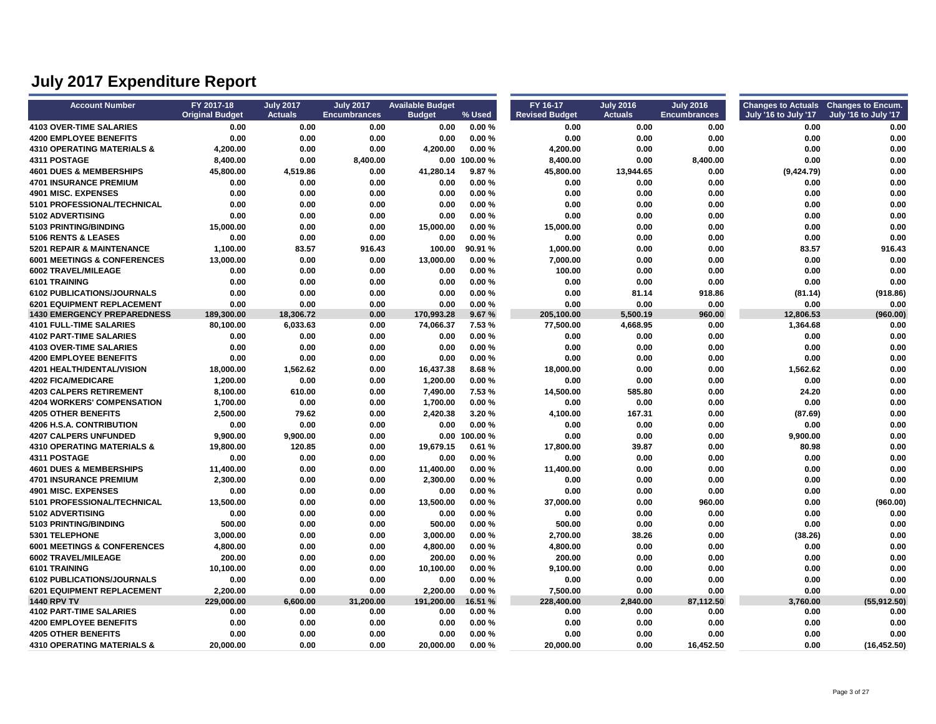| <b>Account Number</b>                  | FY 2017-18<br><b>Original Budget</b> | <b>July 2017</b><br><b>Actuals</b> | <b>July 2017</b><br><b>Encumbrances</b> | <b>Available Budget</b><br><b>Budget</b> | % Used          | FY 16-17<br><b>Revised Budget</b> | <b>July 2016</b><br><b>Actuals</b> | <b>July 2016</b><br><b>Encumbrances</b> | Changes to Actuals Changes to Encum.<br>July '16 to July '17 | July '16 to July '17 |
|----------------------------------------|--------------------------------------|------------------------------------|-----------------------------------------|------------------------------------------|-----------------|-----------------------------------|------------------------------------|-----------------------------------------|--------------------------------------------------------------|----------------------|
| <b>4103 OVER-TIME SALARIES</b>         | 0.00                                 | 0.00                               | 0.00                                    | 0.00                                     | 0.00%           | 0.00                              | 0.00                               | 0.00                                    | 0.00                                                         | 0.00                 |
| <b>4200 EMPLOYEE BENEFITS</b>          | 0.00                                 | 0.00                               | 0.00                                    | 0.00                                     | 0.00%           | 0.00                              | 0.00                               | 0.00                                    | 0.00                                                         | 0.00                 |
| <b>4310 OPERATING MATERIALS &amp;</b>  | 4,200.00                             | 0.00                               | 0.00                                    | 4,200.00                                 | 0.00%           | 4,200.00                          | 0.00                               | 0.00                                    | 0.00                                                         | 0.00                 |
| 4311 POSTAGE                           | 8,400.00                             | 0.00                               | 8,400.00                                |                                          | $0.00$ 100.00 % | 8,400.00                          | 0.00                               | 8,400.00                                | 0.00                                                         | 0.00                 |
| <b>4601 DUES &amp; MEMBERSHIPS</b>     | 45,800.00                            | 4,519.86                           | 0.00                                    | 41,280.14                                | 9.87%           | 45,800.00                         | 13,944.65                          | 0.00                                    | (9,424.79)                                                   | 0.00                 |
| <b>4701 INSURANCE PREMIUM</b>          | 0.00                                 | 0.00                               | 0.00                                    | 0.00                                     | 0.00%           | 0.00                              | 0.00                               | 0.00                                    | 0.00                                                         | 0.00                 |
| <b>4901 MISC. EXPENSES</b>             | 0.00                                 | 0.00                               | 0.00                                    | 0.00                                     | 0.00%           | 0.00                              | 0.00                               | 0.00                                    | 0.00                                                         | 0.00                 |
| 5101 PROFESSIONAL/TECHNICAL            | 0.00                                 | 0.00                               | 0.00                                    | 0.00                                     | 0.00%           | 0.00                              | 0.00                               | 0.00                                    | 0.00                                                         | 0.00                 |
| 5102 ADVERTISING                       | 0.00                                 | 0.00                               | 0.00                                    | 0.00                                     | 0.00%           | 0.00                              | 0.00                               | 0.00                                    | 0.00                                                         | 0.00                 |
| 5103 PRINTING/BINDING                  | 15,000.00                            | 0.00                               | 0.00                                    | 15,000.00                                | 0.00%           | 15,000.00                         | 0.00                               | 0.00                                    | 0.00                                                         | 0.00                 |
| 5106 RENTS & LEASES                    | 0.00                                 | 0.00                               | 0.00                                    | 0.00                                     | 0.00%           | 0.00                              | 0.00                               | 0.00                                    | 0.00                                                         | 0.00                 |
| 5201 REPAIR & MAINTENANCE              | 1,100.00                             | 83.57                              | 916.43                                  | 100.00                                   | 90.91 %         | 1,000.00                          | 0.00                               | 0.00                                    | 83.57                                                        | 916.43               |
| <b>6001 MEETINGS &amp; CONFERENCES</b> | 13,000.00                            | 0.00                               | 0.00                                    | 13,000.00                                | 0.00%           | 7,000.00                          | 0.00                               | 0.00                                    | 0.00                                                         | 0.00                 |
| 6002 TRAVEL/MILEAGE                    | 0.00                                 | 0.00                               | 0.00                                    | 0.00                                     | 0.00%           | 100.00                            | 0.00                               | 0.00                                    | 0.00                                                         | 0.00                 |
| <b>6101 TRAINING</b>                   | 0.00                                 | 0.00                               | 0.00                                    | 0.00                                     | 0.00%           | 0.00                              | 0.00                               | 0.00                                    | 0.00                                                         | 0.00                 |
| 6102 PUBLICATIONS/JOURNALS             | 0.00                                 | 0.00                               | 0.00                                    | 0.00                                     | 0.00%           | 0.00                              | 81.14                              | 918.86                                  | (81.14)                                                      | (918.86)             |
| 6201 EQUIPMENT REPLACEMENT             | 0.00                                 | 0.00                               | 0.00                                    | 0.00                                     | 0.00%           | 0.00                              | 0.00                               | 0.00                                    | 0.00                                                         | 0.00                 |
| <b>1430 EMERGENCY PREPAREDNESS</b>     | 189,300.00                           | 18,306.72                          | 0.00                                    | 170,993.28                               | 9.67%           | 205,100.00                        | 5,500.19                           | 960.00                                  | 12,806.53                                                    | (960.00)             |
| <b>4101 FULL-TIME SALARIES</b>         | 80,100.00                            | 6,033.63                           | 0.00                                    | 74,066.37                                | 7.53 %          | 77,500.00                         | 4,668.95                           | 0.00                                    | 1,364.68                                                     | 0.00                 |
| <b>4102 PART-TIME SALARIES</b>         | 0.00                                 | 0.00                               | 0.00                                    | 0.00                                     | 0.00%           | 0.00                              | 0.00                               | 0.00                                    | 0.00                                                         | 0.00                 |
| <b>4103 OVER-TIME SALARIES</b>         | 0.00                                 | 0.00                               | 0.00                                    | 0.00                                     | 0.00%           | 0.00                              | 0.00                               | 0.00                                    | 0.00                                                         | 0.00                 |
| <b>4200 EMPLOYEE BENEFITS</b>          | 0.00                                 | 0.00                               | 0.00                                    | 0.00                                     | 0.00%           | 0.00                              | 0.00                               | 0.00                                    | 0.00                                                         | 0.00                 |
| <b>4201 HEALTH/DENTAL/VISION</b>       | 18,000.00                            | 1,562.62                           | 0.00                                    | 16,437.38                                | 8.68%           | 18,000.00                         | 0.00                               | 0.00                                    | 1.562.62                                                     | 0.00                 |
| <b>4202 FICA/MEDICARE</b>              | 1,200.00                             | 0.00                               | 0.00                                    | 1.200.00                                 | 0.00%           | 0.00                              | 0.00                               | 0.00                                    | 0.00                                                         | 0.00                 |
| <b>4203 CALPERS RETIREMENT</b>         | 8,100.00                             | 610.00                             | 0.00                                    | 7,490.00                                 | 7.53%           | 14,500.00                         | 585.80                             | 0.00                                    | 24.20                                                        | 0.00                 |
| <b>4204 WORKERS' COMPENSATION</b>      | 1,700.00                             | 0.00                               | 0.00                                    | 1,700.00                                 | 0.00%           | 0.00                              | 0.00                               | 0.00                                    | 0.00                                                         | 0.00                 |
| <b>4205 OTHER BENEFITS</b>             | 2,500.00                             | 79.62                              | 0.00                                    | 2,420.38                                 | 3.20%           | 4,100.00                          | 167.31                             | 0.00                                    | (87.69)                                                      | 0.00                 |
| 4206 H.S.A. CONTRIBUTION               | 0.00                                 | 0.00                               | 0.00                                    | 0.00                                     | 0.00%           | 0.00                              | 0.00                               | 0.00                                    | 0.00                                                         | 0.00                 |
| <b>4207 CALPERS UNFUNDED</b>           | 9,900.00                             | 9,900.00                           | 0.00                                    | 0.00                                     | 100.00%         | 0.00                              | 0.00                               | 0.00                                    | 9,900.00                                                     | 0.00                 |
| <b>4310 OPERATING MATERIALS &amp;</b>  | 19,800.00                            | 120.85                             | 0.00                                    | 19,679.15                                | 0.61%           | 17,800.00                         | 39.87                              | 0.00                                    | 80.98                                                        | 0.00                 |
| 4311 POSTAGE                           | 0.00                                 | 0.00                               | 0.00                                    | 0.00                                     | 0.00%           | 0.00                              | 0.00                               | 0.00                                    | 0.00                                                         | 0.00                 |
| <b>4601 DUES &amp; MEMBERSHIPS</b>     | 11,400.00                            | 0.00                               | 0.00                                    | 11,400.00                                | 0.00%           | 11,400.00                         | 0.00                               | 0.00                                    | 0.00                                                         | 0.00                 |
| <b>4701 INSURANCE PREMIUM</b>          | 2,300.00                             | 0.00                               | 0.00                                    | 2,300.00                                 | 0.00%           | 0.00                              | 0.00                               | 0.00                                    | 0.00                                                         | 0.00                 |
| 4901 MISC. EXPENSES                    | 0.00                                 | 0.00                               | 0.00                                    | 0.00                                     | 0.00%           | 0.00                              | 0.00                               | 0.00                                    | 0.00                                                         | 0.00                 |
| 5101 PROFESSIONAL/TECHNICAL            | 13,500.00                            | 0.00                               | 0.00                                    | 13,500.00                                | 0.00%           | 37,000.00                         | 0.00                               | 960.00                                  | 0.00                                                         | (960.00)             |
| 5102 ADVERTISING                       | 0.00                                 | 0.00                               | 0.00                                    | 0.00                                     | 0.00%           | 0.00                              | 0.00                               | 0.00                                    | 0.00                                                         | 0.00                 |
| 5103 PRINTING/BINDING                  | 500.00                               | 0.00                               | 0.00                                    | 500.00                                   | 0.00%           | 500.00                            | 0.00                               | 0.00                                    | 0.00                                                         | 0.00                 |
| 5301 TELEPHONE                         | 3,000.00                             | 0.00                               | 0.00                                    | 3,000.00                                 | 0.00%           | 2,700.00                          | 38.26                              | 0.00                                    | (38.26)                                                      | 0.00                 |
| <b>6001 MEETINGS &amp; CONFERENCES</b> | 4,800.00                             | 0.00                               | 0.00                                    | 4,800.00                                 | 0.00%           | 4,800.00                          | 0.00                               | 0.00                                    | 0.00                                                         | 0.00                 |
| 6002 TRAVEL/MILEAGE                    | 200.00                               | 0.00                               | 0.00                                    | 200.00                                   | 0.00%           | 200.00                            | 0.00                               | 0.00                                    | 0.00                                                         | 0.00                 |
| 6101 TRAINING                          | 10,100.00                            | 0.00                               | 0.00                                    | 10,100.00                                | 0.00%           | 9,100.00                          | 0.00                               | 0.00                                    | 0.00                                                         | 0.00                 |
| <b>6102 PUBLICATIONS/JOURNALS</b>      | 0.00                                 | 0.00                               | 0.00                                    | 0.00                                     | 0.00%           | 0.00                              | 0.00                               | 0.00                                    | 0.00                                                         | 0.00                 |
| 6201 EQUIPMENT REPLACEMENT             | 2,200.00                             | 0.00                               | 0.00                                    | 2,200.00                                 | 0.00%           | 7,500.00                          | 0.00                               | 0.00                                    | 0.00                                                         | 0.00                 |
| <b>1440 RPV TV</b>                     | 229,000.00                           | 6,600.00                           | 31,200.00                               | 191,200.00                               | 16.51 %         | 228,400.00                        | 2,840.00                           | 87,112.50                               | 3,760.00                                                     | (55, 912.50)         |
| <b>4102 PART-TIME SALARIES</b>         | 0.00                                 | 0.00                               | 0.00                                    | 0.00                                     | 0.00%           | 0.00                              | 0.00                               | 0.00                                    | 0.00                                                         | 0.00                 |
| <b>4200 EMPLOYEE BENEFITS</b>          | 0.00                                 | 0.00                               | 0.00                                    | 0.00                                     | 0.00%           | 0.00                              | 0.00                               | 0.00                                    | 0.00                                                         | 0.00                 |
| <b>4205 OTHER BENEFITS</b>             | 0.00                                 | 0.00                               | 0.00                                    | 0.00                                     | 0.00%           | 0.00                              | 0.00                               | 0.00                                    | 0.00                                                         | 0.00                 |
| <b>4310 OPERATING MATERIALS &amp;</b>  | 20,000.00                            | 0.00                               | 0.00                                    | 20,000.00                                | 0.00%           | 20,000.00                         | 0.00                               | 16,452.50                               | 0.00                                                         | (16, 452.50)         |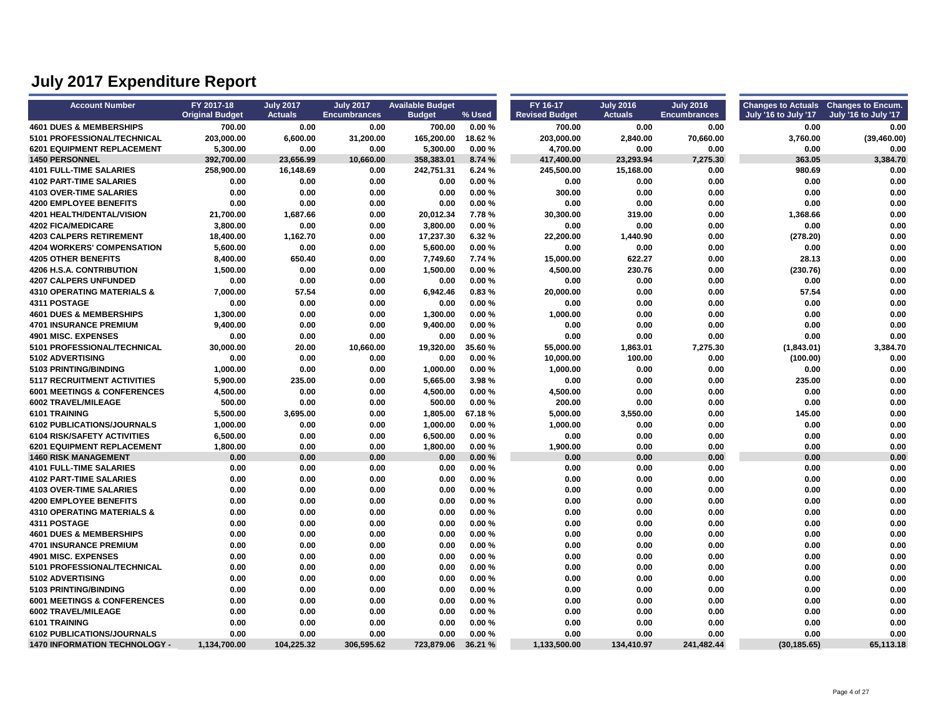| <b>Account Number</b>                  | FY 2017-18<br><b>Original Budget</b> | <b>July 2017</b><br><b>Actuals</b> | <b>July 2017</b><br><b>Encumbrances</b> | <b>Available Budget</b><br><b>Budget</b> | % Used  | FY 16-17<br><b>Revised Budget</b> | <b>July 2016</b><br><b>Actuals</b> | <b>July 2016</b><br><b>Encumbrances</b> | Changes to Actuals Changes to Encum.<br>July '16 to July '17 | July '16 to July '17 |
|----------------------------------------|--------------------------------------|------------------------------------|-----------------------------------------|------------------------------------------|---------|-----------------------------------|------------------------------------|-----------------------------------------|--------------------------------------------------------------|----------------------|
| <b>4601 DUES &amp; MEMBERSHIPS</b>     | 700.00                               | 0.00                               | 0.00                                    | 700.00                                   | 0.00%   | 700.00                            | 0.00                               | 0.00                                    | 0.00                                                         | 0.00                 |
| 5101 PROFESSIONAL/TECHNICAL            | 203,000.00                           | 6,600.00                           | 31,200.00                               | 165,200.00                               | 18.62%  | 203,000.00                        | 2,840.00                           | 70,660.00                               | 3,760.00                                                     | (39, 460.00)         |
| <b>6201 EQUIPMENT REPLACEMENT</b>      | 5,300.00                             | 0.00                               | 0.00                                    | 5,300.00                                 | 0.00%   | 4,700.00                          | 0.00                               | 0.00                                    | 0.00                                                         | 0.00                 |
| <b>1450 PERSONNEL</b>                  | 392,700.00                           | 23,656.99                          | 10,660.00                               | 358,383.01                               | 8.74 %  | 417,400.00                        | 23,293.94                          | 7,275.30                                | 363.05                                                       | 3,384.70             |
| <b>4101 FULL-TIME SALARIES</b>         | 258,900.00                           | 16,148.69                          | 0.00                                    | 242,751.31                               | 6.24 %  | 245,500.00                        | 15,168.00                          | 0.00                                    | 980.69                                                       | 0.00                 |
| <b>4102 PART-TIME SALARIES</b>         | 0.00                                 | 0.00                               | 0.00                                    | 0.00                                     | 0.00%   | 0.00                              | 0.00                               | 0.00                                    | 0.00                                                         | 0.00                 |
| <b>4103 OVER-TIME SALARIES</b>         | 0.00                                 | 0.00                               | 0.00                                    | 0.00                                     | 0.00%   | 300.00                            | 0.00                               | 0.00                                    | 0.00                                                         | 0.00                 |
| <b>4200 EMPLOYEE BENEFITS</b>          | 0.00                                 | 0.00                               | 0.00                                    | 0.00                                     | 0.00%   | 0.00                              | 0.00                               | 0.00                                    | 0.00                                                         | 0.00                 |
| 4201 HEALTH/DENTAL/VISION              | 21,700.00                            | 1,687.66                           | 0.00                                    | 20,012.34                                | 7.78%   | 30,300.00                         | 319.00                             | 0.00                                    | 1,368.66                                                     | 0.00                 |
| <b>4202 FICA/MEDICARE</b>              | 3,800.00                             | 0.00                               | 0.00                                    | 3,800.00                                 | 0.00%   | 0.00                              | 0.00                               | 0.00                                    | 0.00                                                         | 0.00                 |
| <b>4203 CALPERS RETIREMENT</b>         | 18,400.00                            | 1,162.70                           | 0.00                                    | 17,237.30                                | 6.32%   | 22,200.00                         | 1,440.90                           | 0.00                                    | (278.20)                                                     | 0.00                 |
| <b>4204 WORKERS' COMPENSATION</b>      | 5,600.00                             | 0.00                               | 0.00                                    | 5,600.00                                 | 0.00%   | 0.00                              | 0.00                               | 0.00                                    | 0.00                                                         | 0.00                 |
| <b>4205 OTHER BENEFITS</b>             | 8,400.00                             | 650.40                             | 0.00                                    | 7,749.60                                 | 7.74 %  | 15,000.00                         | 622.27                             | 0.00                                    | 28.13                                                        | 0.00                 |
| <b>4206 H.S.A. CONTRIBUTION</b>        | 1,500.00                             | 0.00                               | 0.00                                    | 1,500.00                                 | 0.00%   | 4,500.00                          | 230.76                             | 0.00                                    | (230.76)                                                     | 0.00                 |
| <b>4207 CALPERS UNFUNDED</b>           | 0.00                                 | 0.00                               | 0.00                                    | 0.00                                     | 0.00%   | 0.00                              | 0.00                               | 0.00                                    | 0.00                                                         | 0.00                 |
| <b>4310 OPERATING MATERIALS &amp;</b>  | 7,000.00                             | 57.54                              | 0.00                                    | 6,942.46                                 | 0.83%   | 20,000.00                         | 0.00                               | 0.00                                    | 57.54                                                        | 0.00                 |
| 4311 POSTAGE                           | 0.00                                 | 0.00                               | 0.00                                    | 0.00                                     | 0.00%   | 0.00                              | 0.00                               | 0.00                                    | 0.00                                                         | 0.00                 |
| <b>4601 DUES &amp; MEMBERSHIPS</b>     | 1,300.00                             | 0.00                               | 0.00                                    | 1,300.00                                 | 0.00%   | 1,000.00                          | 0.00                               | 0.00                                    | 0.00                                                         | 0.00                 |
| <b>4701 INSURANCE PREMIUM</b>          | 9,400.00                             | 0.00                               | 0.00                                    | 9,400.00                                 | 0.00%   | 0.00                              | 0.00                               | 0.00                                    | 0.00                                                         | 0.00                 |
| 4901 MISC. EXPENSES                    | 0.00                                 | 0.00                               | 0.00                                    | 0.00                                     | 0.00%   | 0.00                              | 0.00                               | 0.00                                    | 0.00                                                         | 0.00                 |
| 5101 PROFESSIONAL/TECHNICAL            | 30,000.00                            | 20.00                              | 10,660.00                               | 19,320.00                                | 35.60%  | 55,000.00                         | 1,863.01                           | 7,275.30                                | (1,843.01)                                                   | 3,384.70             |
| 5102 ADVERTISING                       | 0.00                                 | 0.00                               | 0.00                                    | 0.00                                     | 0.00%   | 10,000.00                         | 100.00                             | 0.00                                    | (100.00)                                                     | 0.00                 |
| 5103 PRINTING/BINDING                  | 1,000.00                             | 0.00                               | 0.00                                    | 1,000.00                                 | 0.00%   | 1,000.00                          | 0.00                               | 0.00                                    | 0.00                                                         | 0.00                 |
| <b>5117 RECRUITMENT ACTIVITIES</b>     | 5,900.00                             | 235.00                             | 0.00                                    | 5,665.00                                 | 3.98%   | 0.00                              | 0.00                               | 0.00                                    | 235.00                                                       | 0.00                 |
| <b>6001 MEETINGS &amp; CONFERENCES</b> | 4,500.00                             | 0.00                               | 0.00                                    | 4,500.00                                 | 0.00%   | 4,500.00                          | 0.00                               | 0.00                                    | 0.00                                                         | 0.00                 |
| 6002 TRAVEL/MILEAGE                    | 500.00                               | 0.00                               | 0.00                                    | 500.00                                   | 0.00%   | 200.00                            | 0.00                               | 0.00                                    | 0.00                                                         | 0.00                 |
| <b>6101 TRAINING</b>                   | 5,500.00                             | 3,695.00                           | 0.00                                    | 1,805.00                                 | 67.18%  | 5,000.00                          | 3,550.00                           | 0.00                                    | 145.00                                                       | 0.00                 |
| 6102 PUBLICATIONS/JOURNALS             | 1,000.00                             | 0.00                               | 0.00                                    | 1,000.00                                 | 0.00%   | 1,000.00                          | 0.00                               | 0.00                                    | 0.00                                                         | 0.00                 |
| 6104 RISK/SAFETY ACTIVITIES            | 6,500.00                             | 0.00                               | 0.00                                    | 6,500.00                                 | 0.00%   | 0.00                              | 0.00                               | 0.00                                    | 0.00                                                         | 0.00                 |
| <b>6201 EQUIPMENT REPLACEMENT</b>      | 1,800.00                             | 0.00                               | 0.00                                    | 1,800.00                                 | 0.00%   | 1,900.00                          | 0.00                               | 0.00                                    | 0.00                                                         | 0.00                 |
| <b>1460 RISK MANAGEMENT</b>            | 0.00                                 | 0.00                               | 0.00                                    | 0.00                                     | 0.00%   | 0.00                              | 0.00                               | 0.00                                    | 0.00                                                         | 0.00                 |
| <b>4101 FULL-TIME SALARIES</b>         | 0.00                                 | 0.00                               | 0.00                                    | 0.00                                     | 0.00%   | 0.00                              | 0.00                               | 0.00                                    | 0.00                                                         | 0.00                 |
| <b>4102 PART-TIME SALARIES</b>         | 0.00                                 | 0.00                               | 0.00                                    | 0.00                                     | 0.00%   | 0.00                              | 0.00                               | 0.00                                    | 0.00                                                         | 0.00                 |
| <b>4103 OVER-TIME SALARIES</b>         | 0.00                                 | 0.00                               | 0.00                                    | 0.00                                     | 0.00%   | 0.00                              | 0.00                               | 0.00                                    | 0.00                                                         | 0.00                 |
| <b>4200 EMPLOYEE BENEFITS</b>          | 0.00                                 | 0.00                               | 0.00                                    | 0.00                                     | 0.00%   | 0.00                              | 0.00                               | 0.00                                    | 0.00                                                         | 0.00                 |
| <b>4310 OPERATING MATERIALS &amp;</b>  | 0.00                                 | 0.00                               | 0.00                                    | 0.00                                     | 0.00%   | 0.00                              | 0.00                               | 0.00                                    | 0.00                                                         | 0.00                 |
| <b>4311 POSTAGE</b>                    | 0.00                                 | 0.00                               | 0.00                                    | 0.00                                     | 0.00%   | 0.00                              | 0.00                               | 0.00                                    | 0.00                                                         | 0.00                 |
| <b>4601 DUES &amp; MEMBERSHIPS</b>     | 0.00                                 | 0.00                               | 0.00                                    | 0.00                                     | 0.00%   | 0.00                              | 0.00                               | 0.00                                    | 0.00                                                         | 0.00                 |
| <b>4701 INSURANCE PREMIUM</b>          | 0.00                                 | 0.00                               | 0.00                                    | 0.00                                     | 0.00%   | 0.00                              | 0.00                               | 0.00                                    | 0.00                                                         | 0.00                 |
| 4901 MISC. EXPENSES                    | 0.00                                 | 0.00                               | 0.00                                    | 0.00                                     | 0.00%   | 0.00                              | 0.00                               | 0.00                                    | 0.00                                                         | 0.00                 |
| 5101 PROFESSIONAL/TECHNICAL            | 0.00                                 | 0.00                               | 0.00                                    | 0.00                                     | 0.00%   | 0.00                              | 0.00                               | 0.00                                    | 0.00                                                         | 0.00                 |
| 5102 ADVERTISING                       | 0.00                                 | 0.00                               | 0.00                                    | 0.00                                     | 0.00%   | 0.00                              | 0.00                               | 0.00                                    | 0.00                                                         | 0.00                 |
| 5103 PRINTING/BINDING                  | 0.00                                 | 0.00                               | 0.00                                    | 0.00                                     | 0.00%   | 0.00                              | 0.00                               | 0.00                                    | 0.00                                                         | 0.00                 |
| <b>6001 MEETINGS &amp; CONFERENCES</b> | 0.00                                 | 0.00                               | 0.00                                    | 0.00                                     | 0.00%   | 0.00                              | 0.00                               | 0.00                                    | 0.00                                                         | 0.00                 |
| 6002 TRAVEL/MILEAGE                    | 0.00                                 | 0.00                               | 0.00                                    | 0.00                                     | 0.00%   | 0.00                              | 0.00                               | 0.00                                    | 0.00                                                         | 0.00                 |
| 6101 TRAINING                          | 0.00                                 | 0.00                               | 0.00                                    | 0.00                                     | 0.00%   | 0.00                              | 0.00                               | 0.00                                    | 0.00                                                         | 0.00                 |
| 6102 PUBLICATIONS/JOURNALS             | 0.00                                 | 0.00                               | 0.00                                    | 0.00                                     | 0.00%   | 0.00                              | 0.00                               | 0.00                                    | 0.00                                                         | 0.00                 |
| <b>1470 INFORMATION TECHNOLOGY -</b>   | 1,134,700.00                         | 104,225.32                         | 306,595.62                              | 723,879.06                               | 36.21 % | 1,133,500.00                      | 134,410.97                         | 241,482.44                              | (30, 185.65)                                                 | 65,113.18            |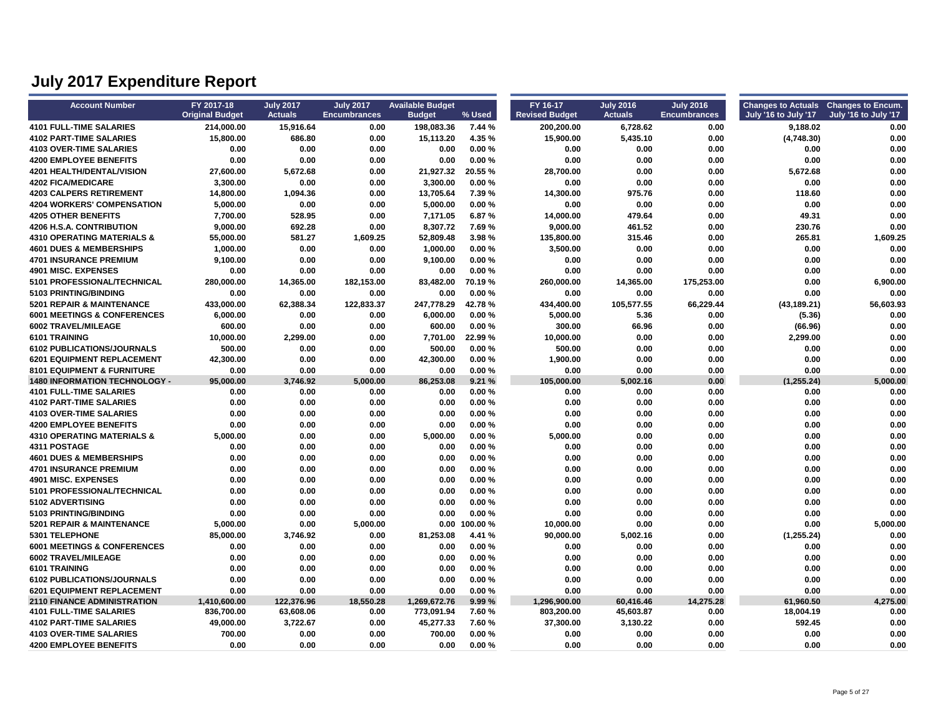| <b>Account Number</b>                  | FY 2017-18<br><b>Original Budget</b> | <b>July 2017</b><br><b>Actuals</b> | <b>July 2017</b><br><b>Encumbrances</b> | <b>Available Budget</b><br><b>Budget</b> | % Used  | FY 16-17<br><b>Revised Budget</b> | <b>July 2016</b><br><b>Actuals</b> | <b>July 2016</b><br><b>Encumbrances</b> | Changes to Actuals Changes to Encum.<br>July '16 to July '17 | July '16 to July '17 |
|----------------------------------------|--------------------------------------|------------------------------------|-----------------------------------------|------------------------------------------|---------|-----------------------------------|------------------------------------|-----------------------------------------|--------------------------------------------------------------|----------------------|
| <b>4101 FULL-TIME SALARIES</b>         | 214,000.00                           | 15,916.64                          | 0.00                                    | 198,083.36                               | 7.44 %  | 200,200.00                        | 6,728.62                           | 0.00                                    | 9,188.02                                                     | 0.00                 |
| <b>4102 PART-TIME SALARIES</b>         | 15,800.00                            | 686.80                             | 0.00                                    | 15,113.20                                | 4.35%   | 15,900.00                         | 5,435.10                           | 0.00                                    | (4,748.30)                                                   | 0.00                 |
| <b>4103 OVER-TIME SALARIES</b>         | 0.00                                 | 0.00                               | 0.00                                    | 0.00                                     | 0.00%   | 0.00                              | 0.00                               | 0.00                                    | 0.00                                                         | 0.00                 |
| <b>4200 EMPLOYEE BENEFITS</b>          | 0.00                                 | 0.00                               | 0.00                                    | 0.00                                     | 0.00%   | 0.00                              | 0.00                               | 0.00                                    | 0.00                                                         | 0.00                 |
| 4201 HEALTH/DENTAL/VISION              | 27,600.00                            | 5,672.68                           | 0.00                                    | 21,927.32                                | 20.55 % | 28,700.00                         | 0.00                               | 0.00                                    | 5,672.68                                                     | 0.00                 |
| 4202 FICA/MEDICARE                     | 3,300.00                             | 0.00                               | 0.00                                    | 3,300.00                                 | 0.00%   | 0.00                              | 0.00                               | 0.00                                    | 0.00                                                         | 0.00                 |
| <b>4203 CALPERS RETIREMENT</b>         | 14,800.00                            | 1,094.36                           | 0.00                                    | 13,705.64                                | 7.39%   | 14,300.00                         | 975.76                             | 0.00                                    | 118.60                                                       | 0.00                 |
| <b>4204 WORKERS' COMPENSATION</b>      | 5,000.00                             | 0.00                               | 0.00                                    | 5,000.00                                 | 0.00%   | 0.00                              | 0.00                               | 0.00                                    | 0.00                                                         | 0.00                 |
| <b>4205 OTHER BENEFITS</b>             | 7,700.00                             | 528.95                             | 0.00                                    | 7,171.05                                 | 6.87%   | 14,000.00                         | 479.64                             | 0.00                                    | 49.31                                                        | 0.00                 |
| <b>4206 H.S.A. CONTRIBUTION</b>        | 9,000.00                             | 692.28                             | 0.00                                    | 8,307.72                                 | 7.69%   | 9,000.00                          | 461.52                             | 0.00                                    | 230.76                                                       | 0.00                 |
| <b>4310 OPERATING MATERIALS &amp;</b>  | 55,000.00                            | 581.27                             | 1,609.25                                | 52,809.48                                | 3.98%   | 135,800.00                        | 315.46                             | 0.00                                    | 265.81                                                       | 1,609.25             |
| <b>4601 DUES &amp; MEMBERSHIPS</b>     | 1,000.00                             | 0.00                               | 0.00                                    | 1,000.00                                 | 0.00%   | 3,500.00                          | 0.00                               | 0.00                                    | 0.00                                                         | 0.00                 |
| <b>4701 INSURANCE PREMIUM</b>          | 9,100.00                             | 0.00                               | 0.00                                    | 9,100.00                                 | 0.00%   | 0.00                              | 0.00                               | 0.00                                    | 0.00                                                         | 0.00                 |
| <b>4901 MISC, EXPENSES</b>             | 0.00                                 | 0.00                               | 0.00                                    | 0.00                                     | 0.00%   | 0.00                              | 0.00                               | 0.00                                    | 0.00                                                         | 0.00                 |
| 5101 PROFESSIONAL/TECHNICAL            | 280.000.00                           | 14,365.00                          | 182,153.00                              | 83,482.00                                | 70.19%  | 260,000.00                        | 14,365.00                          | 175,253.00                              | 0.00                                                         | 6.900.00             |
| 5103 PRINTING/BINDING                  | 0.00                                 | 0.00                               | 0.00                                    | 0.00                                     | 0.00%   | 0.00                              | 0.00                               | 0.00                                    | 0.00                                                         | 0.00                 |
| 5201 REPAIR & MAINTENANCE              | 433,000.00                           | 62,388.34                          | 122,833.37                              | 247,778.29                               | 42.78%  | 434,400.00                        | 105,577.55                         | 66,229.44                               | (43, 189.21)                                                 | 56,603.93            |
| <b>6001 MEETINGS &amp; CONFERENCES</b> | 6,000.00                             | 0.00                               | 0.00                                    | 6,000.00                                 | 0.00%   | 5,000.00                          | 5.36                               | 0.00                                    | (5.36)                                                       | 0.00                 |
| 6002 TRAVEL/MILEAGE                    | 600.00                               | 0.00                               | 0.00                                    | 600.00                                   | 0.00%   | 300.00                            | 66.96                              | 0.00                                    | (66.96)                                                      | 0.00                 |
| 6101 TRAINING                          | 10,000.00                            | 2,299.00                           | 0.00                                    | 7,701.00                                 | 22.99%  | 10,000.00                         | 0.00                               | 0.00                                    | 2,299.00                                                     | 0.00                 |
| 6102 PUBLICATIONS/JOURNALS             | 500.00                               | 0.00                               | 0.00                                    | 500.00                                   | 0.00%   | 500.00                            | 0.00                               | 0.00                                    | 0.00                                                         | 0.00                 |
| 6201 EQUIPMENT REPLACEMENT             | 42,300.00                            | 0.00                               | 0.00                                    | 42,300.00                                | 0.00%   | 1,900.00                          | 0.00                               | 0.00                                    | 0.00                                                         | 0.00                 |
| 8101 EQUIPMENT & FURNITURE             | 0.00                                 | 0.00                               | 0.00                                    | 0.00                                     | 0.00%   | 0.00                              | 0.00                               | 0.00                                    | 0.00                                                         | 0.00                 |
| <b>1480 INFORMATION TECHNOLOGY -</b>   | 95,000.00                            | 3,746.92                           | 5,000.00                                | 86,253.08                                | 9.21%   | 105,000.00                        | 5,002.16                           | 0.00                                    | (1, 255.24)                                                  | 5,000.00             |
| <b>4101 FULL-TIME SALARIES</b>         | 0.00                                 | 0.00                               | 0.00                                    | 0.00                                     | 0.00%   | 0.00                              | 0.00                               | 0.00                                    | 0.00                                                         | 0.00                 |
| <b>4102 PART-TIME SALARIES</b>         | 0.00                                 | 0.00                               | 0.00                                    | 0.00                                     | 0.00%   | 0.00                              | 0.00                               | 0.00                                    | 0.00                                                         | 0.00                 |
| <b>4103 OVER-TIME SALARIES</b>         | 0.00                                 | 0.00                               | 0.00                                    | 0.00                                     | 0.00%   | 0.00                              | 0.00                               | 0.00                                    | 0.00                                                         | 0.00                 |
| <b>4200 EMPLOYEE BENEFITS</b>          | 0.00                                 | 0.00                               | 0.00                                    | 0.00                                     | 0.00%   | 0.00                              | 0.00                               | 0.00                                    | 0.00                                                         | 0.00                 |
| <b>4310 OPERATING MATERIALS &amp;</b>  | 5.000.00                             | 0.00                               | 0.00                                    | 5.000.00                                 | 0.00%   | 5,000.00                          | 0.00                               | 0.00                                    | 0.00                                                         | 0.00                 |
| <b>4311 POSTAGE</b>                    | 0.00                                 | 0.00                               | 0.00                                    | 0.00                                     | 0.00%   | 0.00                              | 0.00                               | 0.00                                    | 0.00                                                         | 0.00                 |
| <b>4601 DUES &amp; MEMBERSHIPS</b>     | 0.00                                 | 0.00                               | 0.00                                    | 0.00                                     | 0.00%   | 0.00                              | 0.00                               | 0.00                                    | 0.00                                                         | 0.00                 |
| <b>4701 INSURANCE PREMIUM</b>          | 0.00                                 | 0.00                               | 0.00                                    | 0.00                                     | 0.00%   | 0.00                              | 0.00                               | 0.00                                    | 0.00                                                         | 0.00                 |
| <b>4901 MISC, EXPENSES</b>             | 0.00                                 | 0.00                               | 0.00                                    | 0.00                                     | 0.00%   | 0.00                              | 0.00                               | 0.00                                    | 0.00                                                         | 0.00                 |
| 5101 PROFESSIONAL/TECHNICAL            | 0.00                                 | 0.00                               | 0.00                                    | 0.00                                     | 0.00%   | 0.00                              | 0.00                               | 0.00                                    | 0.00                                                         | 0.00                 |
| 5102 ADVERTISING                       | 0.00                                 | 0.00                               | 0.00                                    | 0.00                                     | 0.00%   | 0.00                              | 0.00                               | 0.00                                    | 0.00                                                         | 0.00                 |
| 5103 PRINTING/BINDING                  | 0.00                                 | 0.00                               | 0.00                                    | 0.00                                     | 0.00%   | 0.00                              | 0.00                               | 0.00                                    | 0.00                                                         | 0.00                 |
| 5201 REPAIR & MAINTENANCE              | 5,000.00                             | 0.00                               | 5,000.00                                | 0.00                                     | 100.00% | 10,000.00                         | 0.00                               | 0.00                                    | 0.00                                                         | 5,000.00             |
| 5301 TELEPHONE                         | 85,000.00                            | 3,746.92                           | 0.00                                    | 81,253.08                                | 4.41 %  | 90,000.00                         | 5,002.16                           | 0.00                                    | (1, 255.24)                                                  | 0.00                 |
| 6001 MEETINGS & CONFERENCES            | 0.00                                 | 0.00                               | 0.00                                    | 0.00                                     | 0.00%   | 0.00                              | 0.00                               | 0.00                                    | 0.00                                                         | 0.00                 |
| 6002 TRAVEL/MILEAGE                    | 0.00                                 | 0.00                               | 0.00                                    | 0.00                                     | 0.00%   | 0.00                              | 0.00                               | 0.00                                    | 0.00                                                         | 0.00                 |
| 6101 TRAINING                          | 0.00                                 | 0.00                               | 0.00                                    | 0.00                                     | 0.00%   | 0.00                              | 0.00                               | 0.00                                    | 0.00                                                         | 0.00                 |
| 6102 PUBLICATIONS/JOURNALS             | 0.00                                 | 0.00                               | 0.00                                    | 0.00                                     | 0.00%   | 0.00                              | 0.00                               | 0.00                                    | 0.00                                                         | 0.00                 |
| 6201 EQUIPMENT REPLACEMENT             | 0.00                                 | 0.00                               | 0.00                                    | 0.00                                     | 0.00%   | 0.00                              | 0.00                               | 0.00                                    | 0.00                                                         | 0.00                 |
| <b>2110 FINANCE ADMINISTRATION</b>     | 1,410,600.00                         | 122,376.96                         | 18,550.28                               | 1,269,672.76                             | 9.99%   | 1,296,900.00                      | 60,416.46                          | 14,275.28                               | 61,960.50                                                    | 4,275.00             |
| <b>4101 FULL-TIME SALARIES</b>         | 836,700.00                           | 63,608.06                          | 0.00                                    | 773,091.94                               | 7.60%   | 803,200.00                        | 45,603.87                          | 0.00                                    | 18,004.19                                                    | 0.00                 |
| <b>4102 PART-TIME SALARIES</b>         | 49,000.00                            | 3,722.67                           | 0.00                                    | 45,277.33                                | 7.60%   | 37,300.00                         | 3,130.22                           | 0.00                                    | 592.45                                                       | 0.00                 |
| <b>4103 OVER-TIME SALARIES</b>         | 700.00                               | 0.00                               | 0.00                                    | 700.00                                   | 0.00%   | 0.00                              | 0.00                               | 0.00                                    | 0.00                                                         | 0.00                 |
| <b>4200 EMPLOYEE BENEFITS</b>          | 0.00                                 | 0.00                               | 0.00                                    | 0.00                                     | 0.00%   | 0.00                              | 0.00                               | 0.00                                    | 0.00                                                         | 0.00                 |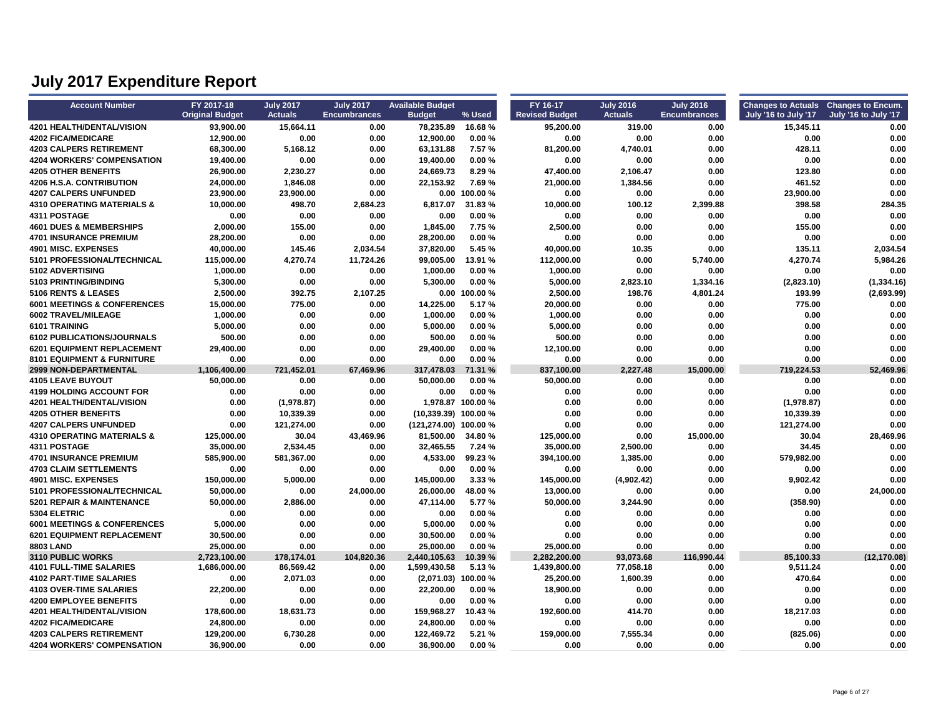| % Used<br>July '16 to July '17<br><b>Original Budget</b><br><b>Actuals</b><br><b>Encumbrances</b><br><b>Revised Budget</b><br><b>Actuals</b><br><b>Encumbrances</b><br>July '16 to July '17<br><b>Budget</b><br>4201 HEALTH/DENTAL/VISION<br>93,900.00<br>15,664.11<br>78,235.89<br>16.68%<br>95,200.00<br>319.00<br>0.00<br>15,345.11<br>0.00<br>4202 FICA/MEDICARE<br>12,900.00<br>0.00<br>0.00<br>12,900.00<br>0.00%<br>0.00<br>0.00<br>0.00<br>0.00<br><b>4203 CALPERS RETIREMENT</b><br>68,300.00<br>5,168.12<br>0.00<br>63,131.88<br>7.57%<br>81,200.00<br>4,740.01<br>0.00<br>428.11<br><b>4204 WORKERS' COMPENSATION</b><br>19,400.00<br>0.00<br>0.00<br>19,400.00<br>0.00%<br>0.00<br>0.00<br>0.00<br>0.00<br><b>4205 OTHER BENEFITS</b><br>26,900.00<br>2,230.27<br>0.00<br>24,669.73<br>8.29%<br>47,400.00<br>2,106.47<br>0.00<br>123.80<br>4206 H.S.A. CONTRIBUTION<br>24,000.00<br>1,846.08<br>0.00<br>22,153.92<br>7.69%<br>21,000.00<br>1,384.56<br>0.00<br>461.52<br>$0.00$ 100.00 %<br>0.00<br><b>4207 CALPERS UNFUNDED</b><br>23,900.00<br>23,900.00<br>0.00<br>0.00<br>0.00<br>23,900.00<br>31.83%<br><b>4310 OPERATING MATERIALS &amp;</b><br>10,000.00<br>498.70<br>2,684.23<br>6,817.07<br>10,000.00<br>100.12<br>2,399.88<br>398.58<br>0.00<br>0.00<br>0.00%<br>0.00<br>4311 POSTAGE<br>0.00<br>0.00<br>0.00<br>0.00<br>0.00 |                                    |          |        |      |          |       |          |      |      |        |              |
|-----------------------------------------------------------------------------------------------------------------------------------------------------------------------------------------------------------------------------------------------------------------------------------------------------------------------------------------------------------------------------------------------------------------------------------------------------------------------------------------------------------------------------------------------------------------------------------------------------------------------------------------------------------------------------------------------------------------------------------------------------------------------------------------------------------------------------------------------------------------------------------------------------------------------------------------------------------------------------------------------------------------------------------------------------------------------------------------------------------------------------------------------------------------------------------------------------------------------------------------------------------------------------------------------------------------------------------------------------|------------------------------------|----------|--------|------|----------|-------|----------|------|------|--------|--------------|
|                                                                                                                                                                                                                                                                                                                                                                                                                                                                                                                                                                                                                                                                                                                                                                                                                                                                                                                                                                                                                                                                                                                                                                                                                                                                                                                                                     |                                    |          |        |      |          |       |          |      |      |        | 0.00         |
|                                                                                                                                                                                                                                                                                                                                                                                                                                                                                                                                                                                                                                                                                                                                                                                                                                                                                                                                                                                                                                                                                                                                                                                                                                                                                                                                                     |                                    |          |        |      |          |       |          |      |      |        | 0.00         |
|                                                                                                                                                                                                                                                                                                                                                                                                                                                                                                                                                                                                                                                                                                                                                                                                                                                                                                                                                                                                                                                                                                                                                                                                                                                                                                                                                     |                                    |          |        |      |          |       |          |      |      |        | 0.00         |
|                                                                                                                                                                                                                                                                                                                                                                                                                                                                                                                                                                                                                                                                                                                                                                                                                                                                                                                                                                                                                                                                                                                                                                                                                                                                                                                                                     |                                    |          |        |      |          |       |          |      |      |        | 0.00         |
|                                                                                                                                                                                                                                                                                                                                                                                                                                                                                                                                                                                                                                                                                                                                                                                                                                                                                                                                                                                                                                                                                                                                                                                                                                                                                                                                                     |                                    |          |        |      |          |       |          |      |      |        | 0.00         |
|                                                                                                                                                                                                                                                                                                                                                                                                                                                                                                                                                                                                                                                                                                                                                                                                                                                                                                                                                                                                                                                                                                                                                                                                                                                                                                                                                     |                                    |          |        |      |          |       |          |      |      |        | 0.00         |
|                                                                                                                                                                                                                                                                                                                                                                                                                                                                                                                                                                                                                                                                                                                                                                                                                                                                                                                                                                                                                                                                                                                                                                                                                                                                                                                                                     |                                    |          |        |      |          |       |          |      |      |        |              |
|                                                                                                                                                                                                                                                                                                                                                                                                                                                                                                                                                                                                                                                                                                                                                                                                                                                                                                                                                                                                                                                                                                                                                                                                                                                                                                                                                     |                                    |          |        |      |          |       |          |      |      |        | 0.00         |
|                                                                                                                                                                                                                                                                                                                                                                                                                                                                                                                                                                                                                                                                                                                                                                                                                                                                                                                                                                                                                                                                                                                                                                                                                                                                                                                                                     |                                    |          |        |      |          |       |          |      |      |        | 284.35       |
|                                                                                                                                                                                                                                                                                                                                                                                                                                                                                                                                                                                                                                                                                                                                                                                                                                                                                                                                                                                                                                                                                                                                                                                                                                                                                                                                                     |                                    |          |        |      |          |       |          |      |      |        | 0.00         |
|                                                                                                                                                                                                                                                                                                                                                                                                                                                                                                                                                                                                                                                                                                                                                                                                                                                                                                                                                                                                                                                                                                                                                                                                                                                                                                                                                     | <b>4601 DUES &amp; MEMBERSHIPS</b> | 2,000.00 | 155.00 | 0.00 | 1,845.00 | 7.75% | 2,500.00 | 0.00 | 0.00 | 155.00 | 0.00         |
| <b>4701 INSURANCE PREMIUM</b><br>28,200.00<br>0.00<br>0.00<br>28,200.00<br>0.00%<br>0.00<br>0.00<br>0.00<br>0.00                                                                                                                                                                                                                                                                                                                                                                                                                                                                                                                                                                                                                                                                                                                                                                                                                                                                                                                                                                                                                                                                                                                                                                                                                                    |                                    |          |        |      |          |       |          |      |      |        | 0.00         |
| 4901 MISC. EXPENSES<br>145.46<br>2,034.54<br>37,820.00<br>5.45%<br>40,000.00<br>0.00<br>135.11<br>40,000.00<br>10.35                                                                                                                                                                                                                                                                                                                                                                                                                                                                                                                                                                                                                                                                                                                                                                                                                                                                                                                                                                                                                                                                                                                                                                                                                                |                                    |          |        |      |          |       |          |      |      |        | 2,034.54     |
| 5101 PROFESSIONAL/TECHNICAL<br>115,000.00<br>4,270.74<br>11,724.26<br>99,005.00<br>13.91 %<br>112,000.00<br>0.00<br>4,270.74<br>5,740.00                                                                                                                                                                                                                                                                                                                                                                                                                                                                                                                                                                                                                                                                                                                                                                                                                                                                                                                                                                                                                                                                                                                                                                                                            |                                    |          |        |      |          |       |          |      |      |        | 5,984.26     |
| 5102 ADVERTISING<br>1,000.00<br>0.00<br>0.00<br>1,000.00<br>0.00%<br>1,000.00<br>0.00<br>0.00<br>0.00                                                                                                                                                                                                                                                                                                                                                                                                                                                                                                                                                                                                                                                                                                                                                                                                                                                                                                                                                                                                                                                                                                                                                                                                                                               |                                    |          |        |      |          |       |          |      |      |        | 0.00         |
| 5103 PRINTING/BINDING<br>5,300.00<br>0.00<br>0.00<br>5,300.00<br>0.00%<br>5,000.00<br>2,823.10<br>1,334.16<br>(2,823.10)                                                                                                                                                                                                                                                                                                                                                                                                                                                                                                                                                                                                                                                                                                                                                                                                                                                                                                                                                                                                                                                                                                                                                                                                                            |                                    |          |        |      |          |       |          |      |      |        | (1, 334.16)  |
| 392.75<br>$0.00$ 100.00 %<br>5106 RENTS & LEASES<br>2,500.00<br>2,107.25<br>2,500.00<br>198.76<br>4,801.24<br>193.99                                                                                                                                                                                                                                                                                                                                                                                                                                                                                                                                                                                                                                                                                                                                                                                                                                                                                                                                                                                                                                                                                                                                                                                                                                |                                    |          |        |      |          |       |          |      |      |        | (2,693.99)   |
| 775.00<br>20,000.00<br>775.00<br><b>6001 MEETINGS &amp; CONFERENCES</b><br>15,000.00<br>0.00<br>14,225.00<br>5.17%<br>0.00<br>0.00                                                                                                                                                                                                                                                                                                                                                                                                                                                                                                                                                                                                                                                                                                                                                                                                                                                                                                                                                                                                                                                                                                                                                                                                                  |                                    |          |        |      |          |       |          |      |      |        | 0.00         |
| 1.000.00<br>0.00%<br>1,000.00<br>0.00<br>6002 TRAVEL/MILEAGE<br>1,000.00<br>0.00<br>0.00<br>0.00<br>0.00                                                                                                                                                                                                                                                                                                                                                                                                                                                                                                                                                                                                                                                                                                                                                                                                                                                                                                                                                                                                                                                                                                                                                                                                                                            |                                    |          |        |      |          |       |          |      |      |        | 0.00         |
| 6101 TRAINING<br>5,000.00<br>5,000.00<br>0.00%<br>5,000.00<br>0.00<br>0.00<br>0.00<br>0.00<br>0.00                                                                                                                                                                                                                                                                                                                                                                                                                                                                                                                                                                                                                                                                                                                                                                                                                                                                                                                                                                                                                                                                                                                                                                                                                                                  |                                    |          |        |      |          |       |          |      |      |        | 0.00         |
| 6102 PUBLICATIONS/JOURNALS<br>500.00<br>0.00<br>500.00<br>0.00%<br>500.00<br>0.00<br>0.00<br>0.00<br>0.00                                                                                                                                                                                                                                                                                                                                                                                                                                                                                                                                                                                                                                                                                                                                                                                                                                                                                                                                                                                                                                                                                                                                                                                                                                           |                                    |          |        |      |          |       |          |      |      |        | 0.00         |
| <b>6201 EQUIPMENT REPLACEMENT</b><br>0.00<br>0.00<br>29,400.00<br>0.00%<br>12,100.00<br>0.00<br>0.00<br>29,400.00<br>0.00                                                                                                                                                                                                                                                                                                                                                                                                                                                                                                                                                                                                                                                                                                                                                                                                                                                                                                                                                                                                                                                                                                                                                                                                                           |                                    |          |        |      |          |       |          |      |      |        | 0.00         |
| 8101 EQUIPMENT & FURNITURE<br>0.00<br>0.00<br>0.00<br>0.00<br>0.00%<br>0.00<br>0.00<br>0.00<br>0.00                                                                                                                                                                                                                                                                                                                                                                                                                                                                                                                                                                                                                                                                                                                                                                                                                                                                                                                                                                                                                                                                                                                                                                                                                                                 |                                    |          |        |      |          |       |          |      |      |        | 0.00         |
| 1,106,400.00<br>721,452.01<br>67,469.96<br>71.31 %<br>2,227.48<br>15,000.00<br>719,224.53<br>2999 NON-DEPARTMENTAL<br>317,478.03<br>837,100.00                                                                                                                                                                                                                                                                                                                                                                                                                                                                                                                                                                                                                                                                                                                                                                                                                                                                                                                                                                                                                                                                                                                                                                                                      |                                    |          |        |      |          |       |          |      |      |        | 52,469.96    |
| 0.00%<br>50,000.00<br><b>4105 LEAVE BUYOUT</b><br>50,000.00<br>0.00<br>0.00<br>50,000.00<br>0.00<br>0.00<br>0.00                                                                                                                                                                                                                                                                                                                                                                                                                                                                                                                                                                                                                                                                                                                                                                                                                                                                                                                                                                                                                                                                                                                                                                                                                                    |                                    |          |        |      |          |       |          |      |      |        | 0.00         |
| 0.00<br>0.00<br>0.00%<br>0.00<br>0.00<br><b>4199 HOLDING ACCOUNT FOR</b><br>0.00<br>0.00<br>0.00<br>0.00                                                                                                                                                                                                                                                                                                                                                                                                                                                                                                                                                                                                                                                                                                                                                                                                                                                                                                                                                                                                                                                                                                                                                                                                                                            |                                    |          |        |      |          |       |          |      |      |        | 0.00         |
| 4201 HEALTH/DENTAL/VISION<br>0.00<br>(1,978.87)<br>1,978.87 100.00 %<br>0.00<br>(1,978.87)<br>0.00<br>0.00<br>0.00                                                                                                                                                                                                                                                                                                                                                                                                                                                                                                                                                                                                                                                                                                                                                                                                                                                                                                                                                                                                                                                                                                                                                                                                                                  |                                    |          |        |      |          |       |          |      |      |        | 0.00         |
| <b>4205 OTHER BENEFITS</b><br>0.00<br>10,339.39<br>$(10,339.39)$ 100.00 %<br>0.00<br>0.00<br>0.00<br>10,339.39<br>0.00                                                                                                                                                                                                                                                                                                                                                                                                                                                                                                                                                                                                                                                                                                                                                                                                                                                                                                                                                                                                                                                                                                                                                                                                                              |                                    |          |        |      |          |       |          |      |      |        | 0.00         |
| 0.00<br><b>4207 CALPERS UNFUNDED</b><br>0.00<br>121,274.00<br>0.00<br>(121,274.00) 100.00 %<br>0.00<br>0.00<br>121,274.00                                                                                                                                                                                                                                                                                                                                                                                                                                                                                                                                                                                                                                                                                                                                                                                                                                                                                                                                                                                                                                                                                                                                                                                                                           |                                    |          |        |      |          |       |          |      |      |        | 0.00         |
| <b>4310 OPERATING MATERIALS &amp;</b><br>125.000.00<br>30.04<br>43,469.96<br>81.500.00<br>34.80%<br>125,000.00<br>0.00<br>15,000.00<br>30.04                                                                                                                                                                                                                                                                                                                                                                                                                                                                                                                                                                                                                                                                                                                                                                                                                                                                                                                                                                                                                                                                                                                                                                                                        |                                    |          |        |      |          |       |          |      |      |        | 28.469.96    |
| 4311 POSTAGE<br>35,000.00<br>35.000.00<br>2,534.45<br>0.00<br>32,465.55<br>7.24 %<br>2,500.00<br>0.00<br>34.45                                                                                                                                                                                                                                                                                                                                                                                                                                                                                                                                                                                                                                                                                                                                                                                                                                                                                                                                                                                                                                                                                                                                                                                                                                      |                                    |          |        |      |          |       |          |      |      |        | 0.00         |
| <b>4701 INSURANCE PREMIUM</b><br>99.23 %<br>585,900.00<br>581,367.00<br>0.00<br>4,533.00<br>394,100.00<br>1,385.00<br>0.00<br>579,982.00                                                                                                                                                                                                                                                                                                                                                                                                                                                                                                                                                                                                                                                                                                                                                                                                                                                                                                                                                                                                                                                                                                                                                                                                            |                                    |          |        |      |          |       |          |      |      |        | 0.00         |
| <b>4703 CLAIM SETTLEMENTS</b><br>0.00%<br>0.00<br>0.00<br>0.00<br>0.00<br>0.00<br>0.00<br>0.00<br>0.00                                                                                                                                                                                                                                                                                                                                                                                                                                                                                                                                                                                                                                                                                                                                                                                                                                                                                                                                                                                                                                                                                                                                                                                                                                              |                                    |          |        |      |          |       |          |      |      |        | 0.00         |
| 4901 MISC. EXPENSES<br>150,000.00<br>5,000.00<br>145,000.00<br>3.33 %<br>145,000.00<br>9,902.42<br>0.00<br>(4,902.42)<br>0.00                                                                                                                                                                                                                                                                                                                                                                                                                                                                                                                                                                                                                                                                                                                                                                                                                                                                                                                                                                                                                                                                                                                                                                                                                       |                                    |          |        |      |          |       |          |      |      |        | 0.00         |
| 5101 PROFESSIONAL/TECHNICAL<br>0.00<br>24,000.00<br>48.00 %<br>13,000.00<br>0.00<br>0.00<br>50,000.00<br>26,000.00<br>0.00                                                                                                                                                                                                                                                                                                                                                                                                                                                                                                                                                                                                                                                                                                                                                                                                                                                                                                                                                                                                                                                                                                                                                                                                                          |                                    |          |        |      |          |       |          |      |      |        | 24,000.00    |
| 5201 REPAIR & MAINTENANCE<br>50,000.00<br>2,886.00<br>0.00<br>5.77%<br>50,000.00<br>3,244.90<br>(358.90)<br>47,114.00<br>0.00                                                                                                                                                                                                                                                                                                                                                                                                                                                                                                                                                                                                                                                                                                                                                                                                                                                                                                                                                                                                                                                                                                                                                                                                                       |                                    |          |        |      |          |       |          |      |      |        | 0.00         |
| 0.00%<br>5304 ELETRIC<br>0.00<br>0.00<br>0.00<br>0.00<br>0.00<br>0.00<br>0.00<br>0.00                                                                                                                                                                                                                                                                                                                                                                                                                                                                                                                                                                                                                                                                                                                                                                                                                                                                                                                                                                                                                                                                                                                                                                                                                                                               |                                    |          |        |      |          |       |          |      |      |        | 0.00         |
| <b>6001 MEETINGS &amp; CONFERENCES</b><br>0.00%<br>5,000.00<br>0.00<br>0.00<br>5.000.00<br>0.00<br>0.00<br>0.00<br>0.00                                                                                                                                                                                                                                                                                                                                                                                                                                                                                                                                                                                                                                                                                                                                                                                                                                                                                                                                                                                                                                                                                                                                                                                                                             |                                    |          |        |      |          |       |          |      |      |        | 0.00         |
| <b>6201 EQUIPMENT REPLACEMENT</b><br>30,500.00<br>0.00<br>0.00<br>30,500.00<br>0.00%<br>0.00<br>0.00<br>0.00<br>0.00                                                                                                                                                                                                                                                                                                                                                                                                                                                                                                                                                                                                                                                                                                                                                                                                                                                                                                                                                                                                                                                                                                                                                                                                                                |                                    |          |        |      |          |       |          |      |      |        | 0.00         |
| <b>8803 LAND</b><br>25,000.00<br>0.00%<br>25,000.00<br>0.00<br>0.00<br>25.000.00<br>0.00<br>0.00<br>0.00                                                                                                                                                                                                                                                                                                                                                                                                                                                                                                                                                                                                                                                                                                                                                                                                                                                                                                                                                                                                                                                                                                                                                                                                                                            |                                    |          |        |      |          |       |          |      |      |        | 0.00         |
| 10.39 %<br><b>3110 PUBLIC WORKS</b><br>2,723,100.00<br>178,174.01<br>104,820.36<br>2,440,105.63<br>2.282.200.00<br>93,073.68<br>116,990.44<br>85,100.33                                                                                                                                                                                                                                                                                                                                                                                                                                                                                                                                                                                                                                                                                                                                                                                                                                                                                                                                                                                                                                                                                                                                                                                             |                                    |          |        |      |          |       |          |      |      |        | (12, 170.08) |
| <b>4101 FULL-TIME SALARIES</b><br>5.13%<br>1,686,000.00<br>86,569.42<br>0.00<br>1,599,430.58<br>1,439,800.00<br>77,058.18<br>0.00<br>9,511.24                                                                                                                                                                                                                                                                                                                                                                                                                                                                                                                                                                                                                                                                                                                                                                                                                                                                                                                                                                                                                                                                                                                                                                                                       |                                    |          |        |      |          |       |          |      |      |        | 0.00         |
| <b>4102 PART-TIME SALARIES</b><br>2,071.03<br>470.64<br>0.00<br>0.00<br>$(2,071.03)$ 100.00 %<br>25,200.00<br>1,600.39<br>0.00                                                                                                                                                                                                                                                                                                                                                                                                                                                                                                                                                                                                                                                                                                                                                                                                                                                                                                                                                                                                                                                                                                                                                                                                                      |                                    |          |        |      |          |       |          |      |      |        | 0.00         |
| 22,200.00<br>0.00<br>0.00%<br>0.00<br>0.00<br><b>4103 OVER-TIME SALARIES</b><br>0.00<br>22,200.00<br>18,900.00<br>0.00                                                                                                                                                                                                                                                                                                                                                                                                                                                                                                                                                                                                                                                                                                                                                                                                                                                                                                                                                                                                                                                                                                                                                                                                                              |                                    |          |        |      |          |       |          |      |      |        | 0.00         |
| 0.00<br>0.00<br>0.00<br>0.00%<br>0.00<br>0.00<br>0.00<br><b>4200 EMPLOYEE BENEFITS</b><br>0.00<br>0.00                                                                                                                                                                                                                                                                                                                                                                                                                                                                                                                                                                                                                                                                                                                                                                                                                                                                                                                                                                                                                                                                                                                                                                                                                                              |                                    |          |        |      |          |       |          |      |      |        | 0.00         |
| 4201 HEALTH/DENTAL/VISION<br>18,631.73<br>0.00<br>159,968.27<br>10.43%<br>414.70<br>18,217.03<br>178,600.00<br>192,600.00<br>0.00                                                                                                                                                                                                                                                                                                                                                                                                                                                                                                                                                                                                                                                                                                                                                                                                                                                                                                                                                                                                                                                                                                                                                                                                                   |                                    |          |        |      |          |       |          |      |      |        | 0.00         |
| <b>4202 FICA/MEDICARE</b><br>24,800.00<br>0.00<br>0.00<br>24,800.00<br>0.00%<br>0.00<br>0.00<br>0.00<br>0.00                                                                                                                                                                                                                                                                                                                                                                                                                                                                                                                                                                                                                                                                                                                                                                                                                                                                                                                                                                                                                                                                                                                                                                                                                                        |                                    |          |        |      |          |       |          |      |      |        | 0.00         |
| <b>4203 CALPERS RETIREMENT</b><br>6,730.28<br>0.00<br>122,469.72<br>5.21%<br>159,000.00<br>7,555.34<br>(825.06)<br>129,200.00<br>0.00                                                                                                                                                                                                                                                                                                                                                                                                                                                                                                                                                                                                                                                                                                                                                                                                                                                                                                                                                                                                                                                                                                                                                                                                               |                                    |          |        |      |          |       |          |      |      |        | 0.00         |
| <b>4204 WORKERS' COMPENSATION</b><br>36,900.00<br>0.00<br>0.00<br>36,900.00<br>0.00%<br>0.00<br>0.00<br>0.00<br>0.00                                                                                                                                                                                                                                                                                                                                                                                                                                                                                                                                                                                                                                                                                                                                                                                                                                                                                                                                                                                                                                                                                                                                                                                                                                |                                    |          |        |      |          |       |          |      |      |        | 0.00         |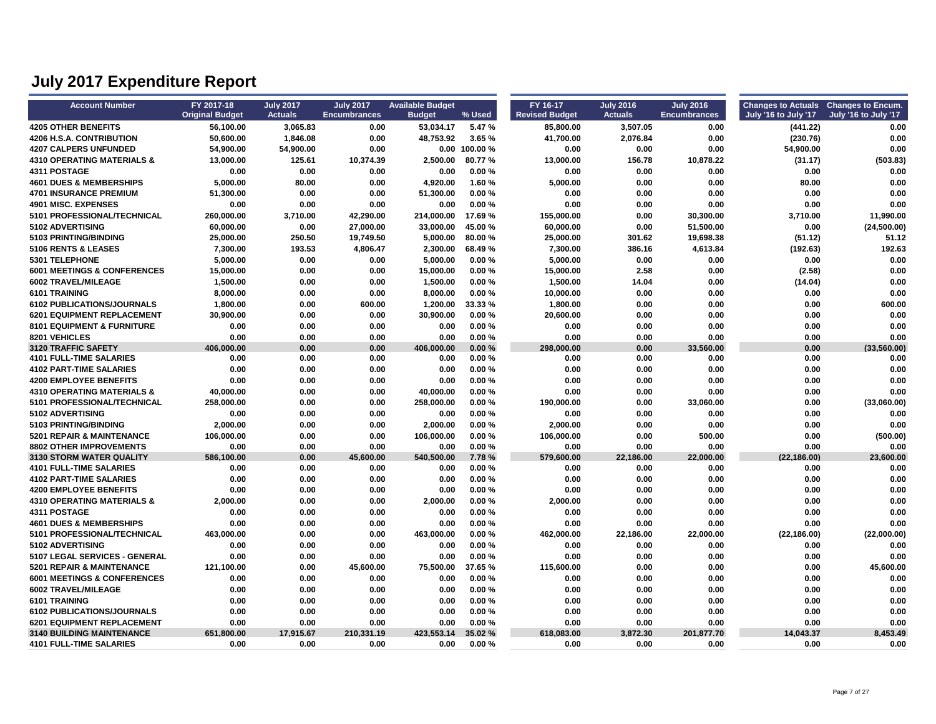| <b>Account Number</b>                  | FY 2017-18             | <b>July 2017</b><br><b>Actuals</b> | <b>July 2017</b><br><b>Encumbrances</b> | <b>Available Budget</b> |               | FY 16-17              | <b>July 2016</b><br><b>Actuals</b> | <b>July 2016</b>    | Changes to Actuals Changes to Encum. |                      |
|----------------------------------------|------------------------|------------------------------------|-----------------------------------------|-------------------------|---------------|-----------------------|------------------------------------|---------------------|--------------------------------------|----------------------|
|                                        | <b>Original Budget</b> |                                    |                                         | <b>Budget</b>           | % Used        | <b>Revised Budget</b> |                                    | <b>Encumbrances</b> | July '16 to July '17                 | July '16 to July '17 |
| <b>4205 OTHER BENEFITS</b>             | 56,100.00              | 3,065.83                           | 0.00                                    | 53,034.17               | 5.47%         | 85,800.00             | 3,507.05                           | 0.00                | (441.22)                             | 0.00                 |
| 4206 H.S.A. CONTRIBUTION               | 50,600.00              | 1,846.08                           | 0.00                                    | 48,753.92               | 3.65%         | 41,700.00             | 2,076.84                           | 0.00                | (230.76)                             | 0.00                 |
| <b>4207 CALPERS UNFUNDED</b>           | 54,900.00              | 54,900.00                          | 0.00                                    |                         | 0.00 100.00 % | 0.00                  | 0.00                               | 0.00                | 54,900.00                            | 0.00                 |
| <b>4310 OPERATING MATERIALS &amp;</b>  | 13,000.00              | 125.61                             | 10,374.39                               | 2,500.00                | 80.77%        | 13,000.00             | 156.78                             | 10,878.22           | (31.17)                              | (503.83)             |
| 4311 POSTAGE                           | 0.00                   | 0.00                               | 0.00                                    | 0.00                    | 0.00%         | 0.00                  | 0.00                               | 0.00                | 0.00                                 | 0.00                 |
| <b>4601 DUES &amp; MEMBERSHIPS</b>     | 5,000.00               | 80.00                              | 0.00                                    | 4,920.00                | 1.60%         | 5,000.00              | 0.00                               | 0.00                | 80.00                                | 0.00                 |
| <b>4701 INSURANCE PREMIUM</b>          | 51,300.00              | 0.00                               | 0.00                                    | 51,300.00               | 0.00%         | 0.00                  | 0.00                               | 0.00                | 0.00                                 | 0.00                 |
| 4901 MISC. EXPENSES                    | 0.00                   | 0.00                               | 0.00                                    | 0.00                    | 0.00%         | 0.00                  | 0.00                               | 0.00                | 0.00                                 | 0.00                 |
| 5101 PROFESSIONAL/TECHNICAL            | 260,000.00             | 3,710.00                           | 42,290.00                               | 214,000.00              | 17.69%        | 155,000.00            | 0.00                               | 30,300.00           | 3,710.00                             | 11,990.00            |
| 5102 ADVERTISING                       | 60,000.00              | 0.00                               | 27,000.00                               | 33,000.00               | 45.00 %       | 60,000.00             | 0.00                               | 51,500.00           | 0.00                                 | (24,500.00)          |
| 5103 PRINTING/BINDING                  | 25,000.00              | 250.50                             | 19,749.50                               | 5,000.00                | 80.00%        | 25,000.00             | 301.62                             | 19,698.38           | (51.12)                              | 51.12                |
| 5106 RENTS & LEASES                    | 7,300.00               | 193.53                             | 4,806.47                                | 2,300.00                | 68.49%        | 7,300.00              | 386.16                             | 4,613.84            | (192.63)                             | 192.63               |
| 5301 TELEPHONE                         | 5,000.00               | 0.00                               | 0.00                                    | 5,000.00                | 0.00%         | 5,000.00              | 0.00                               | 0.00                | 0.00                                 | 0.00                 |
| <b>6001 MEETINGS &amp; CONFERENCES</b> | 15,000.00              | 0.00                               | 0.00                                    | 15,000.00               | 0.00%         | 15,000.00             | 2.58                               | 0.00                | (2.58)                               | 0.00                 |
| 6002 TRAVEL/MILEAGE                    | 1,500.00               | 0.00                               | 0.00                                    | 1,500.00                | 0.00%         | 1,500.00              | 14.04                              | 0.00                | (14.04)                              | 0.00                 |
| 6101 TRAINING                          | 8,000.00               | 0.00                               | 0.00                                    | 8,000.00                | 0.00%         | 10,000.00             | 0.00                               | 0.00                | 0.00                                 | 0.00                 |
| 6102 PUBLICATIONS/JOURNALS             | 1,800.00               | 0.00                               | 600.00                                  | 1,200.00                | 33.33 %       | 1,800.00              | 0.00                               | 0.00                | 0.00                                 | 600.00               |
| 6201 EQUIPMENT REPLACEMENT             | 30,900.00              | 0.00                               | 0.00                                    | 30,900.00               | 0.00%         | 20,600.00             | 0.00                               | 0.00                | 0.00                                 | 0.00                 |
| 8101 EQUIPMENT & FURNITURE             | 0.00                   | 0.00                               | 0.00                                    | 0.00                    | 0.00%         | 0.00                  | 0.00                               | 0.00                | 0.00                                 | 0.00                 |
| 8201 VEHICLES                          | 0.00                   | 0.00                               | 0.00                                    | 0.00                    | 0.00%         | 0.00                  | 0.00                               | 0.00                | 0.00                                 | 0.00                 |
| 3120 TRAFFIC SAFETY                    | 406,000.00             | 0.00                               | 0.00                                    | 406,000.00              | 0.00%         | 298,000.00            | 0.00                               | 33,560.00           | 0.00                                 | (33,560.00)          |
| <b>4101 FULL-TIME SALARIES</b>         | 0.00                   | 0.00                               | 0.00                                    | 0.00                    | 0.00%         | 0.00                  | 0.00                               | 0.00                | 0.00                                 | 0.00                 |
| <b>4102 PART-TIME SALARIES</b>         | 0.00                   | 0.00                               | 0.00                                    | 0.00                    | 0.00%         | 0.00                  | 0.00                               | 0.00                | 0.00                                 | 0.00                 |
| <b>4200 EMPLOYEE BENEFITS</b>          | 0.00                   | 0.00                               | 0.00                                    | 0.00                    | 0.00%         | 0.00                  | 0.00                               | 0.00                | 0.00                                 | 0.00                 |
| 4310 OPERATING MATERIALS &             | 40,000.00              | 0.00                               | 0.00                                    | 40,000.00               | 0.00%         | 0.00                  | 0.00                               | 0.00                | 0.00                                 | 0.00                 |
| 5101 PROFESSIONAL/TECHNICAL            | 258,000.00             | 0.00                               | 0.00                                    | 258,000.00              | 0.00%         | 190,000.00            | 0.00                               | 33,060.00           | 0.00                                 | (33,060.00)          |
| 5102 ADVERTISING                       | 0.00                   | 0.00                               | 0.00                                    | 0.00                    | 0.00%         | 0.00                  | 0.00                               | 0.00                | 0.00                                 | 0.00                 |
| 5103 PRINTING/BINDING                  | 2,000.00               | 0.00                               | 0.00                                    | 2,000.00                | 0.00%         | 2,000.00              | 0.00                               | 0.00                | 0.00                                 | 0.00                 |
| 5201 REPAIR & MAINTENANCE              | 106,000.00             | 0.00                               | 0.00                                    | 106,000.00              | 0.00%         | 106,000.00            | 0.00                               | 500.00              | 0.00                                 | (500.00)             |
| 8802 OTHER IMPROVEMENTS                | 0.00                   | 0.00                               | 0.00                                    | 0.00                    | 0.00%         | 0.00                  | 0.00                               | 0.00                | 0.00                                 | 0.00                 |
| 3130 STORM WATER QUALITY               | 586,100.00             | 0.00                               | 45,600.00                               | 540.500.00              | 7.78%         | 579,600.00            | 22,186.00                          | 22,000,00           | (22, 186.00)                         | 23.600.00            |
| <b>4101 FULL-TIME SALARIES</b>         | 0.00                   | 0.00                               | 0.00                                    | 0.00                    | 0.00%         | 0.00                  | 0.00                               | 0.00                | 0.00                                 | 0.00                 |
| <b>4102 PART-TIME SALARIES</b>         | 0.00                   | 0.00                               | 0.00                                    | 0.00                    | 0.00%         | 0.00                  | 0.00                               | 0.00                | 0.00                                 | 0.00                 |
| <b>4200 EMPLOYEE BENEFITS</b>          | 0.00                   | 0.00                               | 0.00                                    | 0.00                    | 0.00%         | 0.00                  | 0.00                               | 0.00                | 0.00                                 | 0.00                 |
| <b>4310 OPERATING MATERIALS &amp;</b>  | 2,000.00               | 0.00                               | 0.00                                    | 2,000.00                | 0.00%         | 2,000.00              | 0.00                               | 0.00                | 0.00                                 | 0.00                 |
| <b>4311 POSTAGE</b>                    | 0.00                   | 0.00                               | 0.00                                    | 0.00                    | 0.00%         | 0.00                  | 0.00                               | 0.00                | 0.00                                 | 0.00                 |
| <b>4601 DUES &amp; MEMBERSHIPS</b>     | 0.00                   | 0.00                               | 0.00                                    | 0.00                    | 0.00%         | 0.00                  | 0.00                               | 0.00                | 0.00                                 | 0.00                 |
| 5101 PROFESSIONAL/TECHNICAL            | 463,000.00             | 0.00                               | 0.00                                    | 463,000.00              | 0.00%         | 462,000.00            | 22,186.00                          | 22,000.00           | (22, 186.00)                         | (22,000.00)          |
| 5102 ADVERTISING                       | 0.00                   | 0.00                               | 0.00                                    | 0.00                    | 0.00%         | 0.00                  | 0.00                               | 0.00                | 0.00                                 | 0.00                 |
| 5107 LEGAL SERVICES - GENERAL          | 0.00                   | 0.00                               | 0.00                                    | 0.00                    | 0.00%         | 0.00                  | 0.00                               | 0.00                | 0.00                                 | 0.00                 |
| <b>5201 REPAIR &amp; MAINTENANCE</b>   | 121,100.00             | 0.00                               | 45,600.00                               | 75.500.00               | 37.65%        | 115,600.00            | 0.00                               | 0.00                | 0.00                                 | 45,600.00            |
| <b>6001 MEETINGS &amp; CONFERENCES</b> | 0.00                   | 0.00                               | 0.00                                    | 0.00                    | 0.00%         | 0.00                  | 0.00                               | 0.00                | 0.00                                 | 0.00                 |
| 6002 TRAVEL/MILEAGE                    | 0.00                   | 0.00                               | 0.00                                    | 0.00                    | 0.00%         | 0.00                  | 0.00                               | 0.00                | 0.00                                 | 0.00                 |
| 6101 TRAINING                          | 0.00                   | 0.00                               | 0.00                                    | 0.00                    | 0.00%         | 0.00                  | 0.00                               | 0.00                | 0.00                                 | 0.00                 |
| 6102 PUBLICATIONS/JOURNALS             | 0.00                   | 0.00                               | 0.00                                    | 0.00                    | 0.00%         | 0.00                  | 0.00                               | 0.00                | 0.00                                 | 0.00                 |
| <b>6201 EQUIPMENT REPLACEMENT</b>      | 0.00                   | 0.00                               | 0.00                                    | 0.00                    | 0.00%         | 0.00                  | 0.00                               | 0.00                | 0.00                                 | 0.00                 |
| <b>3140 BUILDING MAINTENANCE</b>       | 651,800.00             | 17,915.67                          | 210,331.19                              | 423,553.14              | 35.02 %       | 618,083.00            | 3,872.30                           | 201,877.70          | 14,043.37                            | 8,453.49             |
| <b>4101 FULL-TIME SALARIES</b>         | 0.00                   | 0.00                               | 0.00                                    | 0.00                    | 0.00%         | 0.00                  | 0.00                               | 0.00                | 0.00                                 | 0.00                 |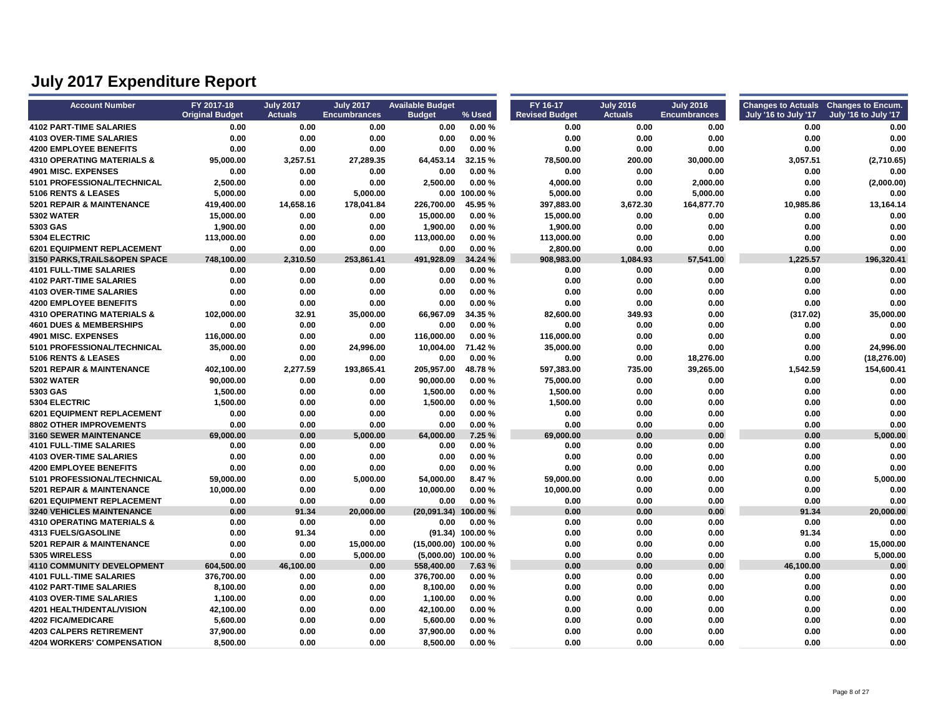| <b>Account Number</b>                 | FY 2017-18             | <b>July 2017</b> | <b>July 2017</b>    | <b>Available Budget</b> |                    | FY 16-17              | <b>July 2016</b> | <b>July 2016</b>    | Changes to Actuals Changes to Encum. |                      |
|---------------------------------------|------------------------|------------------|---------------------|-------------------------|--------------------|-----------------------|------------------|---------------------|--------------------------------------|----------------------|
|                                       | <b>Original Budget</b> | <b>Actuals</b>   | <b>Encumbrances</b> | <b>Budget</b>           | % Used             | <b>Revised Budget</b> | <b>Actuals</b>   | <b>Encumbrances</b> | July '16 to July '17                 | July '16 to July '17 |
| <b>4102 PART-TIME SALARIES</b>        | 0.00                   | 0.00             | 0.00                | 0.00                    | 0.00%              | 0.00                  | 0.00             | 0.00                | 0.00                                 | 0.00                 |
| <b>4103 OVER-TIME SALARIES</b>        | 0.00                   | 0.00             | 0.00                | 0.00                    | 0.00%              | 0.00                  | 0.00             | 0.00                | 0.00                                 | 0.00                 |
| <b>4200 EMPLOYEE BENEFITS</b>         | 0.00                   | 0.00             | 0.00                | 0.00                    | 0.00%              | 0.00                  | 0.00             | 0.00                | 0.00                                 | 0.00                 |
| <b>4310 OPERATING MATERIALS &amp;</b> | 95,000.00              | 3,257.51         | 27,289.35           | 64,453.14               | 32.15 %            | 78,500.00             | 200.00           | 30,000.00           | 3,057.51                             | (2,710.65)           |
| <b>4901 MISC, EXPENSES</b>            | 0.00                   | 0.00             | 0.00                | 0.00                    | 0.00%              | 0.00                  | 0.00             | 0.00                | 0.00                                 | 0.00                 |
| 5101 PROFESSIONAL/TECHNICAL           | 2,500.00               | 0.00             | 0.00                | 2,500.00                | 0.00%              | 4,000.00              | 0.00             | 2,000.00            | 0.00                                 | (2,000.00)           |
| 5106 RENTS & LEASES                   | 5,000.00               | 0.00             | 5,000.00            |                         | $0.00$ 100.00 %    | 5,000.00              | 0.00             | 5,000.00            | 0.00                                 | 0.00                 |
| 5201 REPAIR & MAINTENANCE             | 419,400.00             | 14,658.16        | 178,041.84          | 226,700.00              | 45.95 %            | 397,883.00            | 3,672.30         | 164,877.70          | 10,985.86                            | 13,164.14            |
| <b>5302 WATER</b>                     | 15,000.00              | 0.00             | 0.00                | 15,000.00               | 0.00%              | 15,000.00             | 0.00             | 0.00                | 0.00                                 | 0.00                 |
| 5303 GAS                              | 1,900.00               | 0.00             | 0.00                | 1,900.00                | 0.00%              | 1,900.00              | 0.00             | 0.00                | 0.00                                 | 0.00                 |
| 5304 ELECTRIC                         | 113,000.00             | 0.00             | 0.00                | 113,000.00              | 0.00%              | 113,000.00            | 0.00             | 0.00                | 0.00                                 | 0.00                 |
| <b>6201 EQUIPMENT REPLACEMENT</b>     | 0.00                   | 0.00             | 0.00                | 0.00                    | 0.00%              | 2,800.00              | 0.00             | 0.00                | 0.00                                 | 0.00                 |
| 3150 PARKS, TRAILS& OPEN SPACE        | 748,100.00             | 2,310.50         | 253,861.41          | 491,928.09              | 34.24 %            | 908,983.00            | 1,084.93         | 57,541.00           | 1,225.57                             | 196,320.41           |
| <b>4101 FULL-TIME SALARIES</b>        | 0.00                   | 0.00             | 0.00                | 0.00                    | 0.00%              | 0.00                  | 0.00             | 0.00                | 0.00                                 | 0.00                 |
| <b>4102 PART-TIME SALARIES</b>        | 0.00                   | 0.00             | 0.00                | 0.00                    | 0.00%              | 0.00                  | 0.00             | 0.00                | 0.00                                 | 0.00                 |
| <b>4103 OVER-TIME SALARIES</b>        | 0.00                   | 0.00             | 0.00                | 0.00                    | 0.00%              | 0.00                  | 0.00             | 0.00                | 0.00                                 | 0.00                 |
| <b>4200 EMPLOYEE BENEFITS</b>         | 0.00                   | 0.00             | 0.00                | 0.00                    | 0.00%              | 0.00                  | 0.00             | 0.00                | 0.00                                 | 0.00                 |
| <b>4310 OPERATING MATERIALS &amp;</b> | 102,000.00             | 32.91            | 35,000.00           | 66,967.09               | 34.35 %            | 82,600.00             | 349.93           | 0.00                | (317.02)                             | 35,000.00            |
| <b>4601 DUES &amp; MEMBERSHIPS</b>    | 0.00                   | 0.00             | 0.00                | 0.00                    | 0.00%              | 0.00                  | 0.00             | 0.00                | 0.00                                 | 0.00                 |
| 4901 MISC. EXPENSES                   | 116,000.00             | 0.00             | 0.00                | 116,000.00              | 0.00%              | 116,000.00            | 0.00             | 0.00                | 0.00                                 | 0.00                 |
| 5101 PROFESSIONAL/TECHNICAL           | 35,000.00              | 0.00             | 24,996.00           | 10,004.00               | 71.42 %            | 35,000.00             | 0.00             | 0.00                | 0.00                                 | 24,996.00            |
| 5106 RENTS & LEASES                   | 0.00                   | 0.00             | 0.00                | 0.00                    | 0.00%              | 0.00                  | 0.00             | 18,276.00           | 0.00                                 | (18, 276.00)         |
| 5201 REPAIR & MAINTENANCE             | 402,100.00             | 2,277.59         | 193,865.41          | 205,957.00              | 48.78%             | 597,383.00            | 735.00           | 39,265.00           | 1,542.59                             | 154,600.41           |
| <b>5302 WATER</b>                     | 90,000.00              | 0.00             | 0.00                | 90,000.00               | 0.00%              | 75,000.00             | 0.00             | 0.00                | 0.00                                 | 0.00                 |
| 5303 GAS                              | 1,500.00               | 0.00             | 0.00                | 1,500.00                | 0.00%              | 1,500.00              | 0.00             | 0.00                | 0.00                                 | 0.00                 |
| 5304 ELECTRIC                         | 1,500.00               | 0.00             | 0.00                | 1,500.00                | 0.00%              | 1,500.00              | 0.00             | 0.00                | 0.00                                 | 0.00                 |
| 6201 EQUIPMENT REPLACEMENT            | 0.00                   | 0.00             | 0.00                | 0.00                    | 0.00%              | 0.00                  | 0.00             | 0.00                | 0.00                                 | 0.00                 |
| 8802 OTHER IMPROVEMENTS               | 0.00                   | 0.00             | 0.00                | 0.00                    | 0.00%              | 0.00                  | 0.00             | 0.00                | 0.00                                 | 0.00                 |
| 3160 SEWER MAINTENANCE                | 69,000.00              | 0.00             | 5,000.00            | 64,000.00               | 7.25 %             | 69,000.00             | 0.00             | 0.00                | 0.00                                 | 5,000.00             |
| <b>4101 FULL-TIME SALARIES</b>        | 0.00                   | 0.00             | 0.00                | 0.00                    | 0.00%              | 0.00                  | 0.00             | 0.00                | 0.00                                 | 0.00                 |
| <b>4103 OVER-TIME SALARIES</b>        | 0.00                   | 0.00             | 0.00                | 0.00                    | 0.00%              | 0.00                  | 0.00             | 0.00                | 0.00                                 | 0.00                 |
| <b>4200 EMPLOYEE BENEFITS</b>         | 0.00                   | 0.00             | 0.00                | 0.00                    | 0.00%              | 0.00                  | 0.00             | 0.00                | 0.00                                 | 0.00                 |
| 5101 PROFESSIONAL/TECHNICAL           | 59,000.00              | 0.00             | 5,000.00            | 54,000.00               | 8.47%              | 59,000.00             | 0.00             | 0.00                | 0.00                                 | 5,000.00             |
| 5201 REPAIR & MAINTENANCE             | 10,000.00              | 0.00             | 0.00                | 10,000.00               | 0.00%              | 10,000.00             | 0.00             | 0.00                | 0.00                                 | 0.00                 |
| 6201 EQUIPMENT REPLACEMENT            | 0.00                   | 0.00             | 0.00                | 0.00                    | 0.00%              | 0.00                  | 0.00             | 0.00                | 0.00                                 | 0.00                 |
| <b>3240 VEHICLES MAINTENANCE</b>      | 0.00                   | 91.34            | 20.000.00           | (20.091.34) 100.00 %    |                    | 0.00                  | 0.00             | 0.00                | 91.34                                | 20.000.00            |
| <b>4310 OPERATING MATERIALS &amp;</b> | 0.00                   | 0.00             | 0.00                | 0.00                    | 0.00%              | 0.00                  | 0.00             | 0.00                | 0.00                                 | 0.00                 |
| <b>4313 FUELS/GASOLINE</b>            | 0.00                   | 91.34            | 0.00                |                         | $(91.34)$ 100.00 % | 0.00                  | 0.00             | 0.00                | 91.34                                | 0.00                 |
| 5201 REPAIR & MAINTENANCE             | 0.00                   | 0.00             | 15,000.00           | $(15,000.00)$ 100.00 %  |                    | 0.00                  | 0.00             | 0.00                | 0.00                                 | 15,000.00            |
| 5305 WIRELESS                         | 0.00                   | 0.00             | 5,000.00            | $(5,000.00)$ 100.00 %   |                    | 0.00                  | 0.00             | 0.00                | 0.00                                 | 5,000.00             |
| <b>4110 COMMUNITY DEVELOPMENT</b>     | 604,500.00             | 46,100.00        | 0.00                | 558,400.00              | 7.63%              | 0.00                  | 0.00             | 0.00                | 46,100.00                            | 0.00                 |
| <b>4101 FULL-TIME SALARIES</b>        | 376,700.00             | 0.00             | 0.00                | 376,700.00              | 0.00%              | 0.00                  | 0.00             | 0.00                | 0.00                                 | 0.00                 |
| <b>4102 PART-TIME SALARIES</b>        | 8,100.00               | 0.00             | 0.00                | 8,100.00                | 0.00%              | 0.00                  | 0.00             | 0.00                | 0.00                                 | 0.00                 |
| <b>4103 OVER-TIME SALARIES</b>        | 1,100.00               | 0.00             | 0.00                | 1,100.00                | 0.00%              | 0.00                  | 0.00             | 0.00                | 0.00                                 | 0.00                 |
| <b>4201 HEALTH/DENTAL/VISION</b>      | 42,100.00              | 0.00             | 0.00                | 42,100.00               | 0.00%              | 0.00                  | 0.00             | 0.00                | 0.00                                 | 0.00                 |
| <b>4202 FICA/MEDICARE</b>             | 5,600.00               | 0.00             | 0.00                | 5,600.00                | 0.00%              | 0.00                  | 0.00             | 0.00                | 0.00                                 | 0.00                 |
| <b>4203 CALPERS RETIREMENT</b>        | 37,900.00              | 0.00             | 0.00                | 37,900.00               | 0.00%              | 0.00                  | 0.00             | 0.00                | 0.00                                 | 0.00                 |
| <b>4204 WORKERS' COMPENSATION</b>     | 8,500.00               | 0.00             | 0.00                | 8,500.00                | 0.00%              | 0.00                  | 0.00             | 0.00                | 0.00                                 | 0.00                 |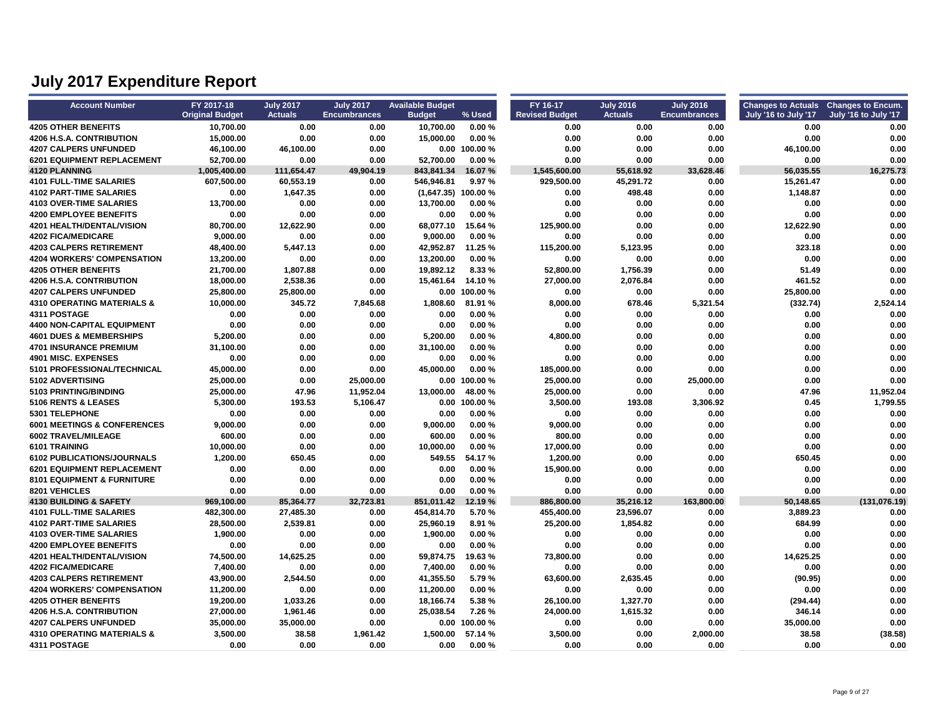| <b>Account Number</b>                  | FY 2017-18<br><b>Original Budget</b> | <b>July 2017</b><br><b>Actuals</b> | <b>July 2017</b><br><b>Encumbrances</b> | <b>Available Budget</b><br><b>Budget</b> | % Used        | FY 16-17<br><b>Revised Budget</b> | <b>July 2016</b><br><b>Actuals</b> | <b>July 2016</b><br><b>Encumbrances</b> | Changes to Actuals Changes to Encum.<br>July '16 to July '17 | July '16 to July '17 |
|----------------------------------------|--------------------------------------|------------------------------------|-----------------------------------------|------------------------------------------|---------------|-----------------------------------|------------------------------------|-----------------------------------------|--------------------------------------------------------------|----------------------|
| <b>4205 OTHER BENEFITS</b>             | 10,700.00                            | 0.00                               | 0.00                                    | 10,700.00                                | 0.00%         | 0.00                              | 0.00                               | 0.00                                    | 0.00                                                         | 0.00                 |
| 4206 H.S.A. CONTRIBUTION               | 15,000.00                            | 0.00                               | 0.00                                    | 15,000.00                                | 0.00%         | 0.00                              | 0.00                               | 0.00                                    | 0.00                                                         | 0.00                 |
| <b>4207 CALPERS UNFUNDED</b>           | 46,100.00                            | 46,100.00                          | 0.00                                    |                                          | 0.00 100.00 % | 0.00                              | 0.00                               | 0.00                                    | 46,100.00                                                    | 0.00                 |
| 6201 EQUIPMENT REPLACEMENT             | 52,700.00                            | 0.00                               | 0.00                                    | 52,700.00                                | 0.00%         | 0.00                              | 0.00                               | 0.00                                    | 0.00                                                         | 0.00                 |
| <b>4120 PLANNING</b>                   | 1,005,400.00                         | 111,654.47                         | 49,904.19                               | 843.841.34                               | 16.07%        | 1,545,600.00                      | 55,618.92                          | 33,628.46                               | 56,035.55                                                    | 16,275.73            |
| <b>4101 FULL-TIME SALARIES</b>         | 607,500.00                           | 60,553.19                          | 0.00                                    | 546,946.81                               | 9.97%         | 929,500.00                        | 45,291.72                          | 0.00                                    | 15,261.47                                                    | 0.00                 |
| <b>4102 PART-TIME SALARIES</b>         | 0.00                                 | 1,647.35                           | 0.00                                    | $(1,647.35)$ 100.00 %                    |               | 0.00                              | 498.48                             | 0.00                                    | 1,148.87                                                     | 0.00                 |
| <b>4103 OVER-TIME SALARIES</b>         | 13,700.00                            | 0.00                               | 0.00                                    | 13,700.00                                | 0.00%         | 0.00                              | 0.00                               | 0.00                                    | 0.00                                                         | 0.00                 |
| <b>4200 EMPLOYEE BENEFITS</b>          | 0.00                                 | 0.00                               | 0.00                                    | 0.00                                     | 0.00%         | 0.00                              | 0.00                               | 0.00                                    | 0.00                                                         | 0.00                 |
| 4201 HEALTH/DENTAL/VISION              | 80,700.00                            | 12,622.90                          | 0.00                                    | 68,077.10                                | 15.64 %       | 125,900.00                        | 0.00                               | 0.00                                    | 12,622.90                                                    | 0.00                 |
| 4202 FICA/MEDICARE                     | 9,000.00                             | 0.00                               | 0.00                                    | 9,000.00                                 | 0.00%         | 0.00                              | 0.00                               | 0.00                                    | 0.00                                                         | 0.00                 |
| <b>4203 CALPERS RETIREMENT</b>         | 48,400.00                            | 5,447.13                           | 0.00                                    | 42,952.87                                | 11.25 %       | 115,200.00                        | 5,123.95                           | 0.00                                    | 323.18                                                       | 0.00                 |
| <b>4204 WORKERS' COMPENSATION</b>      | 13,200.00                            | 0.00                               | 0.00                                    | 13,200.00                                | 0.00%         | 0.00                              | 0.00                               | 0.00                                    | 0.00                                                         | 0.00                 |
| <b>4205 OTHER BENEFITS</b>             | 21,700.00                            | 1,807.88                           | 0.00                                    | 19,892.12                                | 8.33%         | 52,800.00                         | 1,756.39                           | 0.00                                    | 51.49                                                        | 0.00                 |
| 4206 H.S.A. CONTRIBUTION               | 18,000.00                            | 2,538.36                           | 0.00                                    | 15,461.64                                | 14.10%        | 27,000.00                         | 2,076.84                           | 0.00                                    | 461.52                                                       | 0.00                 |
| <b>4207 CALPERS UNFUNDED</b>           | 25,800.00                            | 25,800.00                          | 0.00                                    |                                          | 0.00 100.00 % | 0.00                              | 0.00                               | 0.00                                    | 25,800.00                                                    | 0.00                 |
| <b>4310 OPERATING MATERIALS &amp;</b>  | 10,000.00                            | 345.72                             | 7,845.68                                | 1,808.60                                 | 81.91 %       | 8,000.00                          | 678.46                             | 5,321.54                                | (332.74)                                                     | 2,524.14             |
| <b>4311 POSTAGE</b>                    | 0.00                                 | 0.00                               | 0.00                                    | 0.00                                     | 0.00%         | 0.00                              | 0.00                               | 0.00                                    | 0.00                                                         | 0.00                 |
| <b>4400 NON-CAPITAL EQUIPMENT</b>      | 0.00                                 | 0.00                               | 0.00                                    | 0.00                                     | 0.00%         | 0.00                              | 0.00                               | 0.00                                    | 0.00                                                         | 0.00                 |
| <b>4601 DUES &amp; MEMBERSHIPS</b>     | 5,200.00                             | 0.00                               | 0.00                                    | 5,200.00                                 | 0.00%         | 4,800.00                          | 0.00                               | 0.00                                    | 0.00                                                         | 0.00                 |
| <b>4701 INSURANCE PREMIUM</b>          | 31,100.00                            | 0.00                               | 0.00                                    | 31,100.00                                | 0.00%         | 0.00                              | 0.00                               | 0.00                                    | 0.00                                                         | 0.00                 |
| 4901 MISC. EXPENSES                    | 0.00                                 | 0.00                               | 0.00                                    | 0.00                                     | 0.00%         | 0.00                              | 0.00                               | 0.00                                    | 0.00                                                         | 0.00                 |
| 5101 PROFESSIONAL/TECHNICAL            | 45,000.00                            | 0.00                               | 0.00                                    | 45,000.00                                | 0.00%         | 185,000.00                        | 0.00                               | 0.00                                    | 0.00                                                         | 0.00                 |
| 5102 ADVERTISING                       | 25,000.00                            | 0.00                               | 25,000.00                               | 0.00                                     | 100.00%       | 25,000.00                         | 0.00                               | 25,000.00                               | 0.00                                                         | 0.00                 |
| 5103 PRINTING/BINDING                  | 25,000.00                            | 47.96                              | 11,952.04                               | 13.000.00                                | 48.00 %       | 25,000.00                         | 0.00                               | 0.00                                    | 47.96                                                        | 11,952.04            |
| 5106 RENTS & LEASES                    | 5,300.00                             | 193.53                             | 5,106.47                                |                                          | 0.00 100.00 % | 3,500.00                          | 193.08                             | 3,306.92                                | 0.45                                                         | 1,799.55             |
| <b>5301 TELEPHONE</b>                  | 0.00                                 | 0.00                               | 0.00                                    | 0.00                                     | 0.00%         | 0.00                              | 0.00                               | 0.00                                    | 0.00                                                         | 0.00                 |
| <b>6001 MEETINGS &amp; CONFERENCES</b> | 9,000.00                             | 0.00                               | 0.00                                    | 9,000.00                                 | 0.00%         | 9,000.00                          | 0.00                               | 0.00                                    | 0.00                                                         | 0.00                 |
| 6002 TRAVEL/MILEAGE                    | 600.00                               | 0.00                               | 0.00                                    | 600.00                                   | 0.00%         | 800.00                            | 0.00                               | 0.00                                    | 0.00                                                         | 0.00                 |
| 6101 TRAINING                          | 10,000.00                            | 0.00                               | 0.00                                    | 10.000.00                                | 0.00%         | 17,000.00                         | 0.00                               | 0.00                                    | 0.00                                                         | 0.00                 |
| 6102 PUBLICATIONS/JOURNALS             | 1,200.00                             | 650.45                             | 0.00                                    | 549.55                                   | 54.17%        | 1,200.00                          | 0.00                               | 0.00                                    | 650.45                                                       | 0.00                 |
| 6201 EQUIPMENT REPLACEMENT             | 0.00                                 | 0.00                               | 0.00                                    | 0.00                                     | 0.00%         | 15,900.00                         | 0.00                               | 0.00                                    | 0.00                                                         | 0.00                 |
| 8101 EQUIPMENT & FURNITURE             | 0.00                                 | 0.00                               | 0.00                                    | 0.00                                     | 0.00%         | 0.00                              | 0.00                               | 0.00                                    | 0.00                                                         | 0.00                 |
| 8201 VEHICLES                          | 0.00                                 | 0.00                               | 0.00                                    | 0.00                                     | 0.00%         | 0.00                              | 0.00                               | 0.00                                    | 0.00                                                         | 0.00                 |
| 4130 BUILDING & SAFETY                 | 969,100.00                           | 85,364.77                          | 32,723.81                               | 851,011.42                               | 12.19 %       | 886,800.00                        | 35,216.12                          | 163,800.00                              | 50,148.65                                                    | (131, 076.19)        |
| <b>4101 FULL-TIME SALARIES</b>         | 482,300.00                           | 27,485.30                          | 0.00                                    | 454,814.70                               | 5.70%         | 455,400.00                        | 23,596.07                          | 0.00                                    | 3,889.23                                                     | 0.00                 |
| <b>4102 PART-TIME SALARIES</b>         | 28,500.00                            | 2,539.81                           | 0.00                                    | 25,960.19                                | 8.91 %        | 25,200.00                         | 1,854.82                           | 0.00                                    | 684.99                                                       | 0.00                 |
| <b>4103 OVER-TIME SALARIES</b>         | 1,900.00                             | 0.00                               | 0.00                                    | 1,900.00                                 | 0.00%         | 0.00                              | 0.00                               | 0.00                                    | 0.00                                                         | 0.00                 |
| <b>4200 EMPLOYEE BENEFITS</b>          | 0.00                                 | 0.00                               | 0.00                                    | 0.00                                     | 0.00%         | 0.00                              | 0.00                               | 0.00                                    | 0.00                                                         | 0.00                 |
| <b>4201 HEALTH/DENTAL/VISION</b>       | 74,500.00                            | 14,625.25                          | 0.00                                    | 59,874.75                                | 19.63%        | 73,800.00                         | 0.00                               | 0.00                                    | 14,625.25                                                    | 0.00                 |
| <b>4202 FICA/MEDICARE</b>              | 7,400.00                             | 0.00                               | 0.00                                    | 7,400.00                                 | 0.00%         | 0.00                              | 0.00                               | 0.00                                    | 0.00                                                         | 0.00                 |
| <b>4203 CALPERS RETIREMENT</b>         | 43,900.00                            | 2,544.50                           | 0.00                                    | 41,355.50                                | 5.79%         | 63,600.00                         | 2,635.45                           | 0.00                                    | (90.95)                                                      | 0.00                 |
| <b>4204 WORKERS' COMPENSATION</b>      | 11,200.00                            | 0.00                               | 0.00                                    | 11,200.00                                | 0.00%         | 0.00                              | 0.00                               | 0.00                                    | 0.00                                                         | 0.00                 |
| <b>4205 OTHER BENEFITS</b>             | 19,200.00                            | 1,033.26                           | 0.00                                    | 18,166.74                                | 5.38%         | 26,100.00                         | 1,327.70                           | 0.00                                    | (294.44)                                                     | 0.00                 |
| 4206 H.S.A. CONTRIBUTION               | 27,000.00                            | 1,961.46                           | 0.00                                    | 25,038.54                                | 7.26 %        | 24,000.00                         | 1,615.32                           | 0.00                                    | 346.14                                                       | 0.00                 |
| <b>4207 CALPERS UNFUNDED</b>           | 35,000.00                            | 35,000.00                          | 0.00                                    | 0.00                                     | 100.00%       | 0.00                              | 0.00                               | 0.00                                    | 35,000.00                                                    | 0.00                 |
| <b>4310 OPERATING MATERIALS &amp;</b>  | 3,500.00                             | 38.58                              | 1,961.42                                | 1,500.00                                 | 57.14 %       | 3,500.00                          | 0.00                               | 2,000.00                                | 38.58                                                        | (38.58)              |
| 4311 POSTAGE                           | 0.00                                 | 0.00                               | 0.00                                    | 0.00                                     | 0.00%         | 0.00                              | 0.00                               | 0.00                                    | 0.00                                                         | 0.00                 |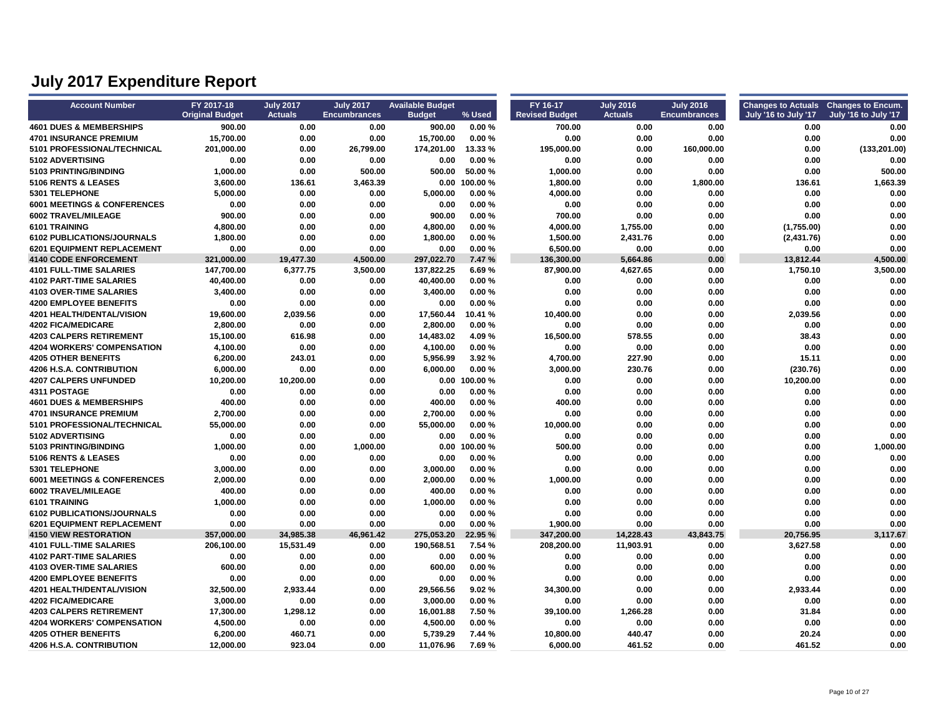| <b>Account Number</b>                  | FY 2017-18             | <b>July 2017</b> | <b>July 2017</b>    | <b>Available Budget</b> |                 | FY 16-17              | <b>July 2016</b> | <b>July 2016</b>    | Changes to Actuals Changes to Encum. |                      |
|----------------------------------------|------------------------|------------------|---------------------|-------------------------|-----------------|-----------------------|------------------|---------------------|--------------------------------------|----------------------|
|                                        | <b>Original Budget</b> | <b>Actuals</b>   | <b>Encumbrances</b> | <b>Budget</b>           | % Used          | <b>Revised Budget</b> | <b>Actuals</b>   | <b>Encumbrances</b> | July '16 to July '17                 | July '16 to July '17 |
| <b>4601 DUES &amp; MEMBERSHIPS</b>     | 900.00                 | 0.00             | 0.00                | 900.00                  | 0.00%           | 700.00                | 0.00             | 0.00                | 0.00                                 | 0.00                 |
| <b>4701 INSURANCE PREMIUM</b>          | 15,700.00              | 0.00             | 0.00                | 15,700.00               | 0.00%           | 0.00                  | 0.00             | 0.00                | 0.00                                 | 0.00                 |
| 5101 PROFESSIONAL/TECHNICAL            | 201,000.00             | 0.00             | 26,799.00           | 174,201.00              | 13.33 %         | 195,000.00            | 0.00             | 160,000.00          | 0.00                                 | (133, 201.00)        |
| 5102 ADVERTISING                       | 0.00                   | 0.00             | 0.00                | 0.00                    | 0.00%           | 0.00                  | 0.00             | 0.00                | 0.00                                 | 0.00                 |
| 5103 PRINTING/BINDING                  | 1,000.00               | 0.00             | 500.00              | 500.00                  | 50.00%          | 1,000.00              | 0.00             | 0.00                | 0.00                                 | 500.00               |
| 5106 RENTS & LEASES                    | 3,600.00               | 136.61           | 3,463.39            |                         | $0.00$ 100.00 % | 1,800.00              | 0.00             | 1,800.00            | 136.61                               | 1.663.39             |
| 5301 TELEPHONE                         | 5,000.00               | 0.00             | 0.00                | 5,000.00                | 0.00%           | 4,000.00              | 0.00             | 0.00                | 0.00                                 | 0.00                 |
| <b>6001 MEETINGS &amp; CONFERENCES</b> | 0.00                   | 0.00             | 0.00                | 0.00                    | 0.00%           | 0.00                  | 0.00             | 0.00                | 0.00                                 | 0.00                 |
| 6002 TRAVEL/MILEAGE                    | 900.00                 | 0.00             | 0.00                | 900.00                  | 0.00%           | 700.00                | 0.00             | 0.00                | 0.00                                 | 0.00                 |
| 6101 TRAINING                          | 4,800.00               | 0.00             | 0.00                | 4,800.00                | 0.00%           | 4,000.00              | 1,755.00         | 0.00                | (1,755.00)                           | 0.00                 |
| 6102 PUBLICATIONS/JOURNALS             | 1,800.00               | 0.00             | 0.00                | 1,800.00                | 0.00%           | 1,500.00              | 2,431.76         | 0.00                | (2,431.76)                           | 0.00                 |
| <b>6201 EQUIPMENT REPLACEMENT</b>      | 0.00                   | 0.00             | 0.00                | 0.00                    | 0.00%           | 6,500.00              | 0.00             | 0.00                | 0.00                                 | 0.00                 |
| <b>4140 CODE ENFORCEMENT</b>           | 321,000.00             | 19,477.30        | 4,500.00            | 297,022.70              | 7.47%           | 136,300.00            | 5,664.86         | 0.00                | 13,812.44                            | 4,500.00             |
| <b>4101 FULL-TIME SALARIES</b>         | 147,700.00             | 6,377.75         | 3,500.00            | 137,822.25              | 6.69%           | 87,900.00             | 4,627.65         | 0.00                | 1,750.10                             | 3,500.00             |
| 4102 PART-TIME SALARIES                | 40,400.00              | 0.00             | 0.00                | 40,400.00               | 0.00%           | 0.00                  | 0.00             | 0.00                | 0.00                                 | 0.00                 |
| <b>4103 OVER-TIME SALARIES</b>         | 3,400.00               | 0.00             | 0.00                | 3,400.00                | 0.00%           | 0.00                  | 0.00             | 0.00                | 0.00                                 | 0.00                 |
| <b>4200 EMPLOYEE BENEFITS</b>          | 0.00                   | 0.00             | 0.00                | 0.00                    | 0.00%           | 0.00                  | 0.00             | 0.00                | 0.00                                 | 0.00                 |
| <b>4201 HEALTH/DENTAL/VISION</b>       | 19,600.00              | 2,039.56         | 0.00                | 17,560.44               | 10.41 %         | 10,400.00             | 0.00             | 0.00                | 2,039.56                             | 0.00                 |
| <b>4202 FICA/MEDICARE</b>              | 2,800.00               | 0.00             | 0.00                | 2.800.00                | 0.00%           | 0.00                  | 0.00             | 0.00                | 0.00                                 | 0.00                 |
| <b>4203 CALPERS RETIREMENT</b>         | 15,100.00              | 616.98           | 0.00                | 14,483.02               | 4.09%           | 16,500.00             | 578.55           | 0.00                | 38.43                                | 0.00                 |
| <b>4204 WORKERS' COMPENSATION</b>      | 4,100.00               | 0.00             | 0.00                | 4,100.00                | 0.00%           | 0.00                  | 0.00             | 0.00                | 0.00                                 | 0.00                 |
| <b>4205 OTHER BENEFITS</b>             | 6,200.00               | 243.01           | 0.00                | 5,956.99                | 3.92%           | 4,700.00              | 227.90           | 0.00                | 15.11                                | 0.00                 |
| 4206 H.S.A. CONTRIBUTION               | 6,000.00               | 0.00             | 0.00                | 6,000.00                | 0.00%           | 3,000.00              | 230.76           | 0.00                | (230.76)                             | 0.00                 |
| <b>4207 CALPERS UNFUNDED</b>           | 10,200.00              | 10,200.00        | 0.00                |                         | $0.00$ 100.00 % | 0.00                  | 0.00             | 0.00                | 10,200.00                            | 0.00                 |
| <b>4311 POSTAGE</b>                    | 0.00                   | 0.00             | 0.00                | 0.00                    | 0.00%           | 0.00                  | 0.00             | 0.00                | 0.00                                 | 0.00                 |
| <b>4601 DUES &amp; MEMBERSHIPS</b>     | 400.00                 | 0.00             | 0.00                | 400.00                  | 0.00%           | 400.00                | 0.00             | 0.00                | 0.00                                 | 0.00                 |
| <b>4701 INSURANCE PREMIUM</b>          | 2,700.00               | 0.00             | 0.00                | 2,700.00                | 0.00%           | 0.00                  | 0.00             | 0.00                | 0.00                                 | 0.00                 |
| 5101 PROFESSIONAL/TECHNICAL            | 55.000.00              | 0.00             | 0.00                | 55,000.00               | 0.00%           | 10,000.00             | 0.00             | 0.00                | 0.00                                 | 0.00                 |
| 5102 ADVERTISING                       | 0.00                   | 0.00             | 0.00                | 0.00                    | 0.00%           | 0.00                  | 0.00             | 0.00                | 0.00                                 | 0.00                 |
| 5103 PRINTING/BINDING                  | 1.000.00               | 0.00             | 1,000.00            |                         | $0.00$ 100.00 % | 500.00                | 0.00             | 0.00                | 0.00                                 | 1.000.00             |
| 5106 RENTS & LEASES                    | 0.00                   | 0.00             | 0.00                | 0.00                    | 0.00%           | 0.00                  | 0.00             | 0.00                | 0.00                                 | 0.00                 |
| 5301 TELEPHONE                         | 3,000.00               | 0.00             | 0.00                | 3,000.00                | 0.00%           | 0.00                  | 0.00             | 0.00                | 0.00                                 | 0.00                 |
| <b>6001 MEETINGS &amp; CONFERENCES</b> | 2,000.00               | 0.00             | 0.00                | 2,000.00                | 0.00%           | 1,000.00              | 0.00             | 0.00                | 0.00                                 | 0.00                 |
| 6002 TRAVEL/MILEAGE                    | 400.00                 | 0.00             | 0.00                | 400.00                  | 0.00%           | 0.00                  | 0.00             | 0.00                | 0.00                                 | 0.00                 |
| 6101 TRAINING                          | 1,000.00               | 0.00             | 0.00                | 1,000.00                | 0.00%           | 0.00                  | 0.00             | 0.00                | 0.00                                 | 0.00                 |
| 6102 PUBLICATIONS/JOURNALS             | 0.00                   | 0.00             | 0.00                | 0.00                    | 0.00%           | 0.00                  | 0.00             | 0.00                | 0.00                                 | 0.00                 |
| <b>6201 EQUIPMENT REPLACEMENT</b>      | 0.00                   | 0.00             | 0.00                | 0.00                    | 0.00%           | 1,900.00              | 0.00             | 0.00                | 0.00                                 | 0.00                 |
| <b>4150 VIEW RESTORATION</b>           | 357,000.00             | 34,985.38        | 46,961.42           | 275,053.20              | 22.95 %         | 347,200.00            | 14,228.43        | 43,843.75           | 20,756.95                            | 3,117.67             |
| 4101 FULL-TIME SALARIES                | 206,100.00             | 15,531.49        | 0.00                | 190,568.51              | 7.54 %          | 208,200.00            | 11,903.91        | 0.00                | 3,627.58                             | 0.00                 |
| <b>4102 PART-TIME SALARIES</b>         | 0.00                   | 0.00             | 0.00                | 0.00                    | 0.00%           | 0.00                  | 0.00             | 0.00                | 0.00                                 | 0.00                 |
| <b>4103 OVER-TIME SALARIES</b>         | 600.00                 | 0.00             | 0.00                | 600.00                  | 0.00%           | 0.00                  | 0.00             | 0.00                | 0.00                                 | 0.00                 |
| <b>4200 EMPLOYEE BENEFITS</b>          | 0.00                   | 0.00             | 0.00                | 0.00                    | 0.00%           | 0.00                  | 0.00             | 0.00                | 0.00                                 | 0.00                 |
| 4201 HEALTH/DENTAL/VISION              | 32,500.00              | 2,933.44         | 0.00                | 29,566.56               | 9.02%           | 34,300.00             | 0.00             | 0.00                | 2,933.44                             | 0.00                 |
| <b>4202 FICA/MEDICARE</b>              | 3,000.00               | 0.00             | 0.00                | 3,000.00                | 0.00%           | 0.00                  | 0.00             | 0.00                | 0.00                                 | 0.00                 |
| <b>4203 CALPERS RETIREMENT</b>         | 17,300.00              | 1,298.12         | 0.00                | 16,001.88               | 7.50 %          | 39,100.00             | 1,266.28         | 0.00                | 31.84                                | 0.00                 |
| <b>4204 WORKERS' COMPENSATION</b>      | 4,500.00               | 0.00             | 0.00                | 4,500.00                | 0.00%           | 0.00                  | 0.00             | 0.00                | 0.00                                 | 0.00                 |
| <b>4205 OTHER BENEFITS</b>             | 6,200.00               | 460.71           | 0.00                | 5,739.29                | 7.44 %          | 10,800.00             | 440.47           | 0.00                | 20.24                                | 0.00                 |
| 4206 H.S.A. CONTRIBUTION               | 12,000.00              | 923.04           | 0.00                | 11,076.96               | 7.69%           | 6,000.00              | 461.52           | 0.00                | 461.52                               | 0.00                 |
|                                        |                        |                  |                     |                         |                 |                       |                  |                     |                                      |                      |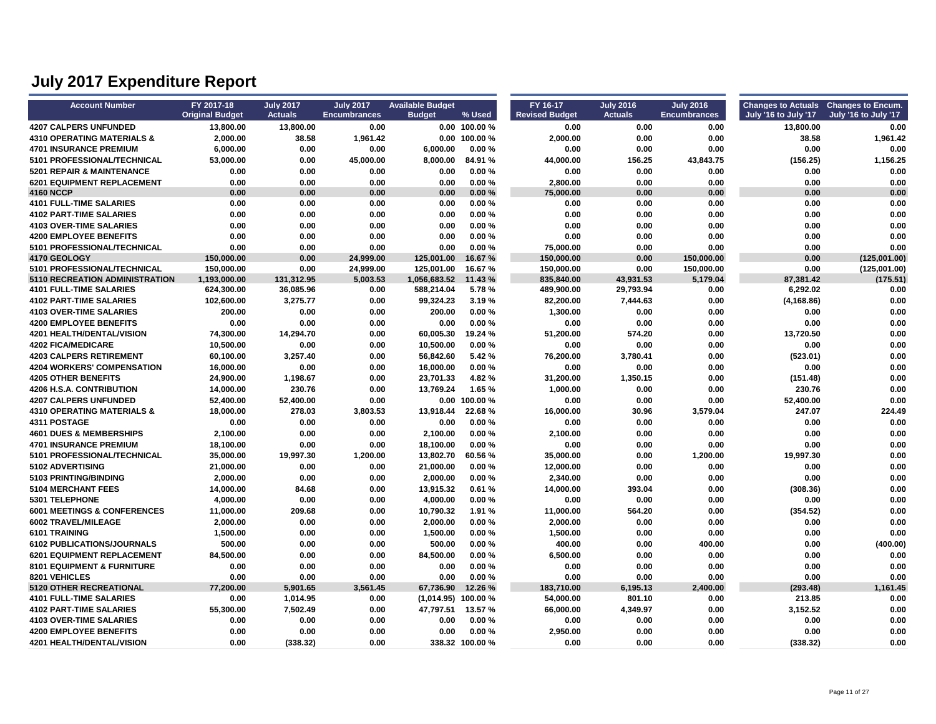| <b>Account Number</b>                                 | FY 2017-18<br><b>Original Budget</b> | <b>July 2017</b><br><b>Actuals</b> | <b>July 2017</b><br><b>Encumbrances</b> | <b>Available Budget</b><br><b>Budget</b> | % Used                             | FY 16-17<br><b>Revised Budget</b> | <b>July 2016</b><br><b>Actuals</b> | <b>July 2016</b><br><b>Encumbrances</b> | Changes to Actuals Changes to Encum.<br>July '16 to July '17 | July '16 to July '17 |
|-------------------------------------------------------|--------------------------------------|------------------------------------|-----------------------------------------|------------------------------------------|------------------------------------|-----------------------------------|------------------------------------|-----------------------------------------|--------------------------------------------------------------|----------------------|
|                                                       |                                      |                                    |                                         |                                          |                                    |                                   |                                    |                                         |                                                              |                      |
| <b>4207 CALPERS UNFUNDED</b>                          | 13,800.00                            | 13,800.00                          | 0.00                                    |                                          | $0.00$ 100.00 %<br>$0.00$ 100.00 % | 0.00                              | 0.00                               | 0.00                                    | 13.800.00                                                    | 0.00                 |
| <b>4310 OPERATING MATERIALS &amp;</b>                 | 2,000.00                             | 38.58<br>0.00                      | 1,961.42                                |                                          | 0.00%                              | 2,000.00                          | 0.00                               | 0.00                                    | 38.58<br>0.00                                                | 1.961.42<br>0.00     |
| <b>4701 INSURANCE PREMIUM</b>                         | 6,000.00                             |                                    | 0.00                                    | 6,000.00                                 |                                    | 0.00                              | 0.00                               | 0.00                                    |                                                              |                      |
| 5101 PROFESSIONAL/TECHNICAL                           | 53,000.00                            | 0.00                               | 45,000.00                               | 8,000.00                                 | 84.91%<br>0.00%                    | 44,000.00                         | 156.25                             | 43,843.75                               | (156.25)                                                     | 1,156.25             |
| <b>5201 REPAIR &amp; MAINTENANCE</b>                  | 0.00<br>0.00                         | 0.00                               | 0.00                                    | 0.00                                     | 0.00%                              | 0.00                              | 0.00                               | 0.00                                    | 0.00                                                         | 0.00                 |
| <b>6201 EQUIPMENT REPLACEMENT</b><br><b>4160 NCCP</b> | 0.00                                 | 0.00                               | 0.00<br>0.00                            | 0.00<br>0.00                             | 0.00%                              | 2,800.00                          | 0.00                               | 0.00<br>0.00                            | 0.00                                                         | 0.00<br>0.00         |
| <b>4101 FULL-TIME SALARIES</b>                        | 0.00                                 | 0.00<br>0.00                       | 0.00                                    | 0.00                                     | 0.00%                              | 75,000.00<br>0.00                 | 0.00                               | 0.00                                    | 0.00<br>0.00                                                 | 0.00                 |
| <b>4102 PART-TIME SALARIES</b>                        | 0.00                                 | 0.00                               | 0.00                                    | 0.00                                     | 0.00%                              | 0.00                              | 0.00<br>0.00                       | 0.00                                    | 0.00                                                         | 0.00                 |
| <b>4103 OVER-TIME SALARIES</b>                        | 0.00                                 | 0.00                               | 0.00                                    | 0.00                                     | 0.00%                              |                                   |                                    | 0.00                                    | 0.00                                                         | 0.00                 |
|                                                       |                                      |                                    |                                         | 0.00                                     |                                    | 0.00                              | 0.00                               |                                         |                                                              |                      |
| <b>4200 EMPLOYEE BENEFITS</b>                         | 0.00                                 | 0.00                               | 0.00                                    |                                          | 0.00%<br>0.00%                     | 0.00                              | 0.00                               | 0.00                                    | 0.00                                                         | 0.00                 |
| 5101 PROFESSIONAL/TECHNICAL<br>4170 GEOLOGY           | 0.00<br>150,000.00                   | 0.00<br>0.00                       | 0.00<br>24,999.00                       | 0.00<br>125,001.00                       | 16.67%                             | 75,000.00<br>150,000.00           | 0.00<br>0.00                       | 0.00<br>150,000.00                      | 0.00<br>0.00                                                 | 0.00<br>(125,001.00) |
| 5101 PROFESSIONAL/TECHNICAL                           | 150,000.00                           | 0.00                               | 24,999.00                               | 125,001.00                               | 16.67%                             | 150,000.00                        | 0.00                               | 150,000.00                              | 0.00                                                         | (125,001.00)         |
| 5110 RECREATION ADMINISTRATION                        | 1,193,000.00                         | 131,312.95                         | 5,003.53                                | 1,056,683.52                             | 11.43 %                            | 835,840.00                        | 43,931.53                          | 5,179.04                                | 87,381.42                                                    | (175.51)             |
| <b>4101 FULL-TIME SALARIES</b>                        | 624,300.00                           | 36,085.96                          | 0.00                                    | 588,214.04                               | 5.78%                              | 489,900.00                        | 29,793.94                          | 0.00                                    | 6,292.02                                                     | 0.00                 |
| <b>4102 PART-TIME SALARIES</b>                        | 102,600.00                           | 3,275.77                           | 0.00                                    | 99,324.23                                | 3.19%                              | 82,200.00                         | 7,444.63                           | 0.00                                    | (4, 168.86)                                                  | 0.00                 |
| <b>4103 OVER-TIME SALARIES</b>                        | 200.00                               | 0.00                               | 0.00                                    | 200.00                                   | 0.00%                              | 1,300.00                          | 0.00                               | 0.00                                    | 0.00                                                         | 0.00                 |
| <b>4200 EMPLOYEE BENEFITS</b>                         | 0.00                                 | 0.00                               | 0.00                                    | 0.00                                     | 0.00%                              | 0.00                              | 0.00                               | 0.00                                    | 0.00                                                         | 0.00                 |
| <b>4201 HEALTH/DENTAL/VISION</b>                      | 74,300.00                            | 14,294.70                          | 0.00                                    | 60,005.30                                | 19.24 %                            | 51,200.00                         | 574.20                             | 0.00                                    | 13,720.50                                                    | 0.00                 |
| <b>4202 FICA/MEDICARE</b>                             | 10,500.00                            | 0.00                               | 0.00                                    | 10,500.00                                | 0.00%                              | 0.00                              | 0.00                               | 0.00                                    | 0.00                                                         | 0.00                 |
| <b>4203 CALPERS RETIREMENT</b>                        | 60,100.00                            | 3,257.40                           | 0.00                                    | 56,842.60                                | 5.42%                              | 76,200.00                         | 3,780.41                           | 0.00                                    | (523.01)                                                     | 0.00                 |
| <b>4204 WORKERS' COMPENSATION</b>                     | 16,000.00                            | 0.00                               | 0.00                                    | 16,000.00                                | 0.00%                              | 0.00                              | 0.00                               | 0.00                                    | 0.00                                                         | 0.00                 |
| <b>4205 OTHER BENEFITS</b>                            | 24,900.00                            | 1,198.67                           | 0.00                                    | 23,701.33                                | 4.82%                              | 31,200.00                         | 1,350.15                           | 0.00                                    | (151.48)                                                     | 0.00                 |
| <b>4206 H.S.A. CONTRIBUTION</b>                       | 14,000.00                            | 230.76                             | 0.00                                    | 13,769.24                                | 1.65 %                             | 1,000.00                          | 0.00                               | 0.00                                    | 230.76                                                       | 0.00                 |
| <b>4207 CALPERS UNFUNDED</b>                          | 52,400.00                            | 52,400.00                          | 0.00                                    |                                          | $0.00$ 100.00 %                    | 0.00                              | 0.00                               | 0.00                                    | 52,400.00                                                    | 0.00                 |
| <b>4310 OPERATING MATERIALS &amp;</b>                 | 18,000.00                            | 278.03                             | 3,803.53                                | 13,918.44                                | 22.68%                             | 16,000.00                         | 30.96                              | 3,579.04                                | 247.07                                                       | 224.49               |
| <b>4311 POSTAGE</b>                                   |                                      | 0.00                               |                                         | 0.00                                     | 0.00%                              |                                   |                                    |                                         | 0.00                                                         | 0.00                 |
| <b>4601 DUES &amp; MEMBERSHIPS</b>                    | 0.00<br>2,100.00                     | 0.00                               | 0.00<br>0.00                            | 2,100.00                                 | 0.00%                              | 0.00<br>2,100.00                  | 0.00<br>0.00                       | 0.00<br>0.00                            | 0.00                                                         | 0.00                 |
| <b>4701 INSURANCE PREMIUM</b>                         |                                      |                                    |                                         |                                          | 0.00%                              |                                   |                                    |                                         |                                                              | 0.00                 |
|                                                       | 18,100.00                            | 0.00                               | 0.00                                    | 18,100.00                                |                                    | 0.00                              | 0.00                               | 0.00                                    | 0.00                                                         |                      |
| 5101 PROFESSIONAL/TECHNICAL                           | 35,000.00                            | 19,997.30                          | 1,200.00                                | 13,802.70                                | 60.56%                             | 35,000.00                         | 0.00                               | 1,200.00                                | 19,997.30                                                    | 0.00                 |
| 5102 ADVERTISING                                      | 21,000.00                            | 0.00                               | 0.00                                    | 21,000.00                                | 0.00%                              | 12,000.00                         | 0.00                               | 0.00                                    | 0.00                                                         | 0.00                 |
| 5103 PRINTING/BINDING                                 | 2,000.00                             | 0.00                               | 0.00                                    | 2,000.00                                 | 0.00%                              | 2,340.00                          | 0.00                               | 0.00                                    | 0.00                                                         | 0.00                 |
| <b>5104 MERCHANT FEES</b>                             | 14,000.00                            | 84.68                              | 0.00                                    | 13,915.32                                | 0.61%                              | 14,000.00                         | 393.04                             | 0.00                                    | (308.36)                                                     | 0.00                 |
| 5301 TELEPHONE                                        | 4,000.00                             | 0.00                               | 0.00                                    | 4,000.00                                 | 0.00%                              | 0.00                              | 0.00                               | 0.00                                    | 0.00                                                         | 0.00                 |
| 6001 MEETINGS & CONFERENCES                           | 11,000.00                            | 209.68                             | 0.00                                    | 10,790.32                                | 1.91%                              | 11,000.00                         | 564.20                             | 0.00                                    | (354.52)                                                     | 0.00                 |
| 6002 TRAVEL/MILEAGE                                   | 2,000.00                             | 0.00                               | 0.00                                    | 2,000.00                                 | 0.00%                              | 2,000.00                          | 0.00                               | 0.00                                    | 0.00                                                         | 0.00                 |
| 6101 TRAINING                                         | 1,500.00                             | 0.00                               | 0.00                                    | 1,500.00                                 | 0.00%                              | 1,500.00                          | 0.00                               | 0.00                                    | 0.00                                                         | 0.00                 |
| 6102 PUBLICATIONS/JOURNALS                            | 500.00                               | 0.00                               | 0.00                                    | 500.00                                   | 0.00%                              | 400.00                            | 0.00                               | 400.00                                  | 0.00                                                         | (400.00)             |
| <b>6201 EQUIPMENT REPLACEMENT</b>                     | 84,500.00                            | 0.00                               | 0.00                                    | 84,500.00                                | 0.00%                              | 6,500.00                          | 0.00                               | 0.00                                    | 0.00                                                         | 0.00                 |
| 8101 EQUIPMENT & FURNITURE                            | 0.00                                 | 0.00                               | 0.00                                    | 0.00                                     | 0.00%                              | 0.00                              | 0.00                               | 0.00                                    | 0.00                                                         | 0.00                 |
| 8201 VEHICLES                                         | 0.00                                 | 0.00                               | 0.00                                    | 0.00                                     | 0.00%                              | 0.00                              | 0.00                               | 0.00                                    | 0.00                                                         | 0.00                 |
| 5120 OTHER RECREATIONAL                               | 77.200.00                            | 5,901.65                           | 3,561.45                                | 67.736.90                                | 12.26 %                            | 183.710.00                        | 6.195.13                           | 2,400.00                                | (293.48)                                                     | 1,161.45             |
| <b>4101 FULL-TIME SALARIES</b>                        | 0.00                                 | 1,014.95                           | 0.00                                    | $(1,014.95)$ 100.00 %                    |                                    | 54,000.00                         | 801.10                             | 0.00                                    | 213.85                                                       | 0.00                 |
| <b>4102 PART-TIME SALARIES</b>                        | 55,300.00                            | 7,502.49                           | 0.00                                    | 47,797.51                                | 13.57 %                            | 66,000.00                         | 4,349.97                           | 0.00                                    | 3,152.52                                                     | 0.00                 |
| 4103 OVER-TIME SALARIES                               | 0.00                                 | 0.00                               | 0.00                                    | 0.00                                     | 0.00%                              | 0.00                              | 0.00                               | 0.00                                    | 0.00                                                         | 0.00                 |
| <b>4200 EMPLOYEE BENEFITS</b>                         | 0.00                                 | 0.00                               | 0.00                                    | 0.00                                     | 0.00%                              | 2,950.00                          | 0.00                               | 0.00                                    | 0.00                                                         | 0.00                 |
| <b>4201 HEALTH/DENTAL/VISION</b>                      | 0.00                                 | (338.32)                           | 0.00                                    |                                          | 338.32 100.00 %                    | 0.00                              | 0.00                               | 0.00                                    | (338.32)                                                     | 0.00                 |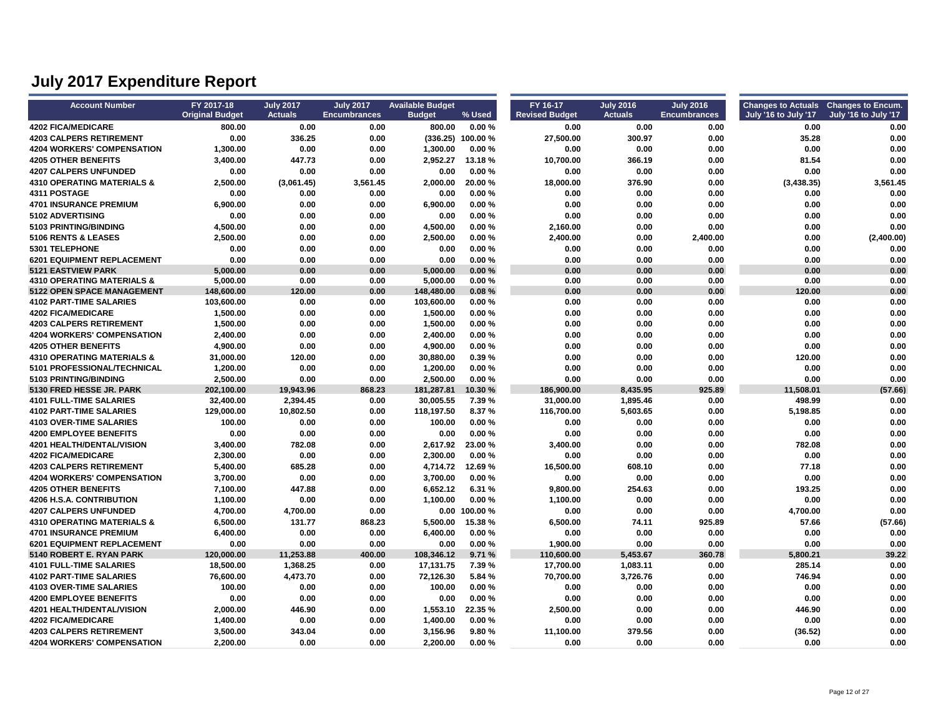| <b>Account Number</b>                 | FY 2017-18             | <b>July 2017</b> | <b>July 2017</b>    | <b>Available Budget</b> |                   | FY 16-17              | <b>July 2016</b> | <b>July 2016</b>    | Changes to Actuals Changes to Encum. |                      |
|---------------------------------------|------------------------|------------------|---------------------|-------------------------|-------------------|-----------------------|------------------|---------------------|--------------------------------------|----------------------|
|                                       | <b>Original Budget</b> | <b>Actuals</b>   | <b>Encumbrances</b> | <b>Budget</b>           | % Used            | <b>Revised Budget</b> | <b>Actuals</b>   | <b>Encumbrances</b> | July '16 to July '17                 | July '16 to July '17 |
| 4202 FICA/MEDICARE                    | 800.00                 | 0.00             | 0.00                | 800.00                  | 0.00%             | 0.00                  | 0.00             | 0.00                | 0.00                                 | 0.00                 |
| <b>4203 CALPERS RETIREMENT</b>        | 0.00                   | 336.25           | 0.00                |                         | (336.25) 100.00 % | 27,500.00             | 300.97           | 0.00                | 35.28                                | 0.00                 |
| <b>4204 WORKERS' COMPENSATION</b>     | 1,300.00               | 0.00             | 0.00                | 1,300.00                | 0.00%             | 0.00                  | 0.00             | 0.00                | 0.00                                 | 0.00                 |
| <b>4205 OTHER BENEFITS</b>            | 3,400.00               | 447.73           | 0.00                | 2,952.27                | 13.18%            | 10,700.00             | 366.19           | 0.00                | 81.54                                | 0.00                 |
| <b>4207 CALPERS UNFUNDED</b>          | 0.00                   | 0.00             | 0.00                | 0.00                    | 0.00%             | 0.00                  | 0.00             | 0.00                | 0.00                                 | 0.00                 |
| <b>4310 OPERATING MATERIALS &amp;</b> | 2,500.00               | (3,061.45)       | 3,561.45            | 2,000.00                | 20.00%            | 18,000.00             | 376.90           | 0.00                | (3,438.35)                           | 3,561.45             |
| 4311 POSTAGE                          | 0.00                   | 0.00             | 0.00                | 0.00                    | 0.00%             | 0.00                  | 0.00             | 0.00                | 0.00                                 | 0.00                 |
| <b>4701 INSURANCE PREMIUM</b>         | 6,900.00               | 0.00             | 0.00                | 6,900.00                | 0.00%             | 0.00                  | 0.00             | 0.00                | 0.00                                 | 0.00                 |
| 5102 ADVERTISING                      | 0.00                   | 0.00             | 0.00                | 0.00                    | 0.00%             | 0.00                  | 0.00             | 0.00                | 0.00                                 | 0.00                 |
| 5103 PRINTING/BINDING                 | 4,500.00               | 0.00             | 0.00                | 4,500.00                | 0.00%             | 2,160.00              | 0.00             | 0.00                | 0.00                                 | 0.00                 |
| 5106 RENTS & LEASES                   | 2,500.00               | 0.00             | 0.00                | 2,500.00                | 0.00%             | 2,400.00              | 0.00             | 2,400.00            | 0.00                                 | (2,400.00)           |
| 5301 TELEPHONE                        | 0.00                   | 0.00             | 0.00                | 0.00                    | 0.00%             | 0.00                  | 0.00             | 0.00                | 0.00                                 | 0.00                 |
| 6201 EQUIPMENT REPLACEMENT            | 0.00                   | 0.00             | 0.00                | 0.00                    | 0.00%             | 0.00                  | 0.00             | 0.00                | 0.00                                 | 0.00                 |
| <b>5121 EASTVIEW PARK</b>             | 5,000.00               | 0.00             | 0.00                | 5,000.00                | 0.00%             | 0.00                  | 0.00             | 0.00                | 0.00                                 | 0.00                 |
| <b>4310 OPERATING MATERIALS &amp;</b> | 5,000.00               | 0.00             | 0.00                | 5,000.00                | 0.00%             | 0.00                  | 0.00             | 0.00                | 0.00                                 | 0.00                 |
| <b>5122 OPEN SPACE MANAGEMENT</b>     | 148,600.00             | 120.00           | 0.00                | 148,480.00              | 0.08%             | 0.00                  | 0.00             | 0.00                | 120.00                               | 0.00                 |
| 4102 PART-TIME SALARIES               | 103,600.00             | 0.00             | 0.00                | 103,600.00              | 0.00%             | 0.00                  | 0.00             | 0.00                | 0.00                                 | 0.00                 |
| <b>4202 FICA/MEDICARE</b>             | 1,500.00               | 0.00             | 0.00                | 1,500.00                | 0.00%             | 0.00                  | 0.00             | 0.00                | 0.00                                 | 0.00                 |
| <b>4203 CALPERS RETIREMENT</b>        | 1,500.00               | 0.00             | 0.00                | 1,500.00                | 0.00%             | 0.00                  | 0.00             | 0.00                | 0.00                                 | 0.00                 |
| <b>4204 WORKERS' COMPENSATION</b>     | 2,400.00               | 0.00             | 0.00                | 2,400.00                | 0.00%             | 0.00                  | 0.00             | 0.00                | 0.00                                 | 0.00                 |
| <b>4205 OTHER BENEFITS</b>            | 4,900.00               | 0.00             | 0.00                | 4,900.00                | 0.00%             | 0.00                  | 0.00             | 0.00                | 0.00                                 | 0.00                 |
| <b>4310 OPERATING MATERIALS &amp;</b> | 31,000.00              | 120.00           | 0.00                | 30,880.00               | 0.39%             | 0.00                  | 0.00             | 0.00                | 120.00                               | 0.00                 |
| 5101 PROFESSIONAL/TECHNICAL           | 1,200.00               | 0.00             | 0.00                | 1,200.00                | 0.00%             | 0.00                  | 0.00             | 0.00                | 0.00                                 | 0.00                 |
| 5103 PRINTING/BINDING                 | 2,500.00               | 0.00             | 0.00                | 2.500.00                | 0.00%             | 0.00                  | 0.00             | 0.00                | 0.00                                 | 0.00                 |
| 5130 FRED HESSE JR. PARK              | 202.100.00             | 19.943.96        | 868.23              | 181.287.81              | 10.30 %           | 186.900.00            | 8.435.95         | 925.89              | 11.508.01                            | (57.66)              |
| <b>4101 FULL-TIME SALARIES</b>        | 32,400.00              | 2,394.45         | 0.00                | 30,005.55               | 7.39 %            | 31,000.00             | 1,895.46         | 0.00                | 498.99                               | 0.00                 |
| <b>4102 PART-TIME SALARIES</b>        | 129,000.00             | 10,802.50        | 0.00                | 118,197.50              | 8.37 %            | 116,700.00            | 5,603.65         | 0.00                | 5,198.85                             | 0.00                 |
| <b>4103 OVER-TIME SALARIES</b>        | 100.00                 | 0.00             | 0.00                | 100.00                  | 0.00%             | 0.00                  | 0.00             | 0.00                | 0.00                                 | 0.00                 |
| <b>4200 EMPLOYEE BENEFITS</b>         | 0.00                   | 0.00             | 0.00                | 0.00                    | 0.00%             | 0.00                  | 0.00             | 0.00                | 0.00                                 | 0.00                 |
| 4201 HEALTH/DENTAL/VISION             | 3,400.00               | 782.08           | 0.00                | 2,617.92                | 23.00%            | 3,400.00              | 0.00             | 0.00                | 782.08                               | 0.00                 |
| <b>4202 FICA/MEDICARE</b>             | 2,300.00               | 0.00             | 0.00                | 2,300.00                | 0.00%             | 0.00                  | 0.00             | 0.00                | 0.00                                 | 0.00                 |
| <b>4203 CALPERS RETIREMENT</b>        | 5,400.00               | 685.28           | 0.00                | 4,714.72                | 12.69%            | 16,500.00             | 608.10           | 0.00                | 77.18                                | 0.00                 |
| <b>4204 WORKERS' COMPENSATION</b>     | 3,700.00               | 0.00             | 0.00                | 3,700.00                | 0.00%             | 0.00                  | 0.00             | 0.00                | 0.00                                 | 0.00                 |
| <b>4205 OTHER BENEFITS</b>            | 7,100.00               | 447.88           | 0.00                | 6,652.12                | 6.31 %            | 9,800.00              | 254.63           | 0.00                | 193.25                               | 0.00                 |
| 4206 H.S.A. CONTRIBUTION              | 1,100.00               | 0.00             | 0.00                | 1,100.00                | 0.00%             | 1,100.00              | 0.00             | 0.00                | 0.00                                 | 0.00                 |
| <b>4207 CALPERS UNFUNDED</b>          | 4,700.00               | 4,700.00         | 0.00                |                         | $0.00$ 100.00 %   | 0.00                  | 0.00             | 0.00                | 4,700.00                             | 0.00                 |
| <b>4310 OPERATING MATERIALS &amp;</b> | 6,500.00               | 131.77           | 868.23              | 5,500.00                | 15.38%            | 6,500.00              | 74.11            | 925.89              | 57.66                                | (57.66)              |
| <b>4701 INSURANCE PREMIUM</b>         | 6,400.00               | 0.00             | 0.00                | 6,400.00                | 0.00%             | 0.00                  | 0.00             | 0.00                | 0.00                                 | 0.00                 |
| <b>6201 EQUIPMENT REPLACEMENT</b>     | 0.00                   | 0.00             | 0.00                | 0.00                    | 0.00%             | 1,900.00              | 0.00             | 0.00                | 0.00                                 | 0.00                 |
| 5140 ROBERT E. RYAN PARK              | 120,000.00             | 11,253.88        | 400.00              | 108,346.12              | 9.71 %            | 110,600.00            | 5,453.67         | 360.78              | 5,800.21                             | 39.22                |
| 4101 FULL-TIME SALARIES               | 18,500.00              | 1,368.25         | 0.00                | 17,131.75               | 7.39 %            | 17,700.00             | 1,083.11         | 0.00                | 285.14                               | 0.00                 |
| <b>4102 PART-TIME SALARIES</b>        | 76,600.00              | 4,473.70         | 0.00                | 72,126.30               | 5.84 %            | 70,700.00             | 3,726.76         | 0.00                | 746.94                               | 0.00                 |
| <b>4103 OVER-TIME SALARIES</b>        | 100.00                 | 0.00             | 0.00                | 100.00                  | 0.00%             | 0.00                  | 0.00             | 0.00                | 0.00                                 | 0.00                 |
| <b>4200 EMPLOYEE BENEFITS</b>         | 0.00                   | 0.00             | 0.00                | 0.00                    | 0.00%             | 0.00                  | 0.00             | 0.00                | 0.00                                 | 0.00                 |
| 4201 HEALTH/DENTAL/VISION             | 2,000.00               | 446.90           | 0.00                | 1,553.10                | 22.35 %           | 2,500.00              | 0.00             | 0.00                | 446.90                               | 0.00                 |
| 4202 FICA/MEDICARE                    | 1,400.00               | 0.00             | 0.00                | 1,400.00                | 0.00%             | 0.00                  | 0.00             | 0.00                | 0.00                                 | 0.00                 |
| <b>4203 CALPERS RETIREMENT</b>        | 3,500.00               | 343.04           | 0.00                | 3,156.96                | 9.80%             | 11,100.00             | 379.56           | 0.00                | (36.52)                              | 0.00                 |
| <b>4204 WORKERS' COMPENSATION</b>     | 2,200.00               | 0.00             | 0.00                | 2,200.00                | 0.00%             | 0.00                  | 0.00             | 0.00                | 0.00                                 | 0.00                 |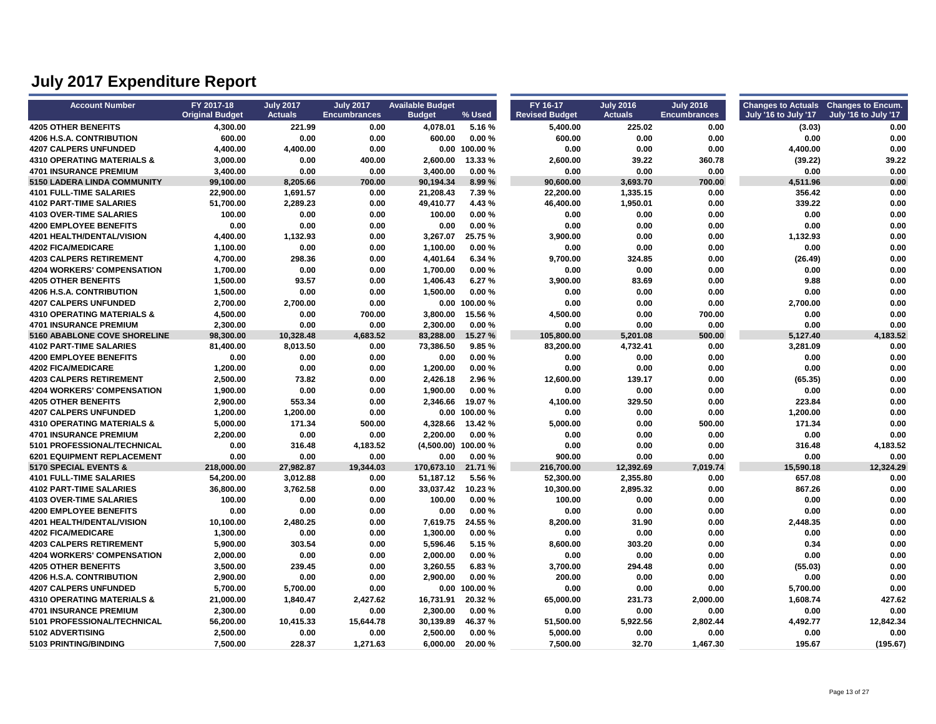| <b>Account Number</b>                 | FY 2017-18<br><b>Original Budget</b> | <b>July 2017</b><br><b>Actuals</b> | <b>July 2017</b><br><b>Encumbrances</b> | <b>Available Budget</b><br><b>Budget</b> | % Used          | FY 16-17<br><b>Revised Budget</b> | <b>July 2016</b><br><b>Actuals</b> | <b>July 2016</b><br><b>Encumbrances</b> | Changes to Actuals Changes to Encum.<br>July '16 to July '17 | July '16 to July '17 |
|---------------------------------------|--------------------------------------|------------------------------------|-----------------------------------------|------------------------------------------|-----------------|-----------------------------------|------------------------------------|-----------------------------------------|--------------------------------------------------------------|----------------------|
| <b>4205 OTHER BENEFITS</b>            | 4,300.00                             | 221.99                             | 0.00                                    | 4,078.01                                 | 5.16%           | 5,400.00                          | 225.02                             | 0.00                                    | (3.03)                                                       | 0.00                 |
| 4206 H.S.A. CONTRIBUTION              | 600.00                               | 0.00                               | 0.00                                    | 600.00                                   | 0.00%           | 600.00                            | 0.00                               | 0.00                                    | 0.00                                                         | 0.00                 |
| <b>4207 CALPERS UNFUNDED</b>          | 4,400.00                             | 4,400.00                           | 0.00                                    |                                          | 0.00 100.00 %   | 0.00                              | 0.00                               | 0.00                                    | 4,400.00                                                     | 0.00                 |
| <b>4310 OPERATING MATERIALS &amp;</b> | 3,000.00                             | 0.00                               | 400.00                                  | 2,600.00                                 | 13.33 %         | 2,600.00                          | 39.22                              | 360.78                                  | (39.22)                                                      | 39.22                |
| <b>4701 INSURANCE PREMIUM</b>         | 3,400.00                             | 0.00                               | 0.00                                    | 3,400.00                                 | 0.00%           | 0.00                              | 0.00                               | 0.00                                    | 0.00                                                         | 0.00                 |
| <b>5150 LADERA LINDA COMMUNITY</b>    | 99,100.00                            | 8,205.66                           | 700.00                                  | 90,194.34                                | 8.99%           | 90,600.00                         | 3,693.70                           | 700.00                                  | 4,511.96                                                     | 0.00                 |
| <b>4101 FULL-TIME SALARIES</b>        | 22,900.00                            | 1,691.57                           | 0.00                                    | 21,208.43                                | 7.39%           | 22,200.00                         | 1,335.15                           | 0.00                                    | 356.42                                                       | 0.00                 |
| <b>4102 PART-TIME SALARIES</b>        | 51,700.00                            | 2,289.23                           | 0.00                                    | 49,410.77                                | 4.43%           | 46,400.00                         | 1,950.01                           | 0.00                                    | 339.22                                                       | 0.00                 |
| <b>4103 OVER-TIME SALARIES</b>        | 100.00                               | 0.00                               | 0.00                                    | 100.00                                   | 0.00%           | 0.00                              | 0.00                               | 0.00                                    | 0.00                                                         | 0.00                 |
| <b>4200 EMPLOYEE BENEFITS</b>         | 0.00                                 | 0.00                               | 0.00                                    | 0.00                                     | 0.00%           | 0.00                              | 0.00                               | 0.00                                    | 0.00                                                         | 0.00                 |
| 4201 HEALTH/DENTAL/VISION             | 4,400.00                             | 1,132.93                           | 0.00                                    | 3,267.07                                 | 25.75%          | 3,900.00                          | 0.00                               | 0.00                                    | 1,132.93                                                     | 0.00                 |
| <b>4202 FICA/MEDICARE</b>             | 1,100.00                             | 0.00                               | 0.00                                    | 1,100.00                                 | 0.00%           | 0.00                              | 0.00                               | 0.00                                    | 0.00                                                         | 0.00                 |
| <b>4203 CALPERS RETIREMENT</b>        | 4,700.00                             | 298.36                             | 0.00                                    | 4,401.64                                 | 6.34 %          | 9,700.00                          | 324.85                             | 0.00                                    | (26.49)                                                      | 0.00                 |
| <b>4204 WORKERS' COMPENSATION</b>     | 1,700.00                             | 0.00                               | 0.00                                    | 1,700.00                                 | 0.00%           | 0.00                              | 0.00                               | 0.00                                    | 0.00                                                         | 0.00                 |
| <b>4205 OTHER BENEFITS</b>            | 1,500.00                             | 93.57                              | 0.00                                    | 1,406.43                                 | 6.27%           | 3,900.00                          | 83.69                              | 0.00                                    | 9.88                                                         | 0.00                 |
| 4206 H.S.A. CONTRIBUTION              | 1,500.00                             | 0.00                               | 0.00                                    | 1,500.00                                 | 0.00%           | 0.00                              | 0.00                               | 0.00                                    | 0.00                                                         | 0.00                 |
| <b>4207 CALPERS UNFUNDED</b>          | 2,700.00                             | 2,700.00                           | 0.00                                    |                                          | $0.00$ 100.00 % | 0.00                              | 0.00                               | 0.00                                    | 2,700.00                                                     | 0.00                 |
| <b>4310 OPERATING MATERIALS &amp;</b> | 4,500.00                             | 0.00                               | 700.00                                  | 3,800.00                                 | 15.56 %         | 4,500.00                          | 0.00                               | 700.00                                  | 0.00                                                         | 0.00                 |
| <b>4701 INSURANCE PREMIUM</b>         | 2,300.00                             | 0.00                               | 0.00                                    | 2,300.00                                 | 0.00%           | 0.00                              | 0.00                               | 0.00                                    | 0.00                                                         | 0.00                 |
| 5160 ABABLONE COVE SHORELINE          | 98,300.00                            | 10,328.48                          | 4,683.52                                | 83,288.00                                | 15.27 %         | 105,800.00                        | 5,201.08                           | 500.00                                  | 5,127.40                                                     | 4,183.52             |
| <b>4102 PART-TIME SALARIES</b>        | 81,400.00                            | 8,013.50                           | 0.00                                    | 73,386.50                                | 9.85%           | 83,200.00                         | 4,732.41                           | 0.00                                    | 3,281.09                                                     | 0.00                 |
| <b>4200 EMPLOYEE BENEFITS</b>         | 0.00                                 | 0.00                               | 0.00                                    | 0.00                                     | 0.00%           | 0.00                              | 0.00                               | 0.00                                    | 0.00                                                         | 0.00                 |
| <b>4202 FICA/MEDICARE</b>             | 1,200.00                             | 0.00                               | 0.00                                    | 1,200.00                                 | 0.00%           | 0.00                              | 0.00                               | 0.00                                    | 0.00                                                         | 0.00                 |
| <b>4203 CALPERS RETIREMENT</b>        | 2,500.00                             | 73.82                              | 0.00                                    | 2,426.18                                 | 2.96 %          | 12,600.00                         | 139.17                             | 0.00                                    | (65.35)                                                      | 0.00                 |
| <b>4204 WORKERS' COMPENSATION</b>     | 1,900.00                             | 0.00                               | 0.00                                    | 1.900.00                                 | 0.00%           | 0.00                              | 0.00                               | 0.00                                    | 0.00                                                         | 0.00                 |
| <b>4205 OTHER BENEFITS</b>            | 2,900.00                             | 553.34                             | 0.00                                    | 2,346.66                                 | 19.07%          | 4,100.00                          | 329.50                             | 0.00                                    | 223.84                                                       | 0.00                 |
| <b>4207 CALPERS UNFUNDED</b>          | 1,200.00                             | 1,200.00                           | 0.00                                    |                                          | $0.00$ 100.00 % | 0.00                              | 0.00                               | 0.00                                    | 1,200.00                                                     | 0.00                 |
| <b>4310 OPERATING MATERIALS &amp;</b> | 5,000.00                             | 171.34                             | 500.00                                  | 4,328.66                                 | 13.42 %         | 5,000.00                          | 0.00                               | 500.00                                  | 171.34                                                       | 0.00                 |
| <b>4701 INSURANCE PREMIUM</b>         | 2.200.00                             | 0.00                               | 0.00                                    | 2.200.00                                 | 0.00%           | 0.00                              | 0.00                               | 0.00                                    | 0.00                                                         | 0.00                 |
| 5101 PROFESSIONAL/TECHNICAL           | 0.00                                 | 316.48                             | 4,183.52                                | (4,500.00) 100.00 %                      |                 | 0.00                              | 0.00                               | 0.00                                    | 316.48                                                       | 4,183.52             |
| 6201 EQUIPMENT REPLACEMENT            | 0.00                                 | 0.00                               | 0.00                                    | 0.00                                     | 0.00%           | 900.00                            | 0.00                               | 0.00                                    | 0.00                                                         | 0.00                 |
| 5170 SPECIAL EVENTS &                 | 218,000.00                           | 27,982.87                          | 19,344.03                               | 170,673.10                               | 21.71 %         | 216,700.00                        | 12,392.69                          | 7,019.74                                | 15,590.18                                                    | 12,324.29            |
| <b>4101 FULL-TIME SALARIES</b>        | 54,200.00                            | 3,012.88                           | 0.00                                    | 51,187.12                                | 5.56 %          | 52,300.00                         | 2,355.80                           | 0.00                                    | 657.08                                                       | 0.00                 |
| <b>4102 PART-TIME SALARIES</b>        | 36,800.00                            | 3,762.58                           | 0.00                                    | 33,037.42                                | 10.23 %         | 10,300.00                         | 2,895.32                           | 0.00                                    | 867.26                                                       | 0.00                 |
| <b>4103 OVER-TIME SALARIES</b>        | 100.00                               | 0.00                               | 0.00                                    | 100.00                                   | 0.00%           | 100.00                            | 0.00                               | 0.00                                    | 0.00                                                         | 0.00                 |
| <b>4200 EMPLOYEE BENEFITS</b>         | 0.00                                 | 0.00                               | 0.00                                    | 0.00                                     | 0.00%           | 0.00                              | 0.00                               | 0.00                                    | 0.00                                                         | 0.00                 |
| 4201 HEALTH/DENTAL/VISION             | 10,100.00                            | 2,480.25                           | 0.00                                    | 7,619.75                                 | 24.55 %         | 8,200.00                          | 31.90                              | 0.00                                    | 2,448.35                                                     | 0.00                 |
| <b>4202 FICA/MEDICARE</b>             | 1,300.00                             | 0.00                               | 0.00                                    | 1,300.00                                 | 0.00%           | 0.00                              | 0.00                               | 0.00                                    | 0.00                                                         | 0.00                 |
| <b>4203 CALPERS RETIREMENT</b>        | 5,900.00                             | 303.54                             | 0.00                                    | 5,596.46                                 | 5.15%           | 8,600.00                          | 303.20                             | 0.00                                    | 0.34                                                         | 0.00                 |
| <b>4204 WORKERS' COMPENSATION</b>     | 2,000.00                             | 0.00                               | 0.00                                    | 2,000.00                                 | 0.00%           | 0.00                              | 0.00                               | 0.00                                    | 0.00                                                         | 0.00                 |
| <b>4205 OTHER BENEFITS</b>            | 3,500.00                             | 239.45                             | 0.00                                    | 3,260.55                                 | 6.83%           | 3,700.00                          | 294.48                             | 0.00                                    | (55.03)                                                      | 0.00                 |
| 4206 H.S.A. CONTRIBUTION              | 2,900.00                             | 0.00                               | 0.00                                    | 2,900.00                                 | 0.00%           | 200.00                            | 0.00                               | 0.00                                    | 0.00                                                         | 0.00                 |
| <b>4207 CALPERS UNFUNDED</b>          | 5,700.00                             | 5,700.00                           | 0.00                                    |                                          | 0.00 100.00 %   | 0.00                              | 0.00                               | 0.00                                    | 5,700.00                                                     | 0.00                 |
| <b>4310 OPERATING MATERIALS &amp;</b> | 21,000.00                            | 1,840.47                           | 2,427.62                                | 16,731.91                                | 20.32%          | 65,000.00                         | 231.73                             | 2,000.00                                | 1,608.74                                                     | 427.62               |
| <b>4701 INSURANCE PREMIUM</b>         | 2,300.00                             | 0.00                               | 0.00                                    | 2,300.00                                 | 0.00%           | 0.00                              | 0.00                               | 0.00                                    | 0.00                                                         | 0.00                 |
| 5101 PROFESSIONAL/TECHNICAL           | 56,200.00                            | 10,415.33                          | 15,644.78                               | 30,139.89                                | 46.37%          | 51,500.00                         | 5,922.56                           | 2,802.44                                | 4,492.77                                                     | 12.842.34            |
| 5102 ADVERTISING                      | 2,500.00                             | 0.00                               | 0.00                                    | 2,500.00                                 | 0.00%           | 5,000.00                          | 0.00                               | 0.00                                    | 0.00                                                         | 0.00                 |
| 5103 PRINTING/BINDING                 | 7,500.00                             | 228.37                             | 1,271.63                                | 6,000.00                                 | 20.00%          | 7,500.00                          | 32.70                              | 1,467.30                                | 195.67                                                       | (195.67)             |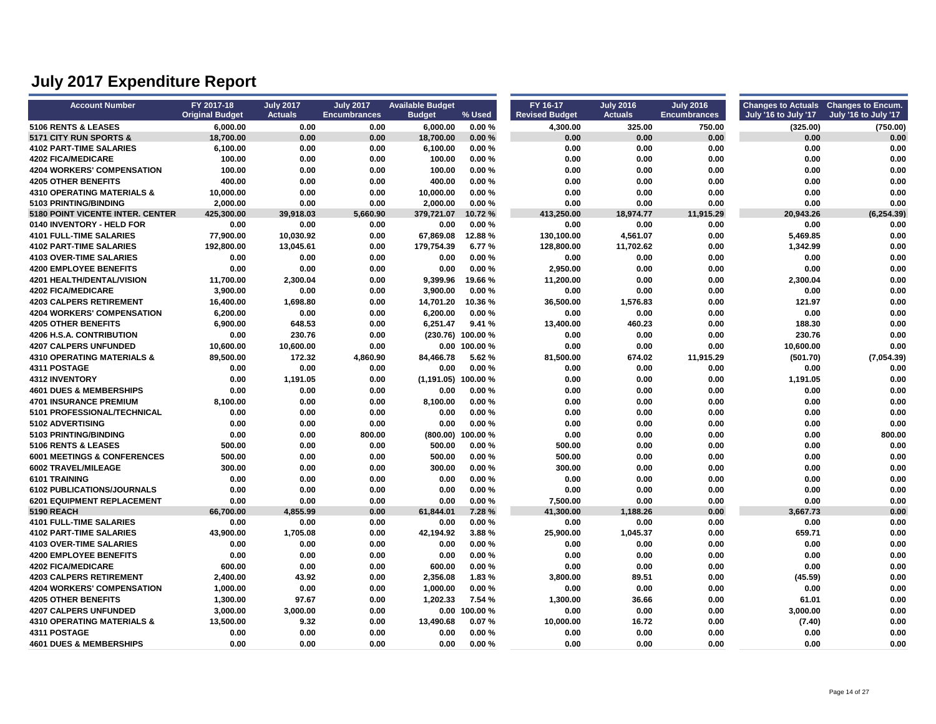| <b>Account Number</b>                   | FY 2017-18<br><b>Original Budget</b> | <b>July 2017</b><br><b>Actuals</b> | <b>July 2017</b><br><b>Encumbrances</b> | <b>Available Budget</b><br><b>Budget</b> | % Used            | FY 16-17<br><b>Revised Budget</b> | <b>July 2016</b><br><b>Actuals</b> | <b>July 2016</b><br><b>Encumbrances</b> | Changes to Actuals Changes to Encum.<br>July '16 to July '17 | July '16 to July '17 |
|-----------------------------------------|--------------------------------------|------------------------------------|-----------------------------------------|------------------------------------------|-------------------|-----------------------------------|------------------------------------|-----------------------------------------|--------------------------------------------------------------|----------------------|
| 5106 RENTS & LEASES                     | 6,000.00                             | 0.00                               | 0.00                                    | 6.000.00                                 | 0.00%             | 4,300.00                          | 325.00                             | 750.00                                  | (325.00)                                                     | (750.00)             |
| 5171 CITY RUN SPORTS &                  | 18,700.00                            | 0.00                               | 0.00                                    | 18,700.00                                | 0.00%             | 0.00                              | 0.00                               | 0.00                                    | 0.00                                                         | 0.00                 |
| <b>4102 PART-TIME SALARIES</b>          | 6,100.00                             | 0.00                               | 0.00                                    | 6,100.00                                 | 0.00%             | 0.00                              | 0.00                               | 0.00                                    | 0.00                                                         | 0.00                 |
| <b>4202 FICA/MEDICARE</b>               | 100.00                               | 0.00                               | 0.00                                    | 100.00                                   | 0.00%             | 0.00                              | 0.00                               | 0.00                                    | 0.00                                                         | 0.00                 |
| <b>4204 WORKERS' COMPENSATION</b>       | 100.00                               | 0.00                               | 0.00                                    | 100.00                                   | 0.00%             | 0.00                              | 0.00                               | 0.00                                    | 0.00                                                         | 0.00                 |
| <b>4205 OTHER BENEFITS</b>              | 400.00                               | 0.00                               | 0.00                                    | 400.00                                   | 0.00%             | 0.00                              | 0.00                               | 0.00                                    | 0.00                                                         | 0.00                 |
| <b>4310 OPERATING MATERIALS &amp;</b>   | 10,000.00                            | 0.00                               | 0.00                                    | 10.000.00                                | 0.00%             | 0.00                              | 0.00                               | 0.00                                    | 0.00                                                         | 0.00                 |
| 5103 PRINTING/BINDING                   | 2.000.00                             | 0.00                               | 0.00                                    | 2.000.00                                 | 0.00%             | 0.00                              | 0.00                               | 0.00                                    | 0.00                                                         | 0.00                 |
| <b>5180 POINT VICENTE INTER. CENTER</b> | 425,300.00                           | 39.918.03                          | 5,660.90                                | 379,721.07                               | 10.72 %           | 413,250.00                        | 18,974.77                          | 11,915.29                               | 20,943.26                                                    | (6, 254.39)          |
| 0140 INVENTORY - HELD FOR               | 0.00                                 | 0.00                               | 0.00                                    | 0.00                                     | 0.00%             | 0.00                              | 0.00                               | 0.00                                    | 0.00                                                         | 0.00                 |
| <b>4101 FULL-TIME SALARIES</b>          | 77,900.00                            | 10,030.92                          | 0.00                                    | 67,869.08                                | 12.88%            | 130,100.00                        | 4,561.07                           | 0.00                                    | 5,469.85                                                     | 0.00                 |
| <b>4102 PART-TIME SALARIES</b>          | 192,800.00                           | 13,045.61                          | 0.00                                    | 179,754.39                               | 6.77 %            | 128,800.00                        | 11,702.62                          | 0.00                                    | 1,342.99                                                     | 0.00                 |
| <b>4103 OVER-TIME SALARIES</b>          | 0.00                                 | 0.00                               | 0.00                                    | 0.00                                     | 0.00%             | 0.00                              | 0.00                               | 0.00                                    | 0.00                                                         | 0.00                 |
| <b>4200 EMPLOYEE BENEFITS</b>           | 0.00                                 | 0.00                               | 0.00                                    | 0.00                                     | 0.00%             | 2,950.00                          | 0.00                               | 0.00                                    | 0.00                                                         | 0.00                 |
| 4201 HEALTH/DENTAL/VISION               | 11,700.00                            | 2,300.04                           | 0.00                                    | 9,399.96                                 | 19.66%            | 11,200.00                         | 0.00                               | 0.00                                    | 2,300.04                                                     | 0.00                 |
| <b>4202 FICA/MEDICARE</b>               | 3,900.00                             | 0.00                               | 0.00                                    | 3,900.00                                 | 0.00%             | 0.00                              | 0.00                               | 0.00                                    | 0.00                                                         | 0.00                 |
| <b>4203 CALPERS RETIREMENT</b>          | 16,400.00                            | 1,698.80                           | 0.00                                    | 14,701.20                                | 10.36 %           | 36,500.00                         | 1,576.83                           | 0.00                                    | 121.97                                                       | 0.00                 |
| <b>4204 WORKERS' COMPENSATION</b>       | 6,200.00                             | 0.00                               | 0.00                                    | 6,200.00                                 | 0.00%             | 0.00                              | 0.00                               | 0.00                                    | 0.00                                                         | 0.00                 |
| <b>4205 OTHER BENEFITS</b>              | 6,900.00                             | 648.53                             | 0.00                                    | 6,251.47                                 | 9.41%             | 13,400.00                         | 460.23                             | 0.00                                    | 188.30                                                       | 0.00                 |
| 4206 H.S.A. CONTRIBUTION                | 0.00                                 | 230.76                             | 0.00                                    |                                          | (230.76) 100.00 % | 0.00                              | 0.00                               | 0.00                                    | 230.76                                                       | 0.00                 |
| <b>4207 CALPERS UNFUNDED</b>            | 10,600.00                            | 10,600.00                          | 0.00                                    | 0.00                                     | 100.00%           | 0.00                              | 0.00                               | 0.00                                    | 10,600.00                                                    | 0.00                 |
| <b>4310 OPERATING MATERIALS &amp;</b>   | 89,500.00                            | 172.32                             | 4,860.90                                | 84,466.78                                | 5.62%             | 81,500.00                         | 674.02                             | 11,915.29                               | (501.70)                                                     | (7,054.39)           |
| 4311 POSTAGE                            | 0.00                                 | 0.00                               | 0.00                                    | 0.00                                     | 0.00%             | 0.00                              | 0.00                               | 0.00                                    | 0.00                                                         | 0.00                 |
| <b>4312 INVENTORY</b>                   | 0.00                                 | 1,191.05                           | 0.00                                    | $(1,191.05)$ 100.00 %                    |                   | 0.00                              | 0.00                               | 0.00                                    | 1,191.05                                                     | 0.00                 |
| <b>4601 DUES &amp; MEMBERSHIPS</b>      | 0.00                                 | 0.00                               | 0.00                                    | 0.00                                     | 0.00%             | 0.00                              | 0.00                               | 0.00                                    | 0.00                                                         | 0.00                 |
| <b>4701 INSURANCE PREMIUM</b>           | 8,100.00                             | 0.00                               | 0.00                                    | 8,100.00                                 | 0.00%             | 0.00                              | 0.00                               | 0.00                                    | 0.00                                                         | 0.00                 |
| 5101 PROFESSIONAL/TECHNICAL             | 0.00                                 | 0.00                               | 0.00                                    | 0.00                                     | 0.00%             | 0.00                              | 0.00                               | 0.00                                    | 0.00                                                         | 0.00                 |
| 5102 ADVERTISING                        | 0.00                                 | 0.00                               | 0.00                                    | 0.00                                     | 0.00%             | 0.00                              | 0.00                               | 0.00                                    | 0.00                                                         | 0.00                 |
| 5103 PRINTING/BINDING                   | 0.00                                 | 0.00                               | 800.00                                  |                                          | (800.00) 100.00 % | 0.00                              | 0.00                               | 0.00                                    | 0.00                                                         | 800.00               |
| 5106 RENTS & LEASES                     | 500.00                               | 0.00                               | 0.00                                    | 500.00                                   | 0.00%             | 500.00                            | 0.00                               | 0.00                                    | 0.00                                                         | 0.00                 |
| <b>6001 MEETINGS &amp; CONFERENCES</b>  | 500.00                               | 0.00                               | 0.00                                    | 500.00                                   | 0.00%             | 500.00                            | 0.00                               | 0.00                                    | 0.00                                                         | 0.00                 |
| 6002 TRAVEL/MILEAGE                     | 300.00                               | 0.00                               | 0.00                                    | 300.00                                   | 0.00%             | 300.00                            | 0.00                               | 0.00                                    | 0.00                                                         | 0.00                 |
| 6101 TRAINING                           | 0.00                                 | 0.00                               | 0.00                                    | 0.00                                     | 0.00%             | 0.00                              | 0.00                               | 0.00                                    | 0.00                                                         | 0.00                 |
| 6102 PUBLICATIONS/JOURNALS              | 0.00                                 | 0.00                               | 0.00                                    | 0.00                                     | 0.00%             | 0.00                              | 0.00                               | 0.00                                    | 0.00                                                         | 0.00                 |
| <b>6201 EQUIPMENT REPLACEMENT</b>       | 0.00                                 | 0.00                               | 0.00                                    | 0.00                                     | 0.00%             | 7,500.00                          | 0.00                               | 0.00                                    | 0.00                                                         | 0.00                 |
| <b>5190 REACH</b>                       | 66,700.00                            | 4,855.99                           | 0.00                                    | 61,844.01                                | 7.28%             | 41,300.00                         | 1,188.26                           | 0.00                                    | 3,667.73                                                     | 0.00                 |
| <b>4101 FULL-TIME SALARIES</b>          | 0.00                                 | 0.00                               | 0.00                                    | 0.00                                     | 0.00%             | 0.00                              | 0.00                               | 0.00                                    | 0.00                                                         | 0.00                 |
| <b>4102 PART-TIME SALARIES</b>          | 43.900.00                            | 1,705.08                           | 0.00                                    | 42,194.92                                | 3.88%             | 25,900.00                         | 1,045.37                           | 0.00                                    | 659.71                                                       | 0.00                 |
| <b>4103 OVER-TIME SALARIES</b>          | 0.00                                 | 0.00                               | 0.00                                    | 0.00                                     | 0.00%             | 0.00                              | 0.00                               | 0.00                                    | 0.00                                                         | 0.00                 |
| <b>4200 EMPLOYEE BENEFITS</b>           | 0.00                                 | 0.00                               | 0.00                                    | 0.00                                     | 0.00%             | 0.00                              | 0.00                               | 0.00                                    | 0.00                                                         | 0.00                 |
| <b>4202 FICA/MEDICARE</b>               | 600.00                               | 0.00                               | 0.00                                    | 600.00                                   | 0.00%             | 0.00                              | 0.00                               | 0.00                                    | 0.00                                                         | 0.00                 |
| <b>4203 CALPERS RETIREMENT</b>          | 2,400.00                             | 43.92                              | 0.00                                    | 2,356.08                                 | 1.83%             | 3,800.00                          | 89.51                              | 0.00                                    | (45.59)                                                      | 0.00                 |
| <b>4204 WORKERS' COMPENSATION</b>       | 1,000.00                             | 0.00                               | 0.00                                    | 1,000.00                                 | 0.00%             | 0.00                              | 0.00                               | 0.00                                    | 0.00                                                         | 0.00                 |
| <b>4205 OTHER BENEFITS</b>              | 1,300.00                             | 97.67                              | 0.00                                    | 1,202.33                                 | 7.54 %            | 1,300.00                          | 36.66                              | 0.00                                    | 61.01                                                        | 0.00                 |
| <b>4207 CALPERS UNFUNDED</b>            | 3,000.00                             | 3,000.00                           | 0.00                                    |                                          | 0.00 100.00 %     | 0.00                              | 0.00                               | 0.00                                    | 3,000.00                                                     | 0.00                 |
| <b>4310 OPERATING MATERIALS &amp;</b>   | 13,500.00                            | 9.32                               | 0.00                                    | 13,490.68                                | 0.07%             | 10,000.00                         | 16.72                              | 0.00                                    | (7.40)                                                       | 0.00                 |
| 4311 POSTAGE                            | 0.00                                 | 0.00                               | 0.00                                    | 0.00                                     | 0.00%             | 0.00                              | 0.00                               | 0.00                                    | 0.00                                                         | 0.00                 |
| <b>4601 DUES &amp; MEMBERSHIPS</b>      | 0.00                                 | 0.00                               | 0.00                                    | 0.00                                     | 0.00%             | 0.00                              | 0.00                               | 0.00                                    | 0.00                                                         | 0.00                 |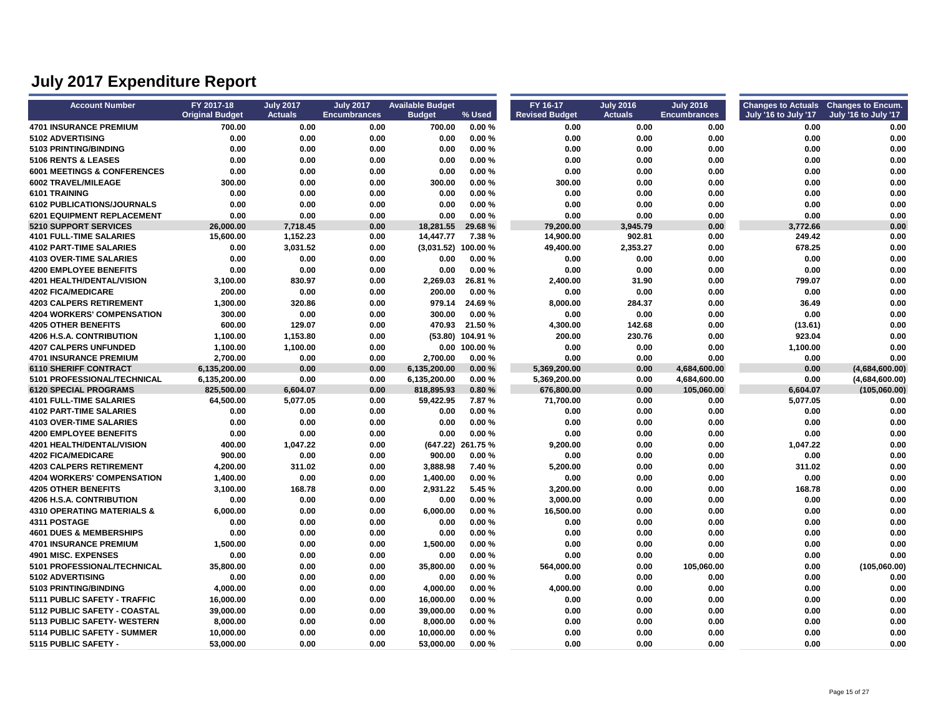| <b>Account Number</b>                                             | FY 2017-18             | <b>July 2017</b><br><b>Actuals</b> | <b>July 2017</b><br><b>Encumbrances</b> | <b>Available Budget</b><br><b>Budget</b> | % Used            | FY 16-17<br><b>Revised Budget</b> | <b>July 2016</b><br><b>Actuals</b> | <b>July 2016</b><br><b>Encumbrances</b> | Changes to Actuals Changes to Encum.<br>July '16 to July '17 |                      |
|-------------------------------------------------------------------|------------------------|------------------------------------|-----------------------------------------|------------------------------------------|-------------------|-----------------------------------|------------------------------------|-----------------------------------------|--------------------------------------------------------------|----------------------|
|                                                                   | <b>Original Budget</b> |                                    |                                         |                                          |                   |                                   |                                    |                                         |                                                              | July '16 to July '17 |
| <b>4701 INSURANCE PREMIUM</b><br>5102 ADVERTISING                 | 700.00<br>0.00         | 0.00<br>0.00                       | 0.00<br>0.00                            | 700.00<br>0.00                           | 0.00%<br>0.00%    | 0.00<br>0.00                      | 0.00<br>0.00                       | 0.00<br>0.00                            | 0.00<br>0.00                                                 | 0.00                 |
| 5103 PRINTING/BINDING                                             | 0.00                   | 0.00                               | 0.00                                    | 0.00                                     | 0.00%             | 0.00                              |                                    |                                         | 0.00                                                         | 0.00<br>0.00         |
| 5106 RENTS & LEASES                                               | 0.00                   | 0.00                               | 0.00                                    | 0.00                                     | 0.00%             | 0.00                              | 0.00                               | 0.00                                    | 0.00                                                         | 0.00                 |
| 6001 MEETINGS & CONFERENCES                                       | 0.00                   | 0.00                               | 0.00                                    | 0.00                                     | 0.00%             | 0.00                              | 0.00<br>0.00                       | 0.00<br>0.00                            | 0.00                                                         | 0.00                 |
| 6002 TRAVEL/MILEAGE                                               | 300.00                 | 0.00                               | 0.00                                    | 300.00                                   | 0.00%             | 300.00                            |                                    |                                         | 0.00                                                         | 0.00                 |
| 6101 TRAINING                                                     | 0.00                   | 0.00                               | 0.00                                    | 0.00                                     | 0.00%             | 0.00                              | 0.00<br>0.00                       | 0.00<br>0.00                            | 0.00                                                         | 0.00                 |
|                                                                   | 0.00                   | 0.00                               |                                         | 0.00                                     | 0.00%             |                                   |                                    |                                         |                                                              | 0.00                 |
| 6102 PUBLICATIONS/JOURNALS                                        | 0.00                   | 0.00                               | 0.00                                    |                                          | 0.00%             | 0.00<br>0.00                      | 0.00                               | 0.00                                    | 0.00<br>0.00                                                 |                      |
| <b>6201 EQUIPMENT REPLACEMENT</b><br><b>5210 SUPPORT SERVICES</b> | 26,000.00              | 7,718.45                           | 0.00<br>0.00                            | 0.00<br>18,281.55                        | 29.68%            | 79,200.00                         | 0.00<br>3,945.79                   | 0.00<br>0.00                            | 3,772.66                                                     | 0.00<br>0.00         |
| <b>4101 FULL-TIME SALARIES</b>                                    | 15,600.00              | 1,152.23                           | 0.00                                    | 14,447.77                                | 7.38%             | 14,900.00                         | 902.81                             | 0.00                                    | 249.42                                                       | 0.00                 |
| <b>4102 PART-TIME SALARIES</b>                                    | 0.00                   | 3,031.52                           | 0.00                                    | (3,031.52) 100.00 %                      |                   | 49,400.00                         | 2,353.27                           | 0.00                                    | 678.25                                                       | 0.00                 |
| <b>4103 OVER-TIME SALARIES</b>                                    | 0.00                   | 0.00                               | 0.00                                    | 0.00                                     | 0.00%             | 0.00                              | 0.00                               | 0.00                                    | 0.00                                                         | 0.00                 |
| <b>4200 EMPLOYEE BENEFITS</b>                                     | 0.00                   | 0.00                               | 0.00                                    | 0.00                                     | 0.00%             | 0.00                              | 0.00                               | 0.00                                    | 0.00                                                         | 0.00                 |
| <b>4201 HEALTH/DENTAL/VISION</b>                                  | 3,100.00               | 830.97                             | 0.00                                    | 2,269.03                                 | 26.81 %           | 2,400.00                          | 31.90                              | 0.00                                    | 799.07                                                       | 0.00                 |
| <b>4202 FICA/MEDICARE</b>                                         | 200.00                 | 0.00                               | 0.00                                    | 200.00                                   | 0.00%             | 0.00                              | 0.00                               | 0.00                                    | 0.00                                                         | 0.00                 |
| <b>4203 CALPERS RETIREMENT</b>                                    | 1,300.00               | 320.86                             | 0.00                                    | 979.14                                   | 24.69%            | 8,000.00                          | 284.37                             | 0.00                                    | 36.49                                                        | 0.00                 |
| <b>4204 WORKERS' COMPENSATION</b>                                 | 300.00                 | 0.00                               | 0.00                                    | 300.00                                   | 0.00%             | 0.00                              | 0.00                               | 0.00                                    | 0.00                                                         | 0.00                 |
| <b>4205 OTHER BENEFITS</b>                                        | 600.00                 | 129.07                             | 0.00                                    | 470.93                                   | 21.50 %           | 4,300.00                          | 142.68                             | 0.00                                    | (13.61)                                                      | 0.00                 |
| 4206 H.S.A. CONTRIBUTION                                          | 1,100.00               | 1,153.80                           | 0.00                                    |                                          | (53.80) 104.91 %  | 200.00                            | 230.76                             | 0.00                                    | 923.04                                                       | 0.00                 |
| <b>4207 CALPERS UNFUNDED</b>                                      | 1,100.00               | 1,100.00                           |                                         |                                          | 0.00 100.00 %     | 0.00                              | 0.00                               | 0.00                                    |                                                              | 0.00                 |
| <b>4701 INSURANCE PREMIUM</b>                                     | 2,700.00               | 0.00                               | 0.00                                    | 2,700.00                                 |                   | 0.00                              |                                    |                                         | 1,100.00                                                     | 0.00                 |
| <b>6110 SHERIFF CONTRACT</b>                                      | 6,135,200.00           | 0.00                               | 0.00<br>0.00                            | 6,135,200.00                             | 0.00%<br>0.00%    | 5,369,200.00                      | 0.00<br>0.00                       | 0.00<br>4,684,600.00                    | 0.00<br>0.00                                                 | (4,684,600.00)       |
| 5101 PROFESSIONAL/TECHNICAL                                       | 6,135,200.00           | 0.00                               | 0.00                                    | 6,135,200.00                             | 0.00%             | 5,369,200.00                      | 0.00                               | 4,684,600.00                            | 0.00                                                         | (4,684,600.00)       |
| <b>6120 SPECIAL PROGRAMS</b>                                      | 825,500.00             | 6,604.07                           | 0.00                                    | 818,895.93                               | 0.80%             | 676,800.00                        | 0.00                               | 105,060.00                              | 6,604.07                                                     | (105,060.00)         |
| <b>4101 FULL-TIME SALARIES</b>                                    | 64,500.00              | 5,077.05                           | 0.00                                    | 59,422.95                                | 7.87%             | 71,700.00                         | 0.00                               | 0.00                                    | 5,077.05                                                     | 0.00                 |
| <b>4102 PART-TIME SALARIES</b>                                    | 0.00                   | 0.00                               | 0.00                                    | 0.00                                     | 0.00%             | 0.00                              | 0.00                               | 0.00                                    | 0.00                                                         | 0.00                 |
| <b>4103 OVER-TIME SALARIES</b>                                    | 0.00                   | 0.00                               | 0.00                                    | 0.00                                     | 0.00%             | 0.00                              | 0.00                               | 0.00                                    | 0.00                                                         | 0.00                 |
| <b>4200 EMPLOYEE BENEFITS</b>                                     | 0.00                   | 0.00                               | 0.00                                    | 0.00                                     | 0.00%             | 0.00                              | 0.00                               | 0.00                                    | 0.00                                                         | 0.00                 |
| 4201 HEALTH/DENTAL/VISION                                         | 400.00                 | 1,047.22                           | 0.00                                    |                                          | (647.22) 261.75 % | 9,200.00                          | 0.00                               | 0.00                                    | 1,047.22                                                     | 0.00                 |
| <b>4202 FICA/MEDICARE</b>                                         | 900.00                 | 0.00                               | 0.00                                    | 900.00                                   | 0.00%             | 0.00                              | 0.00                               | 0.00                                    | 0.00                                                         | 0.00                 |
| <b>4203 CALPERS RETIREMENT</b>                                    | 4,200.00               | 311.02                             | 0.00                                    | 3,888.98                                 | 7.40 %            | 5,200.00                          | 0.00                               | 0.00                                    | 311.02                                                       | 0.00                 |
| <b>4204 WORKERS' COMPENSATION</b>                                 | 1,400.00               | 0.00                               | 0.00                                    | 1,400.00                                 | 0.00%             | 0.00                              | 0.00                               | 0.00                                    | 0.00                                                         | 0.00                 |
| <b>4205 OTHER BENEFITS</b>                                        | 3,100.00               | 168.78                             | 0.00                                    | 2,931.22                                 | 5.45%             | 3,200.00                          | 0.00                               | 0.00                                    | 168.78                                                       | 0.00                 |
| 4206 H.S.A. CONTRIBUTION                                          | 0.00                   | 0.00                               | 0.00                                    | 0.00                                     | 0.00%             | 3,000.00                          | 0.00                               | 0.00                                    | 0.00                                                         | 0.00                 |
| <b>4310 OPERATING MATERIALS &amp;</b>                             | 6,000.00               | 0.00                               | 0.00                                    | 6,000.00                                 | 0.00%             | 16,500.00                         | 0.00                               | 0.00                                    | 0.00                                                         | 0.00                 |
| <b>4311 POSTAGE</b>                                               | 0.00                   | 0.00                               | 0.00                                    | 0.00                                     | 0.00%             | 0.00                              | 0.00                               | 0.00                                    | 0.00                                                         | 0.00                 |
| <b>4601 DUES &amp; MEMBERSHIPS</b>                                | 0.00                   | 0.00                               | 0.00                                    | 0.00                                     | 0.00%             | 0.00                              | 0.00                               | 0.00                                    | 0.00                                                         | 0.00                 |
| <b>4701 INSURANCE PREMIUM</b>                                     | 1,500.00               | 0.00                               | 0.00                                    | 1,500.00                                 | 0.00%             | 0.00                              | 0.00                               | 0.00                                    | 0.00                                                         | 0.00                 |
| 4901 MISC. EXPENSES                                               | 0.00                   | 0.00                               | 0.00                                    | 0.00                                     | 0.00%             | 0.00                              | 0.00                               | 0.00                                    | 0.00                                                         | 0.00                 |
| 5101 PROFESSIONAL/TECHNICAL                                       | 35,800.00              | 0.00                               | 0.00                                    | 35,800.00                                | 0.00%             | 564,000.00                        | 0.00                               | 105,060.00                              | 0.00                                                         | (105,060.00)         |
| 5102 ADVERTISING                                                  | 0.00                   | 0.00                               | 0.00                                    | 0.00                                     | 0.00%             | 0.00                              | 0.00                               | 0.00                                    | 0.00                                                         | 0.00                 |
| 5103 PRINTING/BINDING                                             | 4,000.00               | 0.00                               | 0.00                                    | 4,000.00                                 | 0.00%             | 4,000.00                          | 0.00                               | 0.00                                    | 0.00                                                         | 0.00                 |
| 5111 PUBLIC SAFETY - TRAFFIC                                      | 16,000.00              | 0.00                               | 0.00                                    | 16,000.00                                | 0.00%             | 0.00                              | 0.00                               | 0.00                                    | 0.00                                                         | 0.00                 |
| 5112 PUBLIC SAFETY - COASTAL                                      | 39,000.00              | 0.00                               | 0.00                                    | 39,000.00                                | 0.00%             | 0.00                              | 0.00                               | 0.00                                    | 0.00                                                         | 0.00                 |
| 5113 PUBLIC SAFETY- WESTERN                                       | 8,000.00               | 0.00                               | 0.00                                    | 8,000.00                                 | 0.00%             | 0.00                              | 0.00                               | 0.00                                    | 0.00                                                         | 0.00                 |
| 5114 PUBLIC SAFETY - SUMMER                                       | 10,000.00              | 0.00                               | 0.00                                    | 10,000.00                                | 0.00%             | 0.00                              | 0.00                               | 0.00                                    | 0.00                                                         | 0.00                 |
| 5115 PUBLIC SAFETY -                                              | 53,000.00              | 0.00                               | 0.00                                    | 53,000.00                                | 0.00%             | 0.00                              | 0.00                               | 0.00                                    | 0.00                                                         | 0.00                 |
|                                                                   |                        |                                    |                                         |                                          |                   |                                   |                                    |                                         |                                                              |                      |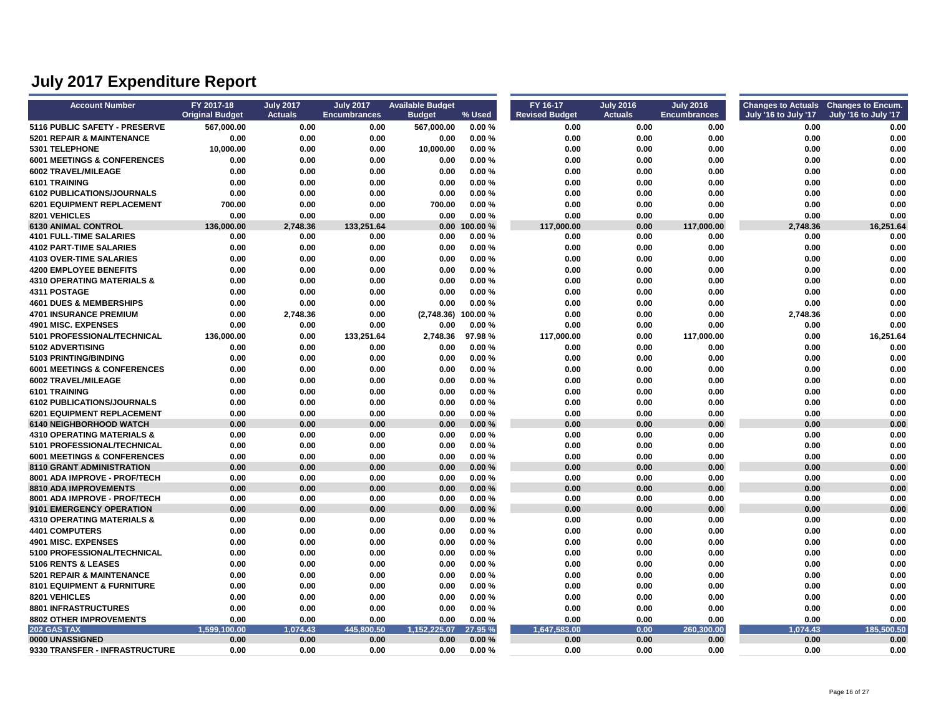| <b>Account Number</b>                  | FY 2017-18<br><b>Original Budget</b> | <b>July 2017</b><br><b>Actuals</b> | <b>July 2017</b><br><b>Encumbrances</b> | <b>Available Budget</b><br><b>Budget</b> | % Used           | FY 16-17<br><b>Revised Budget</b> | <b>July 2016</b><br><b>Actuals</b> | <b>July 2016</b><br><b>Encumbrances</b> | July '16 to July '17 | Changes to Actuals Changes to Encum.<br>July '16 to July '17 |
|----------------------------------------|--------------------------------------|------------------------------------|-----------------------------------------|------------------------------------------|------------------|-----------------------------------|------------------------------------|-----------------------------------------|----------------------|--------------------------------------------------------------|
| 5116 PUBLIC SAFETY - PRESERVE          | 567,000.00                           | 0.00                               | 0.00                                    | 567,000.00                               | 0.00%            | 0.00                              | 0.00                               | 0.00                                    | 0.00                 | 0.00                                                         |
| <b>5201 REPAIR &amp; MAINTENANCE</b>   | 0.00                                 | 0.00                               | 0.00                                    | 0.00                                     | 0.00%            | 0.00                              | 0.00                               | 0.00                                    | 0.00                 | 0.00                                                         |
| 5301 TELEPHONE                         | 10,000.00                            | 0.00                               | 0.00                                    | 10,000.00                                | 0.00%            | 0.00                              | 0.00                               | 0.00                                    | 0.00                 | 0.00                                                         |
| <b>6001 MEETINGS &amp; CONFERENCES</b> | 0.00                                 | 0.00                               | 0.00                                    | 0.00                                     | 0.00%            | 0.00                              | 0.00                               | 0.00                                    | 0.00                 | 0.00                                                         |
| 6002 TRAVEL/MILEAGE                    | 0.00                                 | 0.00                               | 0.00                                    | 0.00                                     | 0.00%            | 0.00                              | 0.00                               | 0.00                                    | 0.00                 | 0.00                                                         |
| 6101 TRAINING                          | 0.00                                 | 0.00                               | 0.00                                    | 0.00                                     | 0.00%            | 0.00                              | 0.00                               | 0.00                                    | 0.00                 | 0.00                                                         |
| 6102 PUBLICATIONS/JOURNALS             | 0.00                                 | 0.00                               | 0.00                                    | 0.00                                     | 0.00%            | 0.00                              | 0.00                               | 0.00                                    | 0.00                 | 0.00                                                         |
| 6201 EQUIPMENT REPLACEMENT             | 700.00                               | 0.00                               | 0.00                                    | 700.00                                   | 0.00%            | 0.00                              | 0.00                               | 0.00                                    | 0.00                 | 0.00                                                         |
| 8201 VEHICLES                          | 0.00                                 | 0.00                               | 0.00                                    | 0.00                                     | 0.00%            | 0.00                              | 0.00                               | 0.00                                    | 0.00                 | 0.00                                                         |
| <b>6130 ANIMAL CONTROL</b>             | 136,000.00                           | 2,748.36                           | 133,251.64                              | 0.00                                     | 100.00%          | 117,000.00                        | 0.00                               | 117,000.00                              | 2,748.36             | 16,251.64                                                    |
| <b>4101 FULL-TIME SALARIES</b>         | 0.00                                 | 0.00                               | 0.00                                    | 0.00                                     | 0.00%            | 0.00                              | 0.00                               | 0.00                                    | 0.00                 | 0.00                                                         |
| <b>4102 PART-TIME SALARIES</b>         | 0.00                                 | 0.00                               | 0.00                                    | 0.00                                     | 0.00%            | 0.00                              | 0.00                               | 0.00                                    | 0.00                 | 0.00                                                         |
| <b>4103 OVER-TIME SALARIES</b>         | 0.00                                 | 0.00                               | 0.00                                    | 0.00                                     | 0.00%            | 0.00                              | 0.00                               | 0.00                                    | 0.00                 | 0.00                                                         |
| <b>4200 EMPLOYEE BENEFITS</b>          | 0.00                                 | 0.00                               | 0.00                                    | 0.00                                     | 0.00%            | 0.00                              | 0.00                               | 0.00                                    | 0.00                 | 0.00                                                         |
| <b>4310 OPERATING MATERIALS &amp;</b>  | 0.00                                 | 0.00                               | 0.00                                    | 0.00                                     | 0.00%            | 0.00                              | 0.00                               | 0.00                                    | 0.00                 | 0.00                                                         |
| 4311 POSTAGE                           | 0.00                                 | 0.00                               | 0.00                                    | 0.00                                     | 0.00%            | 0.00                              | 0.00                               | 0.00                                    | 0.00                 | 0.00                                                         |
| <b>4601 DUES &amp; MEMBERSHIPS</b>     | 0.00                                 | 0.00                               | 0.00                                    | 0.00                                     | 0.00%            | 0.00                              | 0.00                               | 0.00                                    | 0.00                 | 0.00                                                         |
| <b>4701 INSURANCE PREMIUM</b>          | 0.00                                 | 2,748.36                           | 0.00                                    | (2,748.36)                               | 100.00%          | 0.00                              | 0.00                               | 0.00                                    | 2,748.36             | 0.00                                                         |
| 4901 MISC. EXPENSES                    | 0.00                                 | 0.00                               | 0.00                                    | 0.00                                     | 0.00%            | 0.00                              | 0.00                               | 0.00                                    | 0.00                 | 0.00                                                         |
| 5101 PROFESSIONAL/TECHNICAL            | 136,000.00                           | 0.00                               | 133,251.64                              | 2,748.36                                 | 97.98%           | 117,000.00                        | 0.00                               | 117,000.00                              | 0.00                 | 16,251.64                                                    |
| 5102 ADVERTISING                       | 0.00                                 | 0.00                               | 0.00                                    | 0.00                                     | 0.00%            | 0.00                              | 0.00                               | 0.00                                    | 0.00                 | 0.00                                                         |
| 5103 PRINTING/BINDING                  | 0.00                                 | 0.00                               | 0.00                                    | 0.00                                     | 0.00%            | 0.00                              | 0.00                               | 0.00                                    | 0.00                 | 0.00                                                         |
| <b>6001 MEETINGS &amp; CONFERENCES</b> | 0.00                                 | 0.00                               | 0.00                                    | 0.00                                     | 0.00%            | 0.00                              | 0.00                               | 0.00                                    | 0.00                 | 0.00                                                         |
| 6002 TRAVEL/MILEAGE                    | 0.00                                 | 0.00                               | 0.00                                    | 0.00                                     | 0.00%            | 0.00                              | 0.00                               | 0.00                                    | 0.00                 | 0.00                                                         |
| 6101 TRAINING                          | 0.00                                 | 0.00                               | 0.00                                    | 0.00                                     | 0.00%            | 0.00                              | 0.00                               | 0.00                                    | 0.00                 | 0.00                                                         |
| 6102 PUBLICATIONS/JOURNALS             | 0.00                                 | 0.00                               | 0.00                                    | 0.00                                     | 0.00%            | 0.00                              | 0.00                               | 0.00                                    | 0.00                 | 0.00                                                         |
| 6201 EQUIPMENT REPLACEMENT             | 0.00                                 | 0.00                               | 0.00                                    | 0.00                                     | 0.00%            | 0.00                              | 0.00                               | 0.00                                    | 0.00                 | 0.00                                                         |
| 6140 NEIGHBORHOOD WATCH                | 0.00                                 | 0.00                               | 0.00                                    | 0.00                                     | 0.00%            | 0.00                              | 0.00                               | 0.00                                    | 0.00                 | 0.00                                                         |
| <b>4310 OPERATING MATERIALS &amp;</b>  | 0.00                                 | 0.00                               | 0.00                                    | 0.00                                     | 0.00%            | 0.00                              | 0.00                               | 0.00                                    | 0.00                 | 0.00                                                         |
| 5101 PROFESSIONAL/TECHNICAL            | 0.00                                 | 0.00                               | 0.00                                    | 0.00                                     | 0.00%            | 0.00                              | 0.00                               | 0.00                                    | 0.00                 | 0.00                                                         |
| <b>6001 MEETINGS &amp; CONFERENCES</b> | 0.00                                 | 0.00                               | 0.00                                    | 0.00                                     | 0.00%            | 0.00                              | 0.00                               | 0.00                                    | 0.00                 | 0.00                                                         |
| 8110 GRANT ADMINISTRATION              | 0.00                                 | 0.00                               | 0.00                                    | 0.00                                     | 0.00%            | 0.00                              | 0.00                               | 0.00                                    | 0.00                 | 0.00                                                         |
| 8001 ADA IMPROVE - PROF/TECH           | 0.00                                 | 0.00                               | 0.00                                    | 0.00                                     | 0.00%            | 0.00                              | 0.00                               | 0.00                                    | 0.00                 | 0.00                                                         |
| 8810 ADA IMPROVEMENTS                  | 0.00                                 | 0.00                               | 0.00                                    | 0.00                                     | 0.00%            | 0.00                              | 0.00                               | 0.00                                    | 0.00                 | 0.00                                                         |
| 8001 ADA IMPROVE - PROF/TECH           | 0.00                                 | 0.00                               | 0.00                                    | 0.00                                     | 0.00%            | 0.00                              | 0.00                               | 0.00                                    | 0.00                 | 0.00                                                         |
| 9101 EMERGENCY OPERATION               | 0.00                                 | 0.00                               | 0.00                                    | 0.00                                     | 0.00%            | 0.00                              | 0.00                               | 0.00                                    | 0.00                 | 0.00                                                         |
| <b>4310 OPERATING MATERIALS &amp;</b>  | 0.00                                 | 0.00                               | 0.00                                    | 0.00                                     | 0.00%            | 0.00                              | 0.00                               | 0.00                                    | 0.00                 | 0.00                                                         |
| <b>4401 COMPUTERS</b>                  | 0.00                                 | 0.00                               | 0.00                                    | 0.00                                     | 0.00%            | 0.00                              | 0.00                               | 0.00                                    | 0.00                 | 0.00                                                         |
| 4901 MISC. EXPENSES                    | 0.00                                 | 0.00                               | 0.00                                    | 0.00                                     | 0.00%            | 0.00                              | 0.00                               | 0.00                                    | 0.00                 | 0.00                                                         |
| 5100 PROFESSIONAL/TECHNICAL            | 0.00                                 | 0.00                               | 0.00                                    | 0.00                                     | 0.00%            | 0.00                              | 0.00                               | 0.00                                    | 0.00                 | 0.00                                                         |
| 5106 RENTS & LEASES                    | 0.00                                 | 0.00                               | 0.00                                    | 0.00                                     | 0.00%            | 0.00                              | 0.00                               | 0.00                                    | 0.00                 | 0.00                                                         |
| 5201 REPAIR & MAINTENANCE              | 0.00                                 | 0.00                               | 0.00                                    | 0.00                                     | 0.00%            | 0.00                              | 0.00                               | 0.00                                    | 0.00                 | 0.00                                                         |
| 8101 EQUIPMENT & FURNITURE             | 0.00                                 | 0.00                               | 0.00                                    | 0.00                                     | 0.00%            | 0.00                              | 0.00                               | 0.00                                    | 0.00                 | 0.00                                                         |
| 8201 VEHICLES                          | 0.00                                 | 0.00                               | 0.00                                    | 0.00                                     | 0.00%            | 0.00                              | 0.00                               | 0.00                                    | 0.00                 | 0.00                                                         |
| <b>8801 INFRASTRUCTURES</b>            | 0.00                                 | 0.00                               | 0.00                                    | 0.00                                     | 0.00%            | 0.00                              | 0.00                               | 0.00                                    | 0.00                 | 0.00                                                         |
| <b>8802 OTHER IMPROVEMENTS</b>         | 0.00                                 | 0.00                               | 0.00                                    | 0.00                                     | 0.00%            | 0.00                              | 0.00                               | 0.00                                    | 0.00                 | 0.00                                                         |
| 202 GAS TAX<br>0000 UNASSIGNED         | 1,599,100.00<br>0.00                 | 1,074.43<br>0.00                   | 445,800.50<br>0.00                      | 1,152,225.07<br>0.00                     | 27.95 %<br>0.00% | 1,647,583.00<br>0.00              | 0.00<br>0.00                       | 260,300.00<br>0.00                      | 1,074.43<br>0.00     | 185,500.50<br>0.00                                           |
| 9330 TRANSFER - INFRASTRUCTURE         | 0.00                                 | 0.00                               | 0.00                                    | 0.00                                     | 0.00%            | 0.00                              | 0.00                               | 0.00                                    | 0.00                 | 0.00                                                         |
|                                        |                                      |                                    |                                         |                                          |                  |                                   |                                    |                                         |                      |                                                              |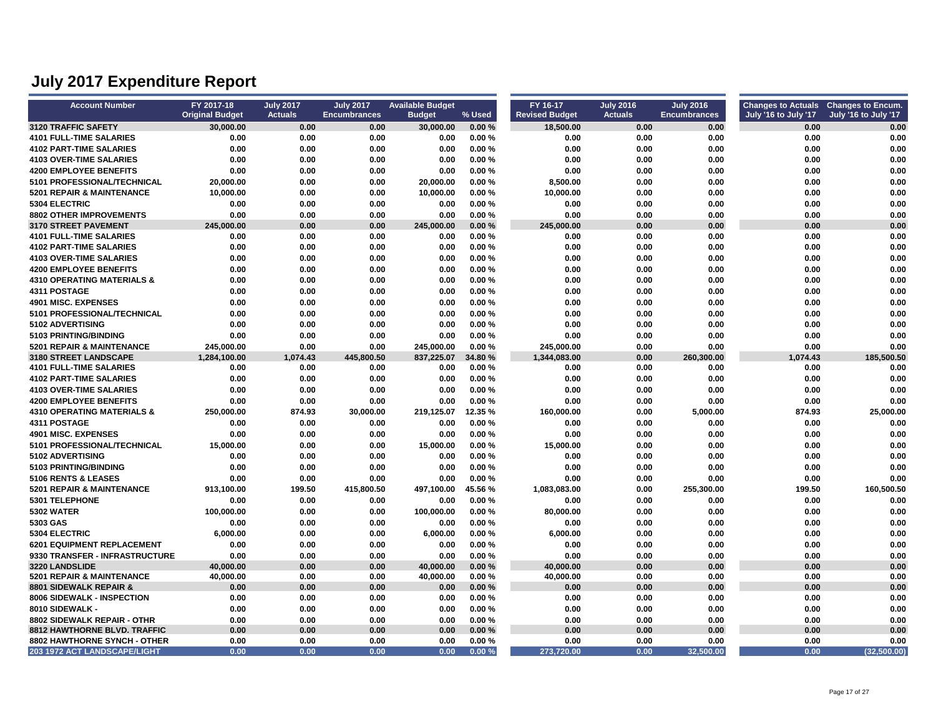| <b>Account Number</b>                 | FY 2017-18             | <b>July 2017</b> | <b>July 2017</b>    | <b>Available Budget</b> |         | FY 16-17              | <b>July 2016</b> | <b>July 2016</b>    | Changes to Actuals Changes to Encum. |                      |
|---------------------------------------|------------------------|------------------|---------------------|-------------------------|---------|-----------------------|------------------|---------------------|--------------------------------------|----------------------|
|                                       | <b>Original Budget</b> | <b>Actuals</b>   | <b>Encumbrances</b> | <b>Budget</b>           | % Used  | <b>Revised Budget</b> | <b>Actuals</b>   | <b>Encumbrances</b> | July '16 to July '17                 | July '16 to July '17 |
| 3120 TRAFFIC SAFETY                   | 30,000.00              | 0.00             | 0.00                | 30,000.00               | 0.00%   | 18,500.00             | 0.00             | 0.00                | 0.00                                 | 0.00                 |
| <b>4101 FULL-TIME SALARIES</b>        | 0.00                   | 0.00             | 0.00                | 0.00                    | 0.00%   | 0.00                  | 0.00             | 0.00                | 0.00                                 | 0.00                 |
| <b>4102 PART-TIME SALARIES</b>        | 0.00                   | 0.00             | 0.00                | 0.00                    | 0.00%   | 0.00                  | 0.00             | 0.00                | 0.00                                 | 0.00                 |
| <b>4103 OVER-TIME SALARIES</b>        | 0.00                   | 0.00             | 0.00                | 0.00                    | 0.00%   | 0.00                  | 0.00             | 0.00                | 0.00                                 | 0.00                 |
| <b>4200 EMPLOYEE BENEFITS</b>         | 0.00                   | 0.00             | 0.00                | 0.00                    | 0.00%   | 0.00                  | 0.00             | 0.00                | 0.00                                 | 0.00                 |
| 5101 PROFESSIONAL/TECHNICAL           | 20,000.00              | 0.00             | 0.00                | 20,000.00               | 0.00%   | 8,500.00              | 0.00             | 0.00                | 0.00                                 | 0.00                 |
| 5201 REPAIR & MAINTENANCE             | 10,000.00              | 0.00             | 0.00                | 10,000.00               | 0.00%   | 10,000.00             | 0.00             | 0.00                | 0.00                                 | 0.00                 |
| 5304 ELECTRIC                         | 0.00                   | 0.00             | 0.00                | 0.00                    | 0.00%   | 0.00                  | 0.00             | 0.00                | 0.00                                 | 0.00                 |
| <b>8802 OTHER IMPROVEMENTS</b>        | 0.00                   | 0.00             | 0.00                | 0.00                    | 0.00%   | 0.00                  | 0.00             | 0.00                | 0.00                                 | 0.00                 |
| <b>3170 STREET PAVEMENT</b>           | 245.000.00             | 0.00             | 0.00                | 245.000.00              | 0.00%   | 245.000.00            | 0.00             | 0.00                | 0.00                                 | 0.00                 |
| <b>4101 FULL-TIME SALARIES</b>        | 0.00                   | 0.00             | 0.00                | 0.00                    | 0.00%   | 0.00                  | 0.00             | 0.00                | 0.00                                 | 0.00                 |
| <b>4102 PART-TIME SALARIES</b>        | 0.00                   | 0.00             | 0.00                | 0.00                    | 0.00%   | 0.00                  | 0.00             | 0.00                | 0.00                                 | 0.00                 |
| 4103 OVER-TIME SALARIES               | 0.00                   | 0.00             | 0.00                | 0.00                    | 0.00%   | 0.00                  | 0.00             | 0.00                | 0.00                                 | 0.00                 |
| <b>4200 EMPLOYEE BENEFITS</b>         | 0.00                   | 0.00             | 0.00                | 0.00                    | 0.00%   | 0.00                  | 0.00             | 0.00                | 0.00                                 | 0.00                 |
| <b>4310 OPERATING MATERIALS &amp;</b> | 0.00                   | 0.00             | 0.00                | 0.00                    | 0.00%   | 0.00                  | 0.00             | 0.00                | 0.00                                 | 0.00                 |
| <b>4311 POSTAGE</b>                   | 0.00                   | 0.00             | 0.00                | 0.00                    | 0.00%   | 0.00                  | 0.00             | 0.00                | 0.00                                 | 0.00                 |
| 4901 MISC. EXPENSES                   | 0.00                   | 0.00             | 0.00                | 0.00                    | 0.00%   | 0.00                  | 0.00             | 0.00                | 0.00                                 | 0.00                 |
| 5101 PROFESSIONAL/TECHNICAL           | 0.00                   | 0.00             | 0.00                | 0.00                    | 0.00%   | 0.00                  | 0.00             | 0.00                | 0.00                                 | 0.00                 |
| 5102 ADVERTISING                      | 0.00                   | 0.00             | 0.00                | 0.00                    | 0.00%   | 0.00                  | 0.00             | 0.00                | 0.00                                 | 0.00                 |
| 5103 PRINTING/BINDING                 | 0.00                   | 0.00             | 0.00                | 0.00                    | 0.00%   | 0.00                  | 0.00             | 0.00                | 0.00                                 | 0.00                 |
| 5201 REPAIR & MAINTENANCE             | 245,000.00             | 0.00             | 0.00                | 245,000.00              | 0.00%   | 245,000.00            | 0.00             | 0.00                | 0.00                                 | 0.00                 |
| 3180 STREET LANDSCAPE                 | 1,284,100.00           | 1,074.43         | 445.800.50          | 837.225.07              | 34.80%  | 1,344,083.00          | 0.00             | 260.300.00          | 1,074.43                             | 185.500.50           |
| <b>4101 FULL-TIME SALARIES</b>        | 0.00                   | 0.00             | 0.00                | 0.00                    | 0.00%   | 0.00                  | 0.00             | 0.00                | 0.00                                 | 0.00                 |
| <b>4102 PART-TIME SALARIES</b>        | 0.00                   | 0.00             | 0.00                | 0.00                    | 0.00%   | 0.00                  | 0.00             | 0.00                | 0.00                                 | 0.00                 |
| 4103 OVER-TIME SALARIES               | 0.00                   | 0.00             | 0.00                | 0.00                    | 0.00%   | 0.00                  | 0.00             | 0.00                | 0.00                                 | 0.00                 |
| <b>4200 EMPLOYEE BENEFITS</b>         | 0.00                   | 0.00             | 0.00                | 0.00                    | 0.00%   | 0.00                  | 0.00             | 0.00                | 0.00                                 | 0.00                 |
| <b>4310 OPERATING MATERIALS &amp;</b> | 250,000.00             | 874.93           | 30,000.00           | 219,125.07              | 12.35 % | 160,000.00            | 0.00             | 5,000.00            | 874.93                               | 25,000.00            |
| 4311 POSTAGE                          | 0.00                   | 0.00             | 0.00                | 0.00                    | 0.00%   | 0.00                  | 0.00             | 0.00                | 0.00                                 | 0.00                 |
| 4901 MISC. EXPENSES                   | 0.00                   | 0.00             | 0.00                | 0.00                    | 0.00%   | 0.00                  | 0.00             | 0.00                | 0.00                                 | 0.00                 |
| 5101 PROFESSIONAL/TECHNICAL           | 15,000.00              | 0.00             | 0.00                | 15,000.00               | 0.00%   | 15,000.00             | 0.00             | 0.00                | 0.00                                 | 0.00                 |
| 5102 ADVERTISING                      | 0.00                   | 0.00             | 0.00                | 0.00                    | 0.00%   | 0.00                  | 0.00             | 0.00                | 0.00                                 | 0.00                 |
| 5103 PRINTING/BINDING                 | 0.00                   | 0.00             | 0.00                | 0.00                    | 0.00%   | 0.00                  | 0.00             | 0.00                | 0.00                                 | 0.00                 |
| 5106 RENTS & LEASES                   | 0.00                   | 0.00             | 0.00                | 0.00                    | 0.00%   | 0.00                  | 0.00             | 0.00                | 0.00                                 | 0.00                 |
| 5201 REPAIR & MAINTENANCE             | 913,100.00             | 199.50           | 415,800.50          | 497,100.00              | 45.56 % | 1,083,083.00          | 0.00             | 255,300.00          | 199.50                               | 160,500.50           |
| 5301 TELEPHONE                        | 0.00                   | 0.00             | 0.00                | 0.00                    | 0.00%   | 0.00                  | 0.00             | 0.00                | 0.00                                 | 0.00                 |
| <b>5302 WATER</b>                     | 100,000.00             | 0.00             | 0.00                | 100,000.00              | 0.00%   | 80,000.00             | 0.00             | 0.00                | 0.00                                 | 0.00                 |
| 5303 GAS                              | 0.00                   | 0.00             | 0.00                | 0.00                    | 0.00%   | 0.00                  | 0.00             | 0.00                | 0.00                                 | 0.00                 |
| 5304 ELECTRIC                         | 6,000.00               | 0.00             | 0.00                | 6,000.00                | 0.00%   | 6,000.00              | 0.00             | 0.00                | 0.00                                 | 0.00                 |
| <b>6201 EQUIPMENT REPLACEMENT</b>     | 0.00                   | 0.00             | 0.00                | 0.00                    | 0.00%   | 0.00                  | 0.00             | 0.00                | 0.00                                 | 0.00                 |
| 9330 TRANSFER - INFRASTRUCTURE        | 0.00                   | 0.00             | 0.00                | 0.00                    | 0.00%   | 0.00                  | 0.00             | 0.00                | 0.00                                 | 0.00                 |
| 3220 LANDSLIDE                        | 40,000.00              | 0.00             | 0.00                | 40,000.00               | 0.00%   | 40,000.00             | 0.00             | 0.00                | 0.00                                 | 0.00                 |
| 5201 REPAIR & MAINTENANCE             | 40,000.00              | 0.00             | 0.00                | 40,000.00               | 0.00%   | 40,000.00             | 0.00             | 0.00                | 0.00                                 | 0.00                 |
| <b>8801 SIDEWALK REPAIR &amp;</b>     | 0.00                   | 0.00             | 0.00                | 0.00                    | 0.00%   | 0.00                  | 0.00             | 0.00                | 0.00                                 | 0.00                 |
| 8006 SIDEWALK - INSPECTION            | 0.00                   | 0.00             | 0.00                | 0.00                    | 0.00%   | 0.00                  | 0.00             | 0.00                | 0.00                                 | 0.00                 |
| 8010 SIDEWALK -                       | 0.00                   | 0.00             | 0.00                | 0.00                    | 0.00%   | 0.00                  | 0.00             | 0.00                | 0.00                                 | 0.00                 |
| 8802 SIDEWALK REPAIR - OTHR           | 0.00                   | 0.00             | 0.00                | 0.00                    | 0.00%   | 0.00                  | 0.00             | 0.00                | 0.00                                 | 0.00                 |
| 8812 HAWTHORNE BLVD. TRAFFIC          | 0.00                   | 0.00             | 0.00                | 0.00                    | 0.00%   | 0.00                  | 0.00             | 0.00                | 0.00                                 | 0.00                 |
| 8802 HAWTHORNE SYNCH - OTHER          | 0.00                   | 0.00             | 0.00                | 0.00                    | 0.00%   | 0.00                  | 0.00             | 0.00                | 0.00                                 | 0.00                 |
| 203 1972 ACT LANDSCAPE/LIGHT          | 0.00                   | 0.00             | 0.00                | 0.00                    | 0.00%   | 273.720.00            | 0.00             | 32.500.00           | 0.00                                 | (32.500.00)          |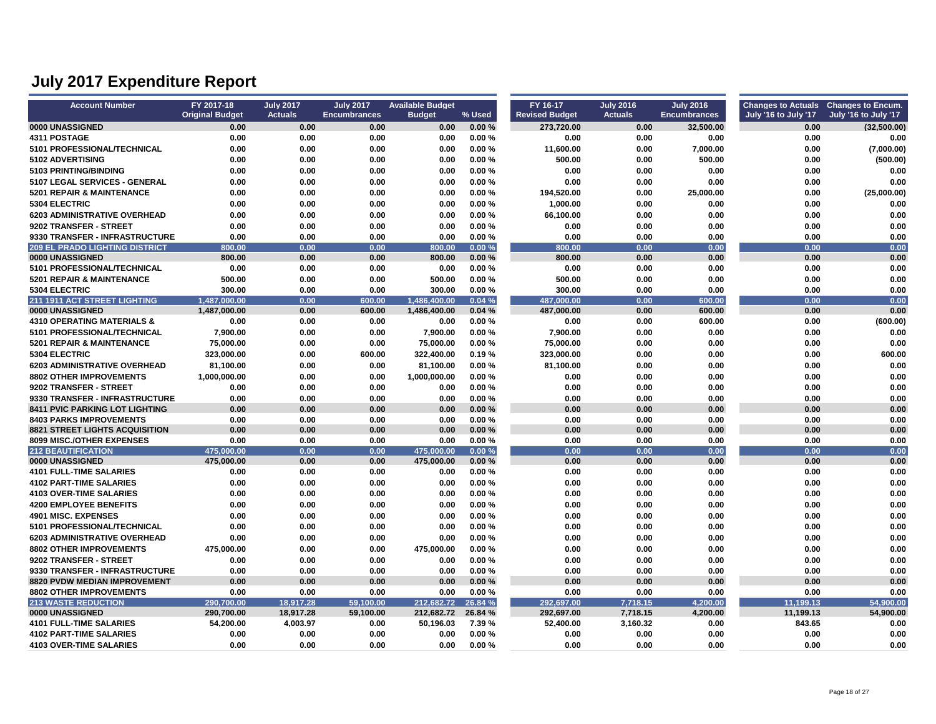| <b>Account Number</b>                 | FY 2017-18             | <b>July 2017</b> | <b>July 2017</b>    | <b>Available Budget</b> |         | FY 16-17              | <b>July 2016</b> | <b>July 2016</b>    | Changes to Actuals Changes to Encum. |                      |
|---------------------------------------|------------------------|------------------|---------------------|-------------------------|---------|-----------------------|------------------|---------------------|--------------------------------------|----------------------|
|                                       | <b>Original Budget</b> | <b>Actuals</b>   | <b>Encumbrances</b> | <b>Budget</b>           | % Used  | <b>Revised Budget</b> | <b>Actuals</b>   | <b>Encumbrances</b> | July '16 to July '17                 | July '16 to July '17 |
| 0000 UNASSIGNED                       | 0.00                   | 0.00             | 0.00                | 0.00                    | 0.00%   | 273,720.00            | 0.00             | 32,500.00           | 0.00                                 | (32.500.00)          |
| <b>4311 POSTAGE</b>                   | 0.00                   | 0.00             | 0.00                | 0.00                    | 0.00%   | 0.00                  | 0.00             | 0.00                | 0.00                                 | 0.00                 |
| 5101 PROFESSIONAL/TECHNICAL           | 0.00                   | 0.00             | 0.00                | 0.00                    | 0.00%   | 11,600.00             | 0.00             | 7,000.00            | 0.00                                 | (7,000.00)           |
| 5102 ADVERTISING                      | 0.00                   | 0.00             | 0.00                | 0.00                    | 0.00%   | 500.00                | 0.00             | 500.00              | 0.00                                 | (500.00)             |
| 5103 PRINTING/BINDING                 | 0.00                   | 0.00             | 0.00                | 0.00                    | 0.00%   | 0.00                  | 0.00             | 0.00                | 0.00                                 | 0.00                 |
| 5107 LEGAL SERVICES - GENERAL         | 0.00                   | 0.00             | 0.00                | 0.00                    | 0.00%   | 0.00                  | 0.00             | 0.00                | 0.00                                 | 0.00                 |
| 5201 REPAIR & MAINTENANCE             | 0.00                   | 0.00             | 0.00                | 0.00                    | 0.00%   | 194,520.00            | 0.00             | 25,000.00           | 0.00                                 | (25,000.00)          |
| 5304 ELECTRIC                         | 0.00                   | 0.00             | 0.00                | 0.00                    | 0.00%   | 1,000.00              | 0.00             | 0.00                | 0.00                                 | 0.00                 |
| 6203 ADMINISTRATIVE OVERHEAD          | 0.00                   | 0.00             | 0.00                | 0.00                    | 0.00%   | 66,100.00             | 0.00             | 0.00                | 0.00                                 | 0.00                 |
| 9202 TRANSFER - STREET                | 0.00                   | 0.00             | 0.00                | 0.00                    | 0.00%   | 0.00                  | 0.00             | 0.00                | 0.00                                 | 0.00                 |
| 9330 TRANSFER - INFRASTRUCTURE        | 0.00                   | 0.00             | 0.00                | 0.00                    | 0.00%   | 0.00                  | 0.00             | 0.00                | 0.00                                 | 0.00                 |
| <b>209 EL PRADO LIGHTING DISTRICT</b> | 800.00                 | 0.00             | 0.00                | 800.00                  | 0.00%   | 800.00                | 0.00             | 0.00                | 0.00                                 | 0.00                 |
| 0000 UNASSIGNED                       | 800.00                 | 0.00             | 0.00                | 800.00                  | 0.00%   | 800.00                | 0.00             | 0.00                | 0.00                                 | 0.00                 |
| 5101 PROFESSIONAL/TECHNICAL           | 0.00                   | 0.00             | 0.00                | 0.00                    | 0.00%   | 0.00                  | 0.00             | 0.00                | 0.00                                 | 0.00                 |
| 5201 REPAIR & MAINTENANCE             | 500.00                 | 0.00             | 0.00                | 500.00                  | 0.00%   | 500.00                | 0.00             | 0.00                | 0.00                                 | 0.00                 |
| 5304 ELECTRIC                         | 300.00                 | 0.00             | 0.00                | 300.00                  | 0.00%   | 300.00                | 0.00             | 0.00                | 0.00                                 | 0.00                 |
| 211 1911 ACT STREET LIGHTING          | 1.487.000.00           | 0.00             | 600.00              | 1,486,400.00            | 0.04%   | 487,000.00            | 0.00             | 600.00              | 0.00                                 | 0.00                 |
| 0000 UNASSIGNED                       | 1,487,000.00           | 0.00             | 600.00              | 1,486,400.00            | 0.04%   | 487,000.00            | 0.00             | 600.00              | 0.00                                 | 0.00                 |
| <b>4310 OPERATING MATERIALS &amp;</b> | 0.00                   | 0.00             | 0.00                | 0.00                    | 0.00%   | 0.00                  | 0.00             | 600.00              | 0.00                                 | (600.00)             |
| 5101 PROFESSIONAL/TECHNICAL           | 7,900.00               | 0.00             | 0.00                | 7,900.00                | 0.00%   | 7,900.00              | 0.00             | 0.00                | 0.00                                 | 0.00                 |
| 5201 REPAIR & MAINTENANCE             | 75,000.00              | 0.00             | 0.00                | 75,000.00               | 0.00%   | 75,000.00             | 0.00             | 0.00                | 0.00                                 | 0.00                 |
| 5304 ELECTRIC                         | 323,000.00             | 0.00             | 600.00              | 322,400.00              | 0.19%   | 323,000.00            | 0.00             | 0.00                | 0.00                                 | 600.00               |
| <b>6203 ADMINISTRATIVE OVERHEAD</b>   | 81,100.00              | 0.00             | 0.00                | 81,100.00               | 0.00%   | 81,100.00             | 0.00             | 0.00                | 0.00                                 | 0.00                 |
| <b>8802 OTHER IMPROVEMENTS</b>        | 1,000,000.00           | 0.00             | 0.00                | 1,000,000.00            | 0.00%   | 0.00                  | 0.00             | 0.00                | 0.00                                 | 0.00                 |
| 9202 TRANSFER - STREET                | 0.00                   | 0.00             | 0.00                | 0.00                    | 0.00%   | 0.00                  | 0.00             | 0.00                | 0.00                                 | 0.00                 |
| 9330 TRANSFER - INFRASTRUCTURE        | 0.00                   | 0.00             | 0.00                | 0.00                    | 0.00%   | 0.00                  | 0.00             | 0.00                | 0.00                                 | 0.00                 |
| <b>8411 PVIC PARKING LOT LIGHTING</b> | 0.00                   | 0.00             | 0.00                | 0.00                    | 0.00%   | 0.00                  | 0.00             | 0.00                | 0.00                                 | 0.00                 |
| <b>8403 PARKS IMPROVEMENTS</b>        | 0.00                   | 0.00             | 0.00                | 0.00                    | 0.00%   | 0.00                  | 0.00             | 0.00                | 0.00                                 | 0.00                 |
| <b>8821 STREET LIGHTS ACQUISITION</b> | 0.00                   | 0.00             | 0.00                | 0.00                    | 0.00%   | 0.00                  | 0.00             | 0.00                | 0.00                                 | 0.00                 |
| 8099 MISC./OTHER EXPENSES             | 0.00                   | 0.00             | 0.00                | 0.00                    | 0.00%   | 0.00                  | 0.00             | 0.00                | 0.00                                 | 0.00                 |
| <b>212 BEAUTIFICATION</b>             | 475,000.00             | 0.00             | 0.00                | 475,000.00              | 0.00%   | 0.00                  | 0.00             | 0.00                | 0.00                                 | 0.00                 |
| 0000 UNASSIGNED                       | 475,000.00             | 0.00             | 0.00                | 475,000.00              | 0.00%   | 0.00                  | 0.00             | 0.00                | 0.00                                 | 0.00                 |
| <b>4101 FULL-TIME SALARIES</b>        | 0.00                   | 0.00             | 0.00                | 0.00                    | 0.00%   | 0.00                  | 0.00             | 0.00                | 0.00                                 | 0.00                 |
| <b>4102 PART-TIME SALARIES</b>        | 0.00                   | 0.00             | 0.00                | 0.00                    | 0.00%   | 0.00                  | 0.00             | 0.00                | 0.00                                 | 0.00                 |
| 4103 OVER-TIME SALARIES               | 0.00                   | 0.00             | 0.00                | 0.00                    | 0.00%   | 0.00                  | 0.00             | 0.00                | 0.00                                 | 0.00                 |
| <b>4200 EMPLOYEE BENEFITS</b>         | 0.00                   | 0.00             | 0.00                | 0.00                    | 0.00%   | 0.00                  | 0.00             | 0.00                | 0.00                                 | 0.00                 |
| 4901 MISC. EXPENSES                   | 0.00                   | 0.00             | 0.00                | 0.00                    | 0.00%   | 0.00                  | 0.00             | 0.00                | 0.00                                 | 0.00                 |
| 5101 PROFESSIONAL/TECHNICAL           | 0.00                   | 0.00             | 0.00                | 0.00                    | 0.00%   | 0.00                  | 0.00             | 0.00                | 0.00                                 | 0.00                 |
| 6203 ADMINISTRATIVE OVERHEAD          | 0.00                   | 0.00             | 0.00                | 0.00                    | 0.00%   | 0.00                  | 0.00             | 0.00                | 0.00                                 | 0.00                 |
| <b>8802 OTHER IMPROVEMENTS</b>        | 475,000.00             | 0.00             | 0.00                | 475,000.00              | 0.00%   | 0.00                  | 0.00             | 0.00                | 0.00                                 | 0.00                 |
| 9202 TRANSFER - STREET                | 0.00                   | 0.00             | 0.00                | 0.00                    | 0.00%   | 0.00                  | 0.00             | 0.00                | 0.00                                 | 0.00                 |
| 9330 TRANSFER - INFRASTRUCTURE        | 0.00                   | 0.00             | 0.00                | 0.00                    | 0.00%   | 0.00                  | 0.00             | 0.00                | 0.00                                 | 0.00                 |
| <b>8820 PVDW MEDIAN IMPROVEMENT</b>   | 0.00                   | 0.00             | 0.00                | 0.00                    | 0.00%   | 0.00                  | 0.00             | 0.00                | 0.00                                 | 0.00                 |
| <b>8802 OTHER IMPROVEMENTS</b>        | 0.00                   | 0.00             | 0.00                | 0.00                    | 0.00%   | 0.00                  | 0.00             | 0.00                | 0.00                                 | 0.00                 |
| <b>213 WASTE REDUCTION</b>            | 290,700.00             | 18,917.28        | 59,100.00           | 212,682.72              | 26.84 % | 292,697.00            | 7,718.15         | 4,200.00            | 11,199.13                            | 54,900.00            |
| 0000 UNASSIGNED                       | 290.700.00             | 18,917.28        | 59.100.00           | 212.682.72              | 26.84 % | 292.697.00            | 7.718.15         | 4.200.00            | 11.199.13                            | 54.900.00            |
| <b>4101 FULL-TIME SALARIES</b>        | 54,200.00              | 4,003.97         | 0.00                | 50,196.03               | 7.39%   | 52,400.00             | 3,160.32         | 0.00                | 843.65                               | 0.00                 |
| <b>4102 PART-TIME SALARIES</b>        | 0.00                   | 0.00             | 0.00                | 0.00                    | 0.00%   | 0.00                  | 0.00             | 0.00                | 0.00                                 | 0.00                 |
| <b>4103 OVER-TIME SALARIES</b>        | 0.00                   | 0.00             | 0.00                | 0.00                    | 0.00%   | 0.00                  | 0.00             | 0.00                | 0.00                                 | 0.00                 |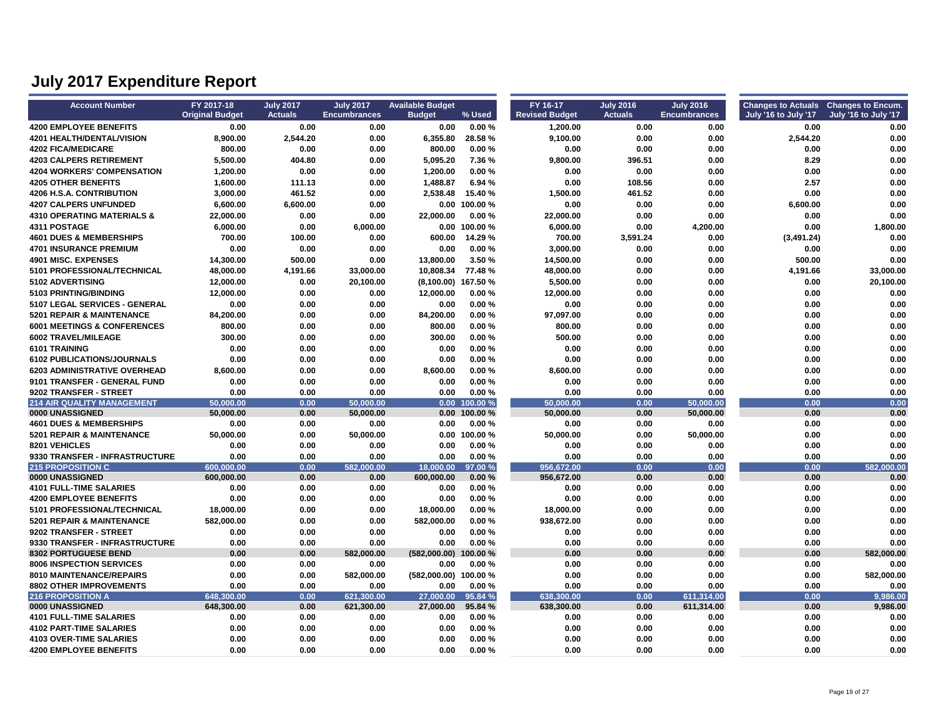| <b>Account Number</b>                  | FY 2017-18             | <b>July 2017</b> | <b>July 2017</b>    | <b>Available Budget</b> |                 | FY 16-17              | <b>July 2016</b> | <b>July 2016</b>    | Changes to Actuals Changes to Encum. |                      |
|----------------------------------------|------------------------|------------------|---------------------|-------------------------|-----------------|-----------------------|------------------|---------------------|--------------------------------------|----------------------|
|                                        | <b>Original Budget</b> | <b>Actuals</b>   | <b>Encumbrances</b> | <b>Budget</b>           | % Used          | <b>Revised Budget</b> | <b>Actuals</b>   | <b>Encumbrances</b> | July '16 to July '17                 | July '16 to July '17 |
| <b>4200 EMPLOYEE BENEFITS</b>          | 0.00                   | 0.00             | 0.00                | 0.00                    | 0.00%           | 1,200.00              | 0.00             | 0.00                | 0.00                                 | 0.00                 |
| 4201 HEALTH/DENTAL/VISION              | 8,900.00               | 2,544.20         | 0.00                | 6,355.80                | 28.58%          | 9,100.00              | 0.00             | 0.00                | 2,544.20                             | 0.00                 |
| <b>4202 FICA/MEDICARE</b>              | 800.00                 | 0.00             | 0.00                | 800.00                  | 0.00%           | 0.00                  | 0.00             | 0.00                | 0.00                                 | 0.00                 |
| <b>4203 CALPERS RETIREMENT</b>         | 5,500.00               | 404.80           | 0.00                | 5,095.20                | 7.36%           | 9,800.00              | 396.51           | 0.00                | 8.29                                 | 0.00                 |
| <b>4204 WORKERS' COMPENSATION</b>      | 1,200.00               | 0.00             | 0.00                | 1.200.00                | 0.00%           | 0.00                  | 0.00             | 0.00                | 0.00                                 | 0.00                 |
| <b>4205 OTHER BENEFITS</b>             | 1,600.00               | 111.13           | 0.00                | 1,488.87                | 6.94 %          | 0.00                  | 108.56           | 0.00                | 2.57                                 | 0.00                 |
| 4206 H.S.A. CONTRIBUTION               | 3,000.00               | 461.52           | 0.00                | 2,538.48                | 15.40%          | 1,500.00              | 461.52           | 0.00                | 0.00                                 | 0.00                 |
| <b>4207 CALPERS UNFUNDED</b>           | 6,600.00               | 6,600.00         | 0.00                |                         | $0.00$ 100.00 % | 0.00                  | 0.00             | 0.00                | 6,600.00                             | 0.00                 |
| <b>4310 OPERATING MATERIALS &amp;</b>  | 22,000.00              | 0.00             | 0.00                | 22,000.00               | 0.00%           | 22,000.00             | 0.00             | 0.00                | 0.00                                 | 0.00                 |
| 4311 POSTAGE                           | 6,000.00               | 0.00             | 6,000.00            |                         | $0.00$ 100.00 % | 6,000.00              | 0.00             | 4,200.00            | 0.00                                 | 1,800.00             |
| <b>4601 DUES &amp; MEMBERSHIPS</b>     | 700.00                 | 100.00           | 0.00                | 600.00                  | 14.29 %         | 700.00                | 3,591.24         | 0.00                | (3, 491.24)                          | 0.00                 |
| <b>4701 INSURANCE PREMIUM</b>          | 0.00                   | 0.00             | 0.00                | 0.00                    | 0.00%           | 3,000.00              | 0.00             | 0.00                | 0.00                                 | 0.00                 |
| 4901 MISC. EXPENSES                    | 14,300.00              | 500.00           | 0.00                | 13,800.00               | 3.50 %          | 14,500.00             | 0.00             | 0.00                | 500.00                               | 0.00                 |
| 5101 PROFESSIONAL/TECHNICAL            | 48,000.00              | 4,191.66         | 33,000.00           | 10,808.34               | 77.48%          | 48,000.00             | 0.00             | 0.00                | 4,191.66                             | 33,000.00            |
| 5102 ADVERTISING                       | 12,000.00              | 0.00             | 20,100.00           | (8,100.00) 167.50 %     |                 | 5,500.00              | 0.00             | 0.00                | 0.00                                 | 20.100.00            |
| 5103 PRINTING/BINDING                  | 12,000.00              | 0.00             | 0.00                | 12,000.00               | 0.00%           | 12,000.00             | 0.00             | 0.00                | 0.00                                 | 0.00                 |
| 5107 LEGAL SERVICES - GENERAL          | 0.00                   | 0.00             | 0.00                | 0.00                    | 0.00%           | 0.00                  | 0.00             | 0.00                | 0.00                                 | 0.00                 |
| 5201 REPAIR & MAINTENANCE              | 84,200.00              | 0.00             | 0.00                | 84,200.00               | 0.00%           | 97,097.00             | 0.00             | 0.00                | 0.00                                 | 0.00                 |
| <b>6001 MEETINGS &amp; CONFERENCES</b> | 800.00                 | 0.00             | 0.00                | 800.00                  | 0.00%           | 800.00                | 0.00             | 0.00                | 0.00                                 | 0.00                 |
| 6002 TRAVEL/MILEAGE                    | 300.00                 | 0.00             | 0.00                | 300.00                  | 0.00%           | 500.00                | 0.00             | 0.00                | 0.00                                 | 0.00                 |
| 6101 TRAINING                          | 0.00                   | 0.00             | 0.00                | 0.00                    | 0.00%           | 0.00                  | 0.00             | 0.00                | 0.00                                 | 0.00                 |
| 6102 PUBLICATIONS/JOURNALS             | 0.00                   | 0.00             | 0.00                | 0.00                    | 0.00%           | 0.00                  | 0.00             | 0.00                | 0.00                                 | 0.00                 |
| 6203 ADMINISTRATIVE OVERHEAD           | 8,600.00               | 0.00             | 0.00                | 8,600.00                | 0.00%           | 8,600.00              | 0.00             | 0.00                | 0.00                                 | 0.00                 |
| 9101 TRANSFER - GENERAL FUND           | 0.00                   | 0.00             | 0.00                | 0.00                    | 0.00%           | 0.00                  | 0.00             | 0.00                | 0.00                                 | 0.00                 |
| 9202 TRANSFER - STREET                 | 0.00                   | 0.00             | 0.00                | 0.00                    | 0.00%           | 0.00                  | 0.00             | 0.00                | 0.00                                 | 0.00                 |
| <b>214 AIR QUALITY MANAGEMENT</b>      | 50,000.00              | 0.00             | 50,000.00           | 0.00                    | 100.00 %        | 50,000.00             | 0.00             | 50,000.00           | 0.00                                 | 0.00                 |
| 0000 UNASSIGNED                        | 50,000.00              | 0.00             | 50,000.00           | 0.00                    | 100.00 %        | 50,000.00             | 0.00             | 50,000.00           | 0.00                                 | 0.00                 |
| <b>4601 DUES &amp; MEMBERSHIPS</b>     | 0.00                   | 0.00             | 0.00                | 0.00                    | 0.00%           | 0.00                  | 0.00             | 0.00                | 0.00                                 | 0.00                 |
| 5201 REPAIR & MAINTENANCE              | 50,000.00              | 0.00             | 50,000.00           |                         | 0.00 100.00 %   | 50,000.00             | 0.00             | 50,000.00           | 0.00                                 | 0.00                 |
| 8201 VEHICLES                          | 0.00                   | 0.00             | 0.00                | 0.00                    | 0.00%           | 0.00                  | 0.00             | 0.00                | 0.00                                 | 0.00                 |
| 9330 TRANSFER - INFRASTRUCTURE         | 0.00                   | 0.00             | 0.00                | 0.00                    | 0.00%           | 0.00                  | 0.00             | 0.00                | 0.00                                 | 0.00                 |
| <b>215 PROPOSITION C</b>               | 600,000.00             | 0.00             | 582,000.00          | 18,000.00               | 97.00 %         | 956,672.00            | 0.00             | 0.00                | 0.00                                 | 582.000.00           |
| 0000 UNASSIGNED                        | 600,000.00             | 0.00             | 0.00                | 600.000.00              | 0.00%           | 956,672.00            | 0.00             | 0.00                | 0.00                                 | 0.00                 |
| <b>4101 FULL-TIME SALARIES</b>         | 0.00                   | 0.00             | 0.00                | 0.00                    | 0.00%           | 0.00                  | 0.00             | 0.00                | 0.00                                 | 0.00                 |
| <b>4200 EMPLOYEE BENEFITS</b>          | 0.00                   | 0.00             | 0.00                | 0.00                    | 0.00%           | 0.00                  | 0.00             | 0.00                | 0.00                                 | 0.00                 |
| 5101 PROFESSIONAL/TECHNICAL            | 18,000.00              | 0.00             | 0.00                | 18,000.00               | 0.00%           | 18,000.00             | 0.00             | 0.00                | 0.00                                 | 0.00                 |
| 5201 REPAIR & MAINTENANCE              | 582,000.00             | 0.00             | 0.00                | 582,000.00              | 0.00%           | 938,672.00            | 0.00             | 0.00                | 0.00                                 | 0.00                 |
| 9202 TRANSFER - STREET                 | 0.00                   | 0.00             | 0.00                | 0.00                    | 0.00%           | 0.00                  | 0.00             | 0.00                | 0.00                                 | 0.00                 |
| 9330 TRANSFER - INFRASTRUCTURE         | 0.00                   | 0.00             | 0.00                | 0.00                    | 0.00%           | 0.00                  | 0.00             | 0.00                | 0.00                                 | 0.00                 |
| 8302 PORTUGUESE BEND                   | 0.00                   | 0.00             | 582,000.00          | (582,000.00)            | 100.00 %        | 0.00                  | 0.00             | 0.00                | 0.00                                 | 582,000.00           |
| <b>8006 INSPECTION SERVICES</b>        | 0.00                   | 0.00             | 0.00                | 0.00                    | 0.00%           | 0.00                  | 0.00             | 0.00                | 0.00                                 | 0.00                 |
| <b>8010 MAINTENANCE/REPAIRS</b>        | 0.00                   | 0.00             | 582,000.00          | (582,000.00) 100.00 %   |                 | 0.00                  | 0.00             | 0.00                | 0.00                                 | 582.000.00           |
| 8802 OTHER IMPROVEMENTS                | 0.00                   | 0.00             | 0.00                | 0.00                    | 0.00%           | 0.00                  | 0.00             | 0.00                | 0.00                                 | 0.00                 |
| <b>216 PROPOSITION A</b>               | 648,300.00             | 0.00             | 621,300.00          | 27,000.00               | 95.84 %         | 638,300.00            | 0.00             | 611,314.00          | 0.00                                 | 9,986.00             |
| 0000 UNASSIGNED                        | 648,300.00             | 0.00             | 621,300.00          | 27,000.00               | 95.84 %         | 638,300.00            | 0.00             | 611,314.00          | 0.00                                 | 9,986.00             |
| <b>4101 FULL-TIME SALARIES</b>         | 0.00                   | 0.00             | 0.00                | 0.00                    | 0.00%           | 0.00                  | 0.00             | 0.00                | 0.00                                 | 0.00                 |
| <b>4102 PART-TIME SALARIES</b>         | 0.00                   | 0.00             | 0.00                | 0.00                    | 0.00%           | 0.00                  | 0.00             | 0.00                | 0.00                                 | 0.00                 |
| <b>4103 OVER-TIME SALARIES</b>         | 0.00                   | 0.00             | 0.00                | 0.00                    | 0.00%           | 0.00                  | 0.00             | 0.00                | 0.00                                 | 0.00                 |
| <b>4200 EMPLOYEE BENEFITS</b>          | 0.00                   | 0.00             | 0.00                | 0.00                    | 0.00%           | 0.00                  | 0.00             | 0.00                | 0.00                                 | 0.00                 |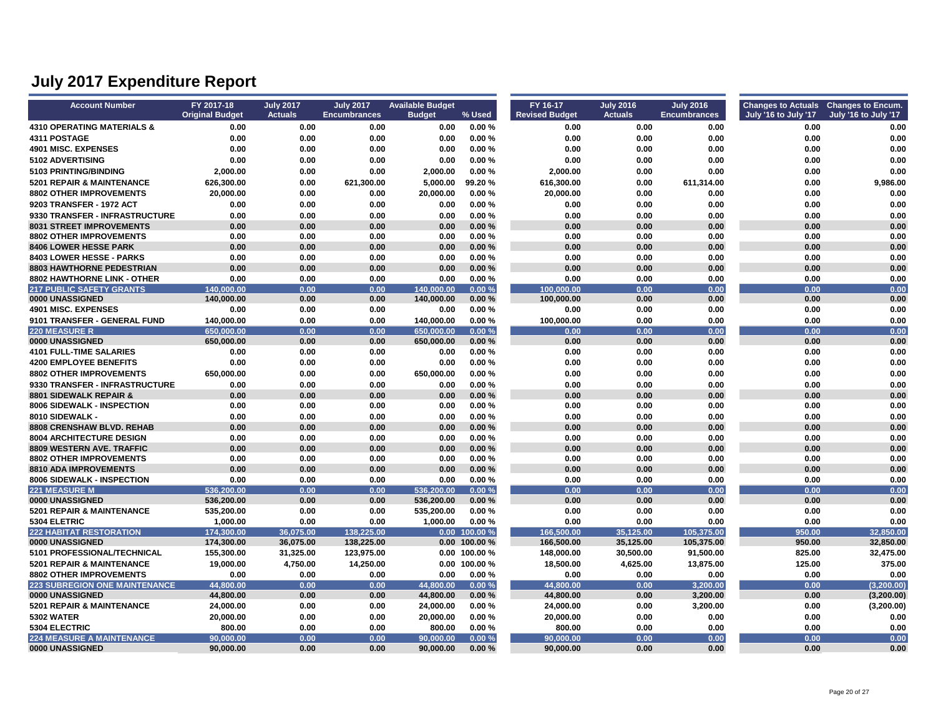| <b>Account Number</b>                                   | FY 2017-18<br><b>Original Budget</b> | <b>July 2017</b><br><b>Actuals</b> | <b>July 2017</b><br><b>Encumbrances</b> | <b>Available Budget</b><br><b>Budget</b> | % Used                             | FY 16-17<br><b>Revised Budget</b> | <b>July 2016</b><br><b>Actuals</b> | <b>July 2016</b><br><b>Encumbrances</b> | Changes to Actuals Changes to Encum.<br>July '16 to July '17 | July '16 to July '17   |
|---------------------------------------------------------|--------------------------------------|------------------------------------|-----------------------------------------|------------------------------------------|------------------------------------|-----------------------------------|------------------------------------|-----------------------------------------|--------------------------------------------------------------|------------------------|
| <b>4310 OPERATING MATERIALS &amp;</b>                   | 0.00                                 | 0.00                               | 0.00                                    | 0.00                                     | 0.00%                              | 0.00                              | 0.00                               | 0.00                                    | 0.00                                                         | 0.00                   |
| 4311 POSTAGE                                            | 0.00                                 | 0.00                               | 0.00                                    | 0.00                                     | 0.00%                              | 0.00                              | 0.00                               | 0.00                                    | 0.00                                                         | 0.00                   |
| 4901 MISC. EXPENSES                                     | 0.00                                 | 0.00                               | 0.00                                    | 0.00                                     | 0.00%                              | 0.00                              | 0.00                               | 0.00                                    | 0.00                                                         | 0.00                   |
| 5102 ADVERTISING                                        | 0.00                                 | 0.00                               | 0.00                                    | 0.00                                     | 0.00%                              | 0.00                              | 0.00                               | 0.00                                    | 0.00                                                         | 0.00                   |
| 5103 PRINTING/BINDING                                   | 2,000.00                             | 0.00                               | 0.00                                    | 2,000.00                                 | 0.00%                              | 2,000.00                          | 0.00                               | 0.00                                    | 0.00                                                         | 0.00                   |
| 5201 REPAIR & MAINTENANCE                               | 626,300.00                           | 0.00                               | 621,300.00                              | 5,000.00                                 | 99.20%                             | 616,300.00                        | 0.00                               | 611,314.00                              | 0.00                                                         | 9,986.00               |
| 8802 OTHER IMPROVEMENTS                                 | 20,000.00                            | 0.00                               | 0.00                                    | 20,000.00                                | 0.00%                              |                                   | 0.00                               | 0.00                                    |                                                              | 0.00                   |
|                                                         |                                      |                                    |                                         |                                          |                                    | 20,000.00                         |                                    |                                         | 0.00                                                         |                        |
| 9203 TRANSFER - 1972 ACT                                | 0.00                                 | 0.00                               | 0.00                                    | 0.00                                     | 0.00%                              | 0.00                              | 0.00                               | 0.00                                    | 0.00                                                         | 0.00                   |
| 9330 TRANSFER - INFRASTRUCTURE                          | 0.00                                 | 0.00                               | 0.00                                    | 0.00                                     | 0.00%                              | 0.00                              | 0.00                               | 0.00                                    | 0.00                                                         | 0.00                   |
| 8031 STREET IMPROVEMENTS                                | 0.00                                 | 0.00                               | 0.00                                    | 0.00                                     | 0.00%                              | 0.00                              | 0.00                               | 0.00                                    | 0.00                                                         | 0.00                   |
| <b>8802 OTHER IMPROVEMENTS</b>                          | 0.00                                 | 0.00                               | 0.00                                    | 0.00                                     | 0.00%                              | 0.00                              | 0.00                               | 0.00                                    | 0.00                                                         | 0.00                   |
| <b>8406 LOWER HESSE PARK</b>                            | 0.00                                 | 0.00                               | 0.00                                    | 0.00                                     | 0.00%                              | 0.00                              | 0.00                               | 0.00                                    | 0.00                                                         | 0.00                   |
| 8403 LOWER HESSE - PARKS                                | 0.00                                 | 0.00                               | 0.00                                    | 0.00                                     | 0.00%                              | 0.00                              | 0.00                               | 0.00                                    | 0.00                                                         | 0.00                   |
| <b>8803 HAWTHORNE PEDESTRIAN</b>                        | 0.00                                 | 0.00                               | 0.00                                    | 0.00                                     | 0.00%                              | 0.00                              | 0.00                               | 0.00                                    | 0.00                                                         | 0.00                   |
| <b>8802 HAWTHORNE LINK - OTHER</b>                      | 0.00                                 | 0.00                               | 0.00                                    | 0.00                                     | 0.00%                              | 0.00                              | 0.00                               | 0.00                                    | 0.00                                                         | 0.00                   |
| <b>217 PUBLIC SAFETY GRANTS</b><br>0000 UNASSIGNED      | 140,000.00<br>140,000.00             | 0.00<br>0.00                       | 0.00<br>0.00                            | 140,000.00<br>140,000.00                 | 0.00%<br>0.00%                     | 100,000.00<br>100,000.00          | 0.00                               | 0.00                                    | 0.00                                                         | 0.00                   |
|                                                         |                                      |                                    |                                         |                                          |                                    |                                   | 0.00                               | 0.00                                    | 0.00                                                         | 0.00                   |
| 4901 MISC. EXPENSES                                     | 0.00                                 | 0.00                               | 0.00                                    | 0.00                                     | 0.00%                              | 0.00                              | 0.00                               | 0.00                                    | 0.00                                                         | 0.00                   |
| 9101 TRANSFER - GENERAL FUND                            | 140,000.00                           | 0.00                               | 0.00                                    | 140,000.00                               | 0.00%                              | 100,000.00                        | 0.00                               | 0.00                                    | 0.00                                                         | 0.00                   |
| <b>220 MEASURE R</b><br>0000 UNASSIGNED                 | 650.000.00<br>650.000.00             | 0.00<br>0.00                       | 0.00<br>0.00                            | 650.000.00<br>650.000.00                 | 0.00%                              | 0.00<br>0.00                      | 0.00<br>0.00                       | 0.00<br>0.00                            | 0.00<br>0.00                                                 | 0.00<br>0.00           |
|                                                         |                                      |                                    |                                         |                                          | 0.00%                              |                                   |                                    |                                         |                                                              |                        |
| <b>4101 FULL-TIME SALARIES</b>                          | 0.00                                 | 0.00                               | 0.00                                    | 0.00                                     | 0.00%                              | 0.00                              | 0.00                               | 0.00                                    | 0.00                                                         | 0.00                   |
| <b>4200 EMPLOYEE BENEFITS</b>                           | 0.00                                 | 0.00                               | 0.00                                    | 0.00                                     | 0.00%                              | 0.00                              | 0.00                               | 0.00                                    | 0.00                                                         | 0.00                   |
| 8802 OTHER IMPROVEMENTS                                 | 650,000.00                           | 0.00                               | 0.00                                    | 650,000.00                               | 0.00%                              | 0.00                              | 0.00                               | 0.00                                    | 0.00                                                         | 0.00                   |
| 9330 TRANSFER - INFRASTRUCTURE                          | 0.00                                 | 0.00                               | 0.00                                    | 0.00                                     | 0.00%                              | 0.00                              | 0.00                               | 0.00                                    | 0.00                                                         | 0.00                   |
| 8801 SIDEWALK REPAIR &                                  | 0.00                                 | 0.00                               | 0.00                                    | 0.00                                     | 0.00%                              | 0.00                              | 0.00                               | 0.00                                    | 0.00                                                         | 0.00                   |
| 8006 SIDEWALK - INSPECTION                              | 0.00                                 | 0.00                               | 0.00                                    | 0.00                                     | 0.00%                              | 0.00                              | 0.00                               | 0.00                                    | 0.00                                                         | 0.00                   |
| 8010 SIDEWALK -                                         | 0.00                                 | 0.00                               | 0.00                                    | 0.00                                     | 0.00%                              | 0.00                              | 0.00                               | 0.00                                    | 0.00                                                         | 0.00                   |
| 8808 CRENSHAW BLVD. REHAB                               | 0.00                                 | 0.00                               | 0.00                                    | 0.00                                     | 0.00%                              | 0.00                              | 0.00                               | 0.00                                    | 0.00                                                         | 0.00                   |
| <b>8004 ARCHITECTURE DESIGN</b>                         | 0.00                                 | 0.00                               | 0.00                                    | 0.00                                     | 0.00%                              | 0.00                              | 0.00                               | 0.00                                    | 0.00                                                         | 0.00                   |
| <b>8809 WESTERN AVE, TRAFFIC</b>                        | 0.00                                 | 0.00                               | 0.00                                    | 0.00                                     | 0.00%                              | 0.00                              | 0.00                               | 0.00                                    | 0.00                                                         | 0.00                   |
| <b>8802 OTHER IMPROVEMENTS</b>                          | 0.00                                 | 0.00                               | 0.00                                    | 0.00                                     | 0.00%                              | 0.00                              | 0.00                               | 0.00                                    | 0.00                                                         | 0.00                   |
| 8810 ADA IMPROVEMENTS                                   | 0.00                                 | 0.00                               | 0.00                                    | 0.00                                     | 0.00%                              | 0.00                              | 0.00                               | 0.00                                    | 0.00                                                         | 0.00                   |
| 8006 SIDEWALK - INSPECTION                              | 0.00                                 | 0.00                               | 0.00                                    | 0.00                                     | 0.00%                              | 0.00                              | 0.00                               | 0.00                                    | 0.00                                                         | 0.00                   |
| <b>221 MEASURE M</b>                                    | 536.200.00                           | 0.00<br>0.00                       | 0.00<br>0.00                            | 536,200,00                               | 0.00%                              | 0.00                              | 0.00                               | 0.00                                    | 0.00                                                         | 0.00                   |
| 0000 UNASSIGNED<br><b>5201 REPAIR &amp; MAINTENANCE</b> | 536,200.00                           | 0.00                               | 0.00                                    | 536,200.00                               | 0.00%<br>0.00%                     | 0.00<br>0.00                      | 0.00<br>0.00                       | 0.00<br>0.00                            | 0.00<br>0.00                                                 | 0.00<br>0.00           |
|                                                         | 535,200.00                           |                                    |                                         | 535,200.00                               |                                    |                                   |                                    |                                         |                                                              |                        |
| 5304 ELETRIC                                            | 1,000.00                             | 0.00                               | 0.00                                    | 1,000.00                                 | 0.00%                              | 0.00                              | 0.00                               | 0.00                                    | 0.00                                                         | 0.00                   |
| <b>222 HABITAT RESTORATION</b><br>0000 UNASSIGNED       | 174,300.00<br>174,300.00             | 36,075.00<br>36,075.00             | 138,225.00<br>138,225.00                |                                          | $0.00$ 100.00 %<br>$0.00$ 100.00 % | 166,500.00<br>166,500.00          | 35,125.00<br>35,125.00             | 105,375.00<br>105,375.00                | 950.00<br>950.00                                             | 32,850.00<br>32,850.00 |
| 5101 PROFESSIONAL/TECHNICAL                             | 155,300.00                           | 31,325.00                          | 123,975.00                              |                                          | 0.00 100.00 %                      | 148,000.00                        | 30,500.00                          | 91,500.00                               | 825.00                                                       | 32,475.00              |
| 5201 REPAIR & MAINTENANCE                               | 19,000.00                            | 4,750.00                           | 14,250.00                               |                                          | $0.00$ 100.00 %                    | 18,500.00                         | 4,625.00                           | 13,875.00                               | 125.00                                                       | 375.00                 |
|                                                         |                                      |                                    |                                         |                                          |                                    |                                   |                                    |                                         |                                                              |                        |
| 8802 OTHER IMPROVEMENTS                                 | 0.00                                 | 0.00                               | 0.00                                    | 0.00                                     | 0.00%                              | 0.00                              | 0.00                               | 0.00                                    | 0.00                                                         | 0.00                   |
| <b>223 SUBREGION ONE MAINTENANCE</b>                    | 44,800.00                            | 0.00                               | 0.00                                    | 44,800.00                                | 0.00%                              | 44,800.00                         | 0.00                               | 3,200.00                                | 0.00                                                         | (3, 200.00)            |
| 0000 UNASSIGNED<br>5201 REPAIR & MAINTENANCE            | 44,800.00                            | 0.00<br>0.00                       | 0.00                                    | 44,800.00                                | 0.00%<br>0.00%                     | 44,800.00<br>24,000.00            | 0.00<br>0.00                       | 3.200.00<br>3,200.00                    | 0.00                                                         | (3,200.00)             |
|                                                         | 24,000.00                            |                                    | 0.00                                    | 24,000.00                                |                                    |                                   |                                    |                                         | 0.00                                                         | (3,200.00)             |
| <b>5302 WATER</b>                                       | 20,000.00                            | 0.00                               | 0.00                                    | 20,000.00                                | 0.00%                              | 20,000.00                         | 0.00                               | 0.00                                    | 0.00                                                         | 0.00                   |
| 5304 ELECTRIC                                           | 800.00                               | 0.00                               | 0.00                                    | 800.00                                   | 0.00%                              | 800.00                            | 0.00                               | 0.00                                    | 0.00                                                         | 0.00                   |
| <b>224 MEASURE A MAINTENANCE</b>                        | 90,000.00                            | 0.00                               | 0.00                                    | 90,000.00                                | 0.00%                              | 90,000.00                         | 0.00                               | 0.00                                    | 0.00                                                         | 0.00                   |
| 0000 UNASSIGNED                                         | 90,000.00                            | 0.00                               | 0.00                                    | 90,000.00                                | 0.00%                              | 90,000.00                         | 0.00                               | 0.00                                    | 0.00                                                         | 0.00                   |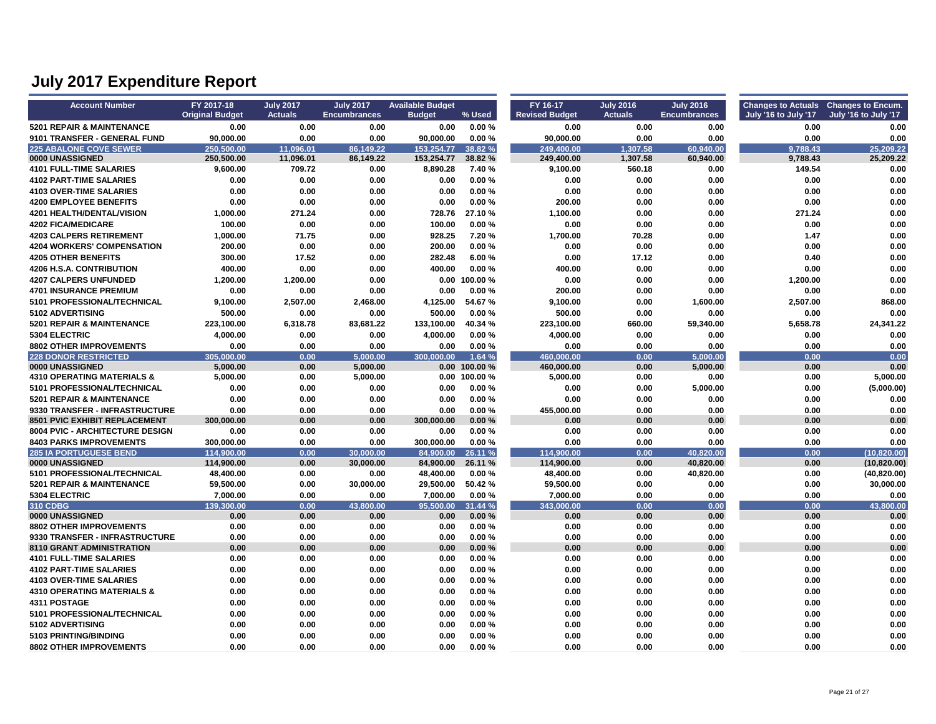| <b>Account Number</b>                 | FY 2017-18<br><b>Original Budget</b> | <b>July 2017</b><br><b>Actuals</b> | <b>July 2017</b><br><b>Encumbrances</b> | <b>Available Budget</b><br><b>Budget</b> | % Used          | FY 16-17<br><b>Revised Budget</b> | <b>July 2016</b><br><b>Actuals</b> | <b>July 2016</b><br><b>Encumbrances</b> | Changes to Actuals Changes to Encum.<br>July '16 to July '17 | July '16 to July '17 |
|---------------------------------------|--------------------------------------|------------------------------------|-----------------------------------------|------------------------------------------|-----------------|-----------------------------------|------------------------------------|-----------------------------------------|--------------------------------------------------------------|----------------------|
| 5201 REPAIR & MAINTENANCE             | 0.00                                 | 0.00                               | 0.00                                    | 0.00                                     | 0.00%           | 0.00                              | 0.00                               | 0.00                                    | 0.00                                                         | 0.00                 |
| 9101 TRANSFER - GENERAL FUND          | 90,000.00                            | 0.00                               | 0.00                                    | 90,000.00                                | 0.00%           | 90,000.00                         | 0.00                               | 0.00                                    | 0.00                                                         | 0.00                 |
| <b>225 ABALONE COVE SEWER</b>         | 250,500.00                           | 11,096.01                          | 86.149.22                               | 153.254.77                               | 38.82 %         | 249,400.00                        | 1.307.58                           | 60.940.00                               | 9,788.43                                                     | 25.209.22            |
| 0000 UNASSIGNED                       | 250,500.00                           | 11,096.01                          | 86,149.22                               | 153,254.77                               | 38.82 %         | 249,400.00                        | 1,307.58                           | 60,940.00                               | 9,788.43                                                     | 25,209.22            |
| <b>4101 FULL-TIME SALARIES</b>        | 9,600.00                             | 709.72                             | 0.00                                    | 8,890.28                                 | 7.40 %          | 9,100.00                          | 560.18                             | 0.00                                    | 149.54                                                       | 0.00                 |
| <b>4102 PART-TIME SALARIES</b>        | 0.00                                 | 0.00                               | 0.00                                    | 0.00                                     | 0.00%           | 0.00                              | 0.00                               | 0.00                                    | 0.00                                                         | 0.00                 |
| <b>4103 OVER-TIME SALARIES</b>        | 0.00                                 | 0.00                               | 0.00                                    | 0.00                                     | 0.00%           | 0.00                              | 0.00                               | 0.00                                    | 0.00                                                         | 0.00                 |
| <b>4200 EMPLOYEE BENEFITS</b>         | 0.00                                 | 0.00                               | 0.00                                    | 0.00                                     | 0.00%           | 200.00                            | 0.00                               | 0.00                                    | 0.00                                                         | 0.00                 |
| <b>4201 HEALTH/DENTAL/VISION</b>      | 1,000.00                             | 271.24                             | 0.00                                    | 728.76                                   | 27.10%          | 1,100.00                          | 0.00                               | 0.00                                    | 271.24                                                       | 0.00                 |
| <b>4202 FICA/MEDICARE</b>             | 100.00                               | 0.00                               | 0.00                                    | 100.00                                   | 0.00%           | 0.00                              | 0.00                               | 0.00                                    | 0.00                                                         | 0.00                 |
| <b>4203 CALPERS RETIREMENT</b>        | 1,000.00                             | 71.75                              | 0.00                                    | 928.25                                   | 7.20%           | 1,700.00                          | 70.28                              | 0.00                                    | 1.47                                                         | 0.00                 |
| <b>4204 WORKERS' COMPENSATION</b>     | 200.00                               | 0.00                               | 0.00                                    | 200.00                                   | 0.00%           | 0.00                              | 0.00                               | 0.00                                    | 0.00                                                         | 0.00                 |
| <b>4205 OTHER BENEFITS</b>            | 300.00                               | 17.52                              | 0.00                                    | 282.48                                   | 6.00%           | 0.00                              | 17.12                              | 0.00                                    | 0.40                                                         | 0.00                 |
| <b>4206 H.S.A. CONTRIBUTION</b>       | 400.00                               | 0.00                               | 0.00                                    | 400.00                                   | 0.00%           | 400.00                            | 0.00                               | 0.00                                    | 0.00                                                         | 0.00                 |
| <b>4207 CALPERS UNFUNDED</b>          | 1,200.00                             | 1,200.00                           | 0.00                                    |                                          | $0.00$ 100.00 % | 0.00                              | 0.00                               | 0.00                                    | 1,200.00                                                     | 0.00                 |
| <b>4701 INSURANCE PREMIUM</b>         | 0.00                                 | 0.00                               | 0.00                                    | 0.00                                     | 0.00%           | 200.00                            | 0.00                               | 0.00                                    | 0.00                                                         | 0.00                 |
| 5101 PROFESSIONAL/TECHNICAL           | 9,100.00                             | 2,507.00                           | 2,468.00                                | 4,125.00                                 | 54.67%          | 9,100.00                          | 0.00                               | 1,600.00                                | 2,507.00                                                     | 868.00               |
| 5102 ADVERTISING                      | 500.00                               | 0.00                               | 0.00                                    | 500.00                                   | 0.00%           | 500.00                            | 0.00                               | 0.00                                    | 0.00                                                         | 0.00                 |
| 5201 REPAIR & MAINTENANCE             | 223,100.00                           | 6,318.78                           | 83,681.22                               | 133,100.00                               | 40.34 %         | 223,100.00                        | 660.00                             | 59,340.00                               | 5,658.78                                                     | 24,341.22            |
| 5304 ELECTRIC                         | 4,000.00                             | 0.00                               | 0.00                                    | 4,000.00                                 | 0.00%           | 4,000.00                          | 0.00                               | 0.00                                    | 0.00                                                         | 0.00                 |
| 8802 OTHER IMPROVEMENTS               | 0.00                                 | 0.00                               | 0.00                                    | 0.00                                     | 0.00%           | 0.00                              | 0.00                               | 0.00                                    | 0.00                                                         | 0.00                 |
| <b>228 DONOR RESTRICTED</b>           | 305,000.00                           | 0.00                               | 5,000.00                                | 300,000.00                               | 1.64 %          | 460,000.00                        | 0.00                               | 5,000.00                                | 0.00                                                         | 0.00                 |
| 0000 UNASSIGNED                       | 5,000.00                             | 0.00                               | 5,000.00                                |                                          | $0.00$ 100.00 % | 460,000.00                        | 0.00                               | 5,000.00                                | 0.00                                                         | 0.00                 |
| <b>4310 OPERATING MATERIALS &amp;</b> | 5,000.00                             | 0.00                               | 5,000.00                                |                                          | $0.00$ 100.00 % | 5,000.00                          | 0.00                               | 0.00                                    | 0.00                                                         | 5,000.00             |
| 5101 PROFESSIONAL/TECHNICAL           | 0.00                                 | 0.00                               | 0.00                                    | 0.00                                     | 0.00%           | 0.00                              | 0.00                               | 5,000.00                                | 0.00                                                         | (5,000.00)           |
| <b>5201 REPAIR &amp; MAINTENANCE</b>  | 0.00                                 | 0.00                               | 0.00                                    | 0.00                                     | 0.00%           | 0.00                              | 0.00                               | 0.00                                    | 0.00                                                         | 0.00                 |
| 9330 TRANSFER - INFRASTRUCTURE        | 0.00                                 | 0.00                               | 0.00                                    | 0.00                                     | 0.00%           | 455,000.00                        | 0.00                               | 0.00                                    | 0.00                                                         | 0.00                 |
| <b>8501 PVIC EXHIBIT REPLACEMENT</b>  | 300,000.00                           | 0.00                               | 0.00                                    | 300,000.00                               | 0.00%           | 0.00                              | 0.00                               | 0.00                                    | 0.00                                                         | 0.00                 |
| 8004 PVIC - ARCHITECTURE DESIGN       | 0.00                                 | 0.00                               | 0.00                                    | 0.00                                     | 0.00%           | 0.00                              | 0.00                               | 0.00                                    | 0.00                                                         | 0.00                 |
| <b>8403 PARKS IMPROVEMENTS</b>        | 300.000.00                           | 0.00                               | 0.00                                    | 300,000.00                               | 0.00%           | 0.00                              | 0.00                               | 0.00                                    | 0.00                                                         | 0.00                 |
| <b>285 IA PORTUGUESE BEND</b>         | 114,900.00                           | 0.00                               | 30,000.00                               | 84,900.00                                | 26.11 %         | 114,900.00                        | 0.00                               | 40,820.00                               | 0.00                                                         | (10, 820.00)         |
| 0000 UNASSIGNED                       | 114.900.00                           | 0.00                               | 30.000.00                               | 84.900.00                                | 26.11 %         | 114.900.00                        | 0.00                               | 40,820.00                               | 0.00                                                         | (10, 820.00)         |
| 5101 PROFESSIONAL/TECHNICAL           | 48,400.00                            | 0.00                               | 0.00                                    | 48,400.00                                | 0.00%           | 48,400.00                         | 0.00                               | 40,820.00                               | 0.00                                                         | (40,820.00)          |
| 5201 REPAIR & MAINTENANCE             | 59,500.00                            | 0.00                               | 30,000.00                               | 29,500.00                                | 50.42 %         | 59,500.00                         | 0.00                               | 0.00                                    | 0.00                                                         | 30,000.00            |
| 5304 ELECTRIC                         | 7,000.00                             | 0.00                               | 0.00                                    | 7,000.00                                 | 0.00%           | 7,000.00                          | 0.00                               | 0.00                                    | 0.00                                                         | 0.00                 |
| <b>310 CDBG</b>                       | 139,300.00                           | 0.00                               | 43,800.00                               | 95,500.00                                | 31.44 %         | 343,000.00                        | 0.00                               | 0.00                                    | 0.00                                                         | 43,800.00            |
| 0000 UNASSIGNED                       | 0.00                                 | 0.00                               | 0.00                                    | 0.00                                     | 0.00%           | 0.00                              | 0.00                               | 0.00                                    | 0.00                                                         | 0.00                 |
| 8802 OTHER IMPROVEMENTS               | 0.00                                 | 0.00                               | 0.00                                    | 0.00                                     | 0.00%           | 0.00                              | 0.00                               | 0.00                                    | 0.00                                                         | 0.00                 |
| 9330 TRANSFER - INFRASTRUCTURE        | 0.00                                 | 0.00                               | 0.00                                    | 0.00                                     | 0.00%           | 0.00                              | 0.00                               | 0.00                                    | 0.00                                                         | 0.00                 |
| <b>8110 GRANT ADMINISTRATION</b>      | 0.00                                 | 0.00                               | 0.00                                    | 0.00                                     | 0.00%           | 0.00                              | 0.00                               | 0.00                                    | 0.00                                                         | 0.00                 |
| <b>4101 FULL-TIME SALARIES</b>        | 0.00                                 | 0.00                               | 0.00                                    | 0.00                                     | 0.00%           | 0.00                              | 0.00                               | 0.00                                    | 0.00                                                         | 0.00                 |
| <b>4102 PART-TIME SALARIES</b>        | 0.00                                 | 0.00                               | 0.00                                    | 0.00                                     | 0.00%           | 0.00                              | 0.00                               | 0.00                                    | 0.00                                                         | 0.00                 |
| <b>4103 OVER-TIME SALARIES</b>        | 0.00                                 | 0.00                               | 0.00                                    | 0.00                                     | 0.00%           | 0.00                              | 0.00                               | 0.00                                    | 0.00                                                         | 0.00                 |
| <b>4310 OPERATING MATERIALS &amp;</b> | 0.00                                 | 0.00                               | 0.00                                    | 0.00                                     | 0.00%           | 0.00                              | 0.00                               | 0.00                                    | 0.00                                                         | 0.00                 |
| <b>4311 POSTAGE</b>                   | 0.00                                 | 0.00                               | 0.00                                    | 0.00                                     | 0.00%           | 0.00                              | 0.00                               | 0.00                                    | 0.00                                                         | 0.00                 |
| 5101 PROFESSIONAL/TECHNICAL           | 0.00                                 | 0.00                               | 0.00                                    | 0.00                                     | 0.00%           | 0.00                              | 0.00                               | 0.00                                    | 0.00                                                         | 0.00                 |
| 5102 ADVERTISING                      | 0.00                                 | 0.00                               | 0.00                                    | 0.00                                     | 0.00%           | 0.00                              | 0.00                               | 0.00                                    | 0.00                                                         | 0.00                 |
| 5103 PRINTING/BINDING                 | 0.00                                 | 0.00                               | 0.00                                    | 0.00                                     | 0.00%           | 0.00                              | 0.00                               | 0.00                                    | 0.00                                                         | 0.00                 |
| 8802 OTHER IMPROVEMENTS               | 0.00                                 | 0.00                               | 0.00                                    | 0.00                                     | 0.00%           | 0.00                              | 0.00                               | 0.00                                    | 0.00                                                         | 0.00                 |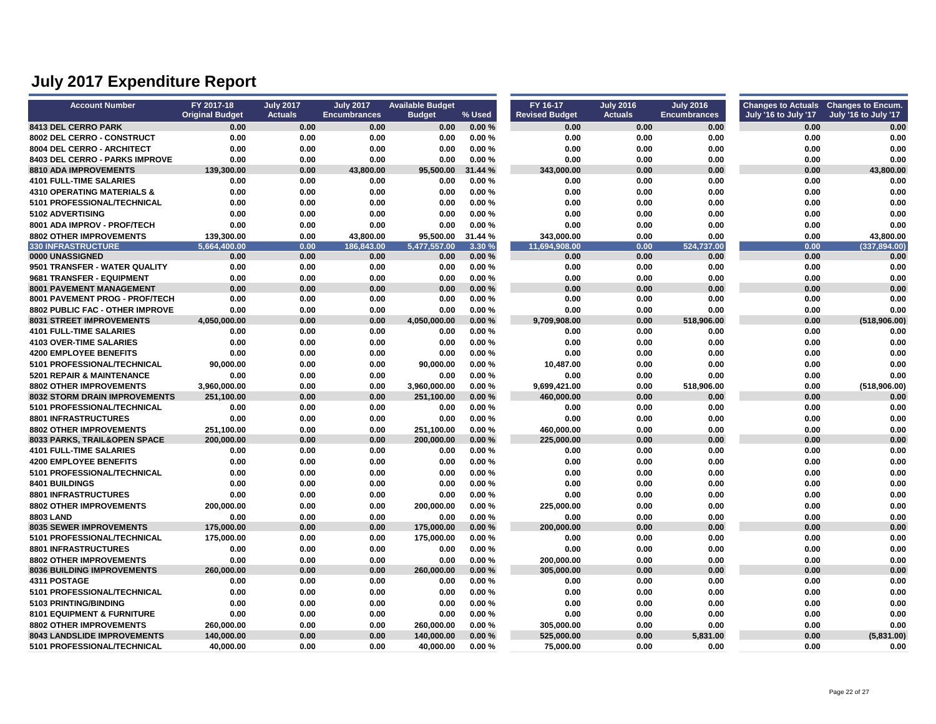| <b>Account Number</b>                 | FY 2017-18             | <b>July 2017</b> | <b>July 2017</b>    | <b>Available Budget</b> |         | FY 16-17              | <b>July 2016</b> | <b>July 2016</b>    | Changes to Actuals Changes to Encum. |                      |
|---------------------------------------|------------------------|------------------|---------------------|-------------------------|---------|-----------------------|------------------|---------------------|--------------------------------------|----------------------|
|                                       | <b>Original Budget</b> | <b>Actuals</b>   | <b>Encumbrances</b> | <b>Budget</b>           | % Used  | <b>Revised Budget</b> | <b>Actuals</b>   | <b>Encumbrances</b> | July '16 to July '17                 | July '16 to July '17 |
| 8413 DEL CERRO PARK                   | 0.00                   | 0.00             | 0.00                | 0.00                    | 0.00%   | 0.00                  | 0.00             | 0.00                | 0.00                                 | 0.00                 |
| 8002 DEL CERRO - CONSTRUCT            | 0.00                   | 0.00             | 0.00                | 0.00                    | 0.00%   | 0.00                  | 0.00             | 0.00                | 0.00                                 | 0.00                 |
| 8004 DEL CERRO - ARCHITECT            | 0.00                   | 0.00             | 0.00                | 0.00                    | 0.00%   | 0.00                  | 0.00             | 0.00                | 0.00                                 | 0.00                 |
| <b>8403 DEL CERRO - PARKS IMPROVE</b> | 0.00                   | 0.00             | 0.00                | 0.00                    | 0.00%   | 0.00                  | 0.00             | 0.00                | 0.00                                 | 0.00                 |
| 8810 ADA IMPROVEMENTS                 | 139,300.00             | 0.00             | 43,800.00           | 95,500.00               | 31.44 % | 343,000.00            | 0.00             | 0.00                | 0.00                                 | 43,800.00            |
| <b>4101 FULL-TIME SALARIES</b>        | 0.00                   | 0.00             | 0.00                | 0.00                    | 0.00%   | 0.00                  | 0.00             | 0.00                | 0.00                                 | 0.00                 |
| <b>4310 OPERATING MATERIALS &amp;</b> | 0.00                   | 0.00             | 0.00                | 0.00                    | 0.00%   | 0.00                  | 0.00             | 0.00                | 0.00                                 | 0.00                 |
| 5101 PROFESSIONAL/TECHNICAL           | 0.00                   | 0.00             | 0.00                | 0.00                    | 0.00%   | 0.00                  | 0.00             | 0.00                | 0.00                                 | 0.00                 |
| 5102 ADVERTISING                      | 0.00                   | 0.00             | 0.00                | 0.00                    | 0.00%   | 0.00                  | 0.00             | 0.00                | 0.00                                 | 0.00                 |
| 8001 ADA IMPROV - PROF/TECH           | 0.00                   | 0.00             | 0.00                | 0.00                    | 0.00%   | 0.00                  | 0.00             | 0.00                | 0.00                                 | 0.00                 |
| <b>8802 OTHER IMPROVEMENTS</b>        | 139.300.00             | 0.00             | 43.800.00           | 95,500.00               | 31.44 % | 343.000.00            | 0.00             | 0.00                | 0.00                                 | 43,800.00            |
| <b>330 INFRASTRUCTURE</b>             | 5.664.400.00           | 0.00             | 186.843.00          | 5.477.557.00            | 3.30 %  | 11.694.908.00         | 0.00             | 524.737.00          | 0.00                                 | (337.894.00)         |
| 0000 UNASSIGNED                       | 0.00                   | 0.00             | 0.00                | 0.00                    | 0.00%   | 0.00                  | 0.00             | 0.00                | 0.00                                 | 0.00                 |
| 9501 TRANSFER - WATER QUALITY         | 0.00                   | 0.00             | 0.00                | 0.00                    | 0.00%   | 0.00                  | 0.00             | 0.00                | 0.00                                 | 0.00                 |
| 9681 TRANSFER - EQUIPMENT             | 0.00                   | 0.00             | 0.00                | 0.00                    | 0.00%   | 0.00                  | 0.00             | 0.00                | 0.00                                 | 0.00                 |
| 8001 PAVEMENT MANAGEMENT              | 0.00                   | 0.00             | 0.00                | 0.00                    | 0.00%   | 0.00                  | 0.00             | 0.00                | 0.00                                 | 0.00                 |
| 8001 PAVEMENT PROG - PROF/TECH        | 0.00                   | 0.00             | 0.00                | 0.00                    | 0.00%   | 0.00                  | 0.00             | 0.00                | 0.00                                 | 0.00                 |
| 8802 PUBLIC FAC - OTHER IMPROVE       | 0.00                   | 0.00             | 0.00                | 0.00                    | 0.00%   | 0.00                  | 0.00             | 0.00                | 0.00                                 | 0.00                 |
| <b>8031 STREET IMPROVEMENTS</b>       | 4,050,000.00           | 0.00             | 0.00                | 4,050,000.00            | 0.00%   | 9,709,908.00          | 0.00             | 518,906.00          | 0.00                                 | (518,906.00)         |
| <b>4101 FULL-TIME SALARIES</b>        | 0.00                   | 0.00             | 0.00                | 0.00                    | 0.00%   | 0.00                  | 0.00             | 0.00                | 0.00                                 | 0.00                 |
| <b>4103 OVER-TIME SALARIES</b>        | 0.00                   | 0.00             | 0.00                | 0.00                    | 0.00%   | 0.00                  | 0.00             | 0.00                | 0.00                                 | 0.00                 |
| <b>4200 EMPLOYEE BENEFITS</b>         | 0.00                   | 0.00             | 0.00                | 0.00                    | 0.00%   | 0.00                  | 0.00             | 0.00                | 0.00                                 | 0.00                 |
| 5101 PROFESSIONAL/TECHNICAL           | 90,000.00              | 0.00             | 0.00                | 90,000.00               | 0.00%   | 10,487.00             | 0.00             | 0.00                | 0.00                                 | 0.00                 |
| 5201 REPAIR & MAINTENANCE             | 0.00                   | 0.00             | 0.00                | 0.00                    | 0.00%   | 0.00                  | 0.00             | 0.00                | 0.00                                 | 0.00                 |
| <b>8802 OTHER IMPROVEMENTS</b>        | 3,960,000.00           | 0.00             | 0.00                | 3,960,000.00            | 0.00%   | 9,699,421.00          | 0.00             | 518,906.00          | 0.00                                 | (518,906.00)         |
| <b>8032 STORM DRAIN IMPROVEMENTS</b>  | 251,100.00             | 0.00             | 0.00                | 251,100.00              | 0.00%   | 460,000.00            | 0.00             | 0.00                | 0.00                                 | 0.00                 |
| 5101 PROFESSIONAL/TECHNICAL           | 0.00                   | 0.00             | 0.00                | 0.00                    | 0.00%   | 0.00                  | 0.00             | 0.00                | 0.00                                 | 0.00                 |
| 8801 INFRASTRUCTURES                  | 0.00                   | 0.00             | 0.00                | 0.00                    | 0.00%   | 0.00                  | 0.00             | 0.00                | 0.00                                 | 0.00                 |
| <b>8802 OTHER IMPROVEMENTS</b>        | 251,100.00             | 0.00             | 0.00                | 251,100.00              | 0.00%   | 460,000.00            | 0.00             | 0.00                | 0.00                                 | 0.00                 |
| 8033 PARKS, TRAIL&OPEN SPACE          | 200,000.00             | 0.00             | 0.00                | 200,000.00              | 0.00%   | 225,000.00            | 0.00             | 0.00                | 0.00                                 | 0.00                 |
| <b>4101 FULL-TIME SALARIES</b>        | 0.00                   | 0.00             | 0.00                | 0.00                    | 0.00%   | 0.00                  | 0.00             | 0.00                | 0.00                                 | 0.00                 |
| <b>4200 EMPLOYEE BENEFITS</b>         | 0.00                   | 0.00             | 0.00                | 0.00                    | 0.00%   | 0.00                  | 0.00             | 0.00                | 0.00                                 | 0.00                 |
| 5101 PROFESSIONAL/TECHNICAL           | 0.00                   | 0.00             | 0.00                | 0.00                    | 0.00%   | 0.00                  | 0.00             | 0.00                | 0.00                                 | 0.00                 |
| 8401 BUILDINGS                        | 0.00                   | 0.00             | 0.00                | 0.00                    | 0.00%   | 0.00                  | 0.00             | 0.00                | 0.00                                 | 0.00                 |
| <b>8801 INFRASTRUCTURES</b>           | 0.00                   | 0.00             | 0.00                | 0.00                    | 0.00%   | 0.00                  | 0.00             | 0.00                | 0.00                                 | 0.00                 |
| <b>8802 OTHER IMPROVEMENTS</b>        | 200.000.00             | 0.00             | 0.00                | 200,000.00              | 0.00%   | 225,000.00            | 0.00             | 0.00                | 0.00                                 | 0.00                 |
| <b>8803 LAND</b>                      | 0.00                   | 0.00             | 0.00                | 0.00                    | 0.00%   | 0.00                  | 0.00             | 0.00                | 0.00                                 | 0.00                 |
| <b>8035 SEWER IMPROVEMENTS</b>        | 175,000.00             | 0.00             | 0.00                | 175,000.00              | 0.00%   | 200,000.00            | 0.00             | 0.00                | 0.00                                 | 0.00                 |
| 5101 PROFESSIONAL/TECHNICAL           | 175,000.00             | 0.00             | 0.00                | 175,000.00              | 0.00%   | 0.00                  | 0.00             | 0.00                | 0.00                                 | 0.00                 |
| 8801 INFRASTRUCTURES                  | 0.00                   | 0.00             | 0.00                | 0.00                    | 0.00%   | 0.00                  | 0.00             | 0.00                | 0.00                                 | 0.00                 |
| <b>8802 OTHER IMPROVEMENTS</b>        | 0.00                   | 0.00             | 0.00                | 0.00                    | 0.00%   | 200,000.00            | 0.00             | 0.00                | 0.00                                 | 0.00                 |
| <b>8036 BUILDING IMPROVEMENTS</b>     | 260.000.00             | 0.00             | 0.00                | 260.000.00              | 0.00%   | 305,000.00            | 0.00             | 0.00                | 0.00                                 | 0.00                 |
| 4311 POSTAGE                          | 0.00                   | 0.00             | 0.00                | 0.00                    | 0.00%   | 0.00                  | 0.00             | 0.00                | 0.00                                 | 0.00                 |
| 5101 PROFESSIONAL/TECHNICAL           | 0.00                   | 0.00             | 0.00                | 0.00                    | 0.00%   | 0.00                  | 0.00             | 0.00                | 0.00                                 | 0.00                 |
| 5103 PRINTING/BINDING                 | 0.00                   | 0.00             | 0.00                | 0.00                    | 0.00%   | 0.00                  | 0.00             | 0.00                | 0.00                                 | 0.00                 |
|                                       | 0.00                   | 0.00             |                     |                         | 0.00%   | 0.00                  |                  | 0.00                |                                      |                      |
| <b>8101 EQUIPMENT &amp; FURNITURE</b> |                        |                  | 0.00                | 0.00                    |         |                       | 0.00             |                     | 0.00                                 | 0.00                 |
| 8802 OTHER IMPROVEMENTS               | 260,000.00             | 0.00             | 0.00                | 260,000.00              | 0.00%   | 305,000.00            | 0.00             | 0.00                | 0.00                                 | 0.00                 |
| <b>8043 LANDSLIDE IMPROVEMENTS</b>    | 140,000.00             | 0.00             | 0.00                | 140,000.00              | 0.00%   | 525,000.00            | 0.00             | 5,831.00            | 0.00                                 | (5,831.00)           |
| 5101 PROFESSIONAL/TECHNICAL           | 40,000.00              | 0.00             | 0.00                | 40,000.00               | 0.00%   | 75,000.00             | 0.00             | 0.00                | 0.00                                 | 0.00                 |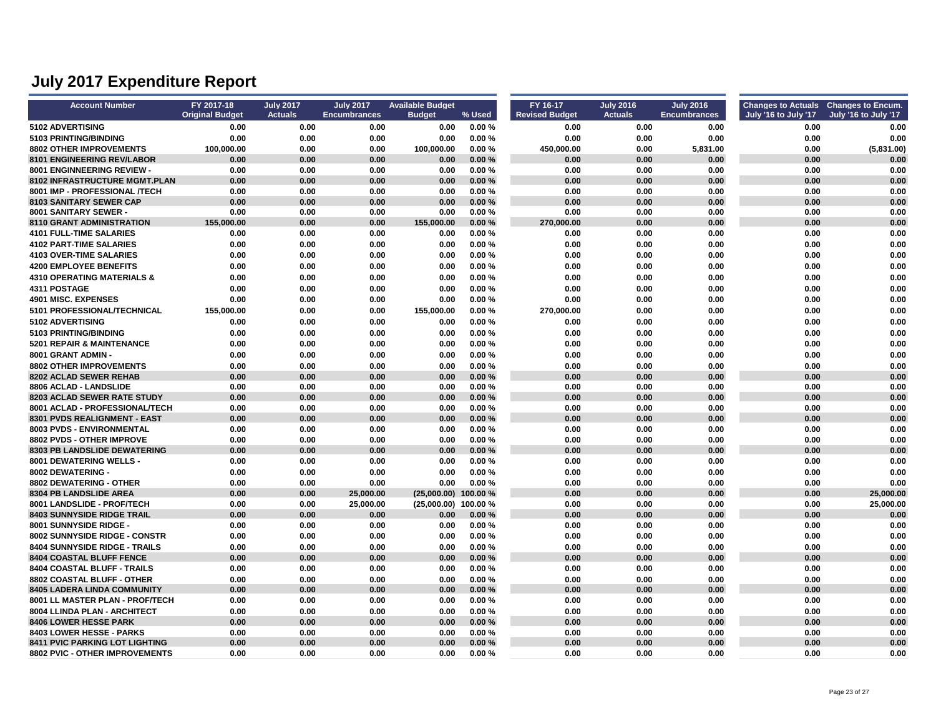| <b>Account Number</b>                 | FY 2017-18<br><b>Original Budget</b> | <b>July 2017</b><br><b>Actuals</b> | <b>July 2017</b><br><b>Encumbrances</b> | <b>Available Budget</b><br><b>Budget</b> | % Used  | FY 16-17<br><b>Revised Budget</b> | <b>July 2016</b><br><b>Actuals</b> | <b>July 2016</b><br><b>Encumbrances</b> | Changes to Actuals Changes to Encum.<br>July '16 to July '17 | July '16 to July '17 |
|---------------------------------------|--------------------------------------|------------------------------------|-----------------------------------------|------------------------------------------|---------|-----------------------------------|------------------------------------|-----------------------------------------|--------------------------------------------------------------|----------------------|
| 5102 ADVERTISING                      | 0.00                                 | 0.00                               | 0.00                                    | 0.00                                     | 0.00%   | 0.00                              | 0.00                               | 0.00                                    | 0.00                                                         | 0.00                 |
| 5103 PRINTING/BINDING                 | 0.00                                 | 0.00                               | 0.00                                    | 0.00                                     | 0.00%   | 0.00                              | 0.00                               | 0.00                                    | 0.00                                                         | 0.00                 |
| <b>8802 OTHER IMPROVEMENTS</b>        | 100,000.00                           | 0.00                               | 0.00                                    | 100,000.00                               | 0.00%   | 450,000.00                        | 0.00                               | 5,831.00                                | 0.00                                                         | (5,831.00)           |
| <b>8101 ENGINEERING REV/LABOR</b>     | 0.00                                 | 0.00                               | 0.00                                    | 0.00                                     | 0.00%   | 0.00                              | 0.00                               | 0.00                                    | 0.00                                                         | 0.00                 |
| 8001 ENGINNEERING REVIEW -            | 0.00                                 | 0.00                               | 0.00                                    | 0.00                                     | 0.00%   | 0.00                              | 0.00                               | 0.00                                    | 0.00                                                         | 0.00                 |
| <b>8102 INFRASTRUCTURE MGMT.PLAN</b>  | 0.00                                 | 0.00                               | 0.00                                    | 0.00                                     | 0.00%   | 0.00                              | 0.00                               | 0.00                                    | 0.00                                                         | 0.00                 |
| 8001 IMP - PROFESSIONAL /TECH         | 0.00                                 | 0.00                               | 0.00                                    | 0.00                                     | 0.00%   | 0.00                              | 0.00                               | 0.00                                    | 0.00                                                         | 0.00                 |
| 8103 SANITARY SEWER CAP               | 0.00                                 | 0.00                               | 0.00                                    | 0.00                                     | 0.00%   | 0.00                              | 0.00                               | 0.00                                    | 0.00                                                         | 0.00                 |
| 8001 SANITARY SEWER -                 | 0.00                                 | 0.00                               | 0.00                                    | 0.00                                     | 0.00%   | 0.00                              | 0.00                               | 0.00                                    | 0.00                                                         | 0.00                 |
| 8110 GRANT ADMINISTRATION             | 155,000.00                           | 0.00                               | 0.00                                    | 155,000.00                               | 0.00%   | 270,000.00                        | 0.00                               | 0.00                                    | 0.00                                                         | 0.00                 |
| <b>4101 FULL-TIME SALARIES</b>        | 0.00                                 | 0.00                               | 0.00                                    | 0.00                                     | 0.00%   | 0.00                              | 0.00                               | 0.00                                    | 0.00                                                         | 0.00                 |
| <b>4102 PART-TIME SALARIES</b>        | 0.00                                 | 0.00                               | 0.00                                    | 0.00                                     | 0.00%   | 0.00                              | 0.00                               | 0.00                                    | 0.00                                                         | 0.00                 |
| <b>4103 OVER-TIME SALARIES</b>        | 0.00                                 | 0.00                               | 0.00                                    | 0.00                                     | 0.00%   | 0.00                              | 0.00                               | 0.00                                    | 0.00                                                         | 0.00                 |
| <b>4200 EMPLOYEE BENEFITS</b>         | 0.00                                 | 0.00                               | 0.00                                    | 0.00                                     | 0.00%   | 0.00                              | 0.00                               | 0.00                                    | 0.00                                                         | 0.00                 |
| <b>4310 OPERATING MATERIALS &amp;</b> | 0.00                                 | 0.00                               | 0.00                                    | 0.00                                     | 0.00%   | 0.00                              | 0.00                               | 0.00                                    | 0.00                                                         | 0.00                 |
| 4311 POSTAGE                          | 0.00                                 | 0.00                               | 0.00                                    | 0.00                                     | 0.00%   | 0.00                              | 0.00                               | 0.00                                    | 0.00                                                         | 0.00                 |
| 4901 MISC. EXPENSES                   | 0.00                                 | 0.00                               | 0.00                                    | 0.00                                     | 0.00%   | 0.00                              | 0.00                               | 0.00                                    | 0.00                                                         | 0.00                 |
| 5101 PROFESSIONAL/TECHNICAL           | 155.000.00                           | 0.00                               | 0.00                                    | 155,000.00                               | 0.00%   | 270,000.00                        | 0.00                               | 0.00                                    | 0.00                                                         | 0.00                 |
| 5102 ADVERTISING                      | 0.00                                 | 0.00                               | 0.00                                    | 0.00                                     | 0.00%   | 0.00                              | 0.00                               | 0.00                                    | 0.00                                                         | 0.00                 |
| 5103 PRINTING/BINDING                 | 0.00                                 | 0.00                               | 0.00                                    | 0.00                                     | 0.00%   | 0.00                              | 0.00                               | 0.00                                    | 0.00                                                         | 0.00                 |
| 5201 REPAIR & MAINTENANCE             | 0.00                                 | 0.00                               | 0.00                                    | 0.00                                     | 0.00%   | 0.00                              | 0.00                               | 0.00                                    | 0.00                                                         | 0.00                 |
| 8001 GRANT ADMIN -                    | 0.00                                 | 0.00                               | 0.00                                    | 0.00                                     | 0.00%   | 0.00                              | 0.00                               | 0.00                                    | 0.00                                                         | 0.00                 |
| <b>8802 OTHER IMPROVEMENTS</b>        | 0.00                                 | 0.00                               | 0.00                                    | 0.00                                     | 0.00%   | 0.00                              | 0.00                               | 0.00                                    | 0.00                                                         | 0.00                 |
| 8202 ACLAD SEWER REHAB                | 0.00                                 | 0.00                               | 0.00                                    | 0.00                                     | 0.00%   | 0.00                              | 0.00                               | 0.00                                    | 0.00                                                         | 0.00                 |
| 8806 ACLAD - LANDSLIDE                | 0.00                                 | 0.00                               | 0.00                                    | 0.00                                     | 0.00%   | 0.00                              | 0.00                               | 0.00                                    | 0.00                                                         | 0.00                 |
| 8203 ACLAD SEWER RATE STUDY           | 0.00                                 | 0.00                               | 0.00                                    | 0.00                                     | 0.00%   | 0.00                              | 0.00                               | 0.00                                    | 0.00                                                         | 0.00                 |
| 8001 ACLAD - PROFESSIONAL/TECH        | 0.00                                 | 0.00                               | 0.00                                    | 0.00                                     | 0.00%   | 0.00                              | 0.00                               | 0.00                                    | 0.00                                                         | 0.00                 |
| 8301 PVDS REALIGNMENT - EAST          | 0.00                                 | 0.00                               | 0.00                                    | 0.00                                     | 0.00%   | 0.00                              | 0.00                               | 0.00                                    | 0.00                                                         | 0.00                 |
| 8003 PVDS - ENVIRONMENTAL             | 0.00                                 | 0.00                               | 0.00                                    | 0.00                                     | 0.00%   | 0.00                              | 0.00                               | 0.00                                    | 0.00                                                         | 0.00                 |
| 8802 PVDS - OTHER IMPROVE             | 0.00                                 | 0.00                               | 0.00                                    | 0.00                                     | 0.00%   | 0.00                              | 0.00                               | 0.00                                    | 0.00                                                         | 0.00                 |
| 8303 PB LANDSLIDE DEWATERING          | 0.00                                 | 0.00                               | 0.00                                    | 0.00                                     | 0.00%   | 0.00                              | 0.00                               | 0.00                                    | 0.00                                                         | 0.00                 |
| 8001 DEWATERING WELLS -               | 0.00                                 | 0.00                               | 0.00                                    | 0.00                                     | 0.00%   | 0.00                              | 0.00                               | 0.00                                    | 0.00                                                         | 0.00                 |
| 8002 DEWATERING -                     | 0.00                                 | 0.00                               | 0.00                                    | 0.00                                     | 0.00%   | 0.00                              | 0.00                               | 0.00                                    | 0.00                                                         | 0.00                 |
| 8802 DEWATERING - OTHER               | 0.00                                 | 0.00                               | 0.00                                    | 0.00                                     | 0.00%   | 0.00                              | 0.00                               | 0.00                                    | 0.00                                                         | 0.00                 |
| 8304 PB LANDSLIDE AREA                | 0.00                                 | 0.00                               | 25,000.00                               | (25,000.00)                              | 100.00% | 0.00                              | 0.00                               | 0.00                                    | 0.00                                                         | 25,000.00            |
| 8001 LANDSLIDE - PROF/TECH            | 0.00                                 | 0.00                               | 25,000.00                               | (25,000.00)                              | 100.00% | 0.00                              | 0.00                               | 0.00                                    | 0.00                                                         | 25,000.00            |
| 8403 SUNNYSIDE RIDGE TRAIL            | 0.00                                 | 0.00                               | 0.00                                    | 0.00                                     | 0.00%   | 0.00                              | 0.00                               | 0.00                                    | 0.00                                                         | 0.00                 |
| 8001 SUNNYSIDE RIDGE -                | 0.00                                 | 0.00                               | 0.00                                    | 0.00                                     | 0.00%   | 0.00                              | 0.00                               | 0.00                                    | 0.00                                                         | 0.00                 |
| 8002 SUNNYSIDE RIDGE - CONSTR         | 0.00                                 | 0.00                               | 0.00                                    | 0.00                                     | 0.00%   | 0.00                              | 0.00                               | 0.00                                    | 0.00                                                         | 0.00                 |
| 8404 SUNNYSIDE RIDGE - TRAILS         | 0.00                                 | 0.00                               | 0.00                                    | 0.00                                     | 0.00%   | 0.00                              | 0.00                               | 0.00                                    | 0.00                                                         | 0.00                 |
| <b>8404 COASTAL BLUFF FENCE</b>       | 0.00                                 | 0.00                               | 0.00                                    | 0.00                                     | 0.00%   | 0.00                              | 0.00                               | 0.00                                    | 0.00                                                         | 0.00                 |
| 8404 COASTAL BLUFF - TRAILS           | 0.00                                 | 0.00                               | 0.00                                    | 0.00                                     | 0.00%   | 0.00                              | 0.00                               | 0.00                                    | 0.00                                                         | 0.00                 |
| 8802 COASTAL BLUFF - OTHER            | 0.00                                 | 0.00                               | 0.00                                    | 0.00                                     | 0.00%   | 0.00                              | 0.00                               | 0.00                                    | 0.00                                                         | 0.00                 |
| <b>8405 LADERA LINDA COMMUNITY</b>    | 0.00                                 | 0.00                               | 0.00                                    | 0.00                                     | 0.00%   | 0.00                              | 0.00                               | 0.00                                    | 0.00                                                         | 0.00                 |
| 8001 LL MASTER PLAN - PROF/TECH       | 0.00                                 | 0.00                               | 0.00                                    | 0.00                                     | 0.00%   | 0.00                              | 0.00                               | 0.00                                    | 0.00                                                         | 0.00                 |
| 8004 LLINDA PLAN - ARCHITECT          | 0.00                                 | 0.00                               | 0.00                                    | 0.00                                     | 0.00%   | 0.00                              | 0.00                               | 0.00                                    | 0.00                                                         | 0.00                 |
| <b>8406 LOWER HESSE PARK</b>          | 0.00                                 | 0.00                               | 0.00                                    | 0.00                                     | 0.00%   | 0.00                              | 0.00                               | 0.00                                    | 0.00                                                         | 0.00                 |
| 8403 LOWER HESSE - PARKS              | 0.00                                 | 0.00                               | 0.00                                    | 0.00                                     | 0.00%   | 0.00                              | 0.00                               | 0.00                                    | 0.00                                                         | 0.00                 |
| 8411 PVIC PARKING LOT LIGHTING        | 0.00                                 | 0.00                               | 0.00                                    | 0.00                                     | 0.00%   | 0.00                              | 0.00                               | 0.00                                    | 0.00                                                         | 0.00                 |
| 8802 PVIC - OTHER IMPROVEMENTS        | 0.00                                 | 0.00                               | 0.00                                    | 0.00                                     | 0.00%   | 0.00                              | 0.00                               | 0.00                                    | 0.00                                                         | 0.00                 |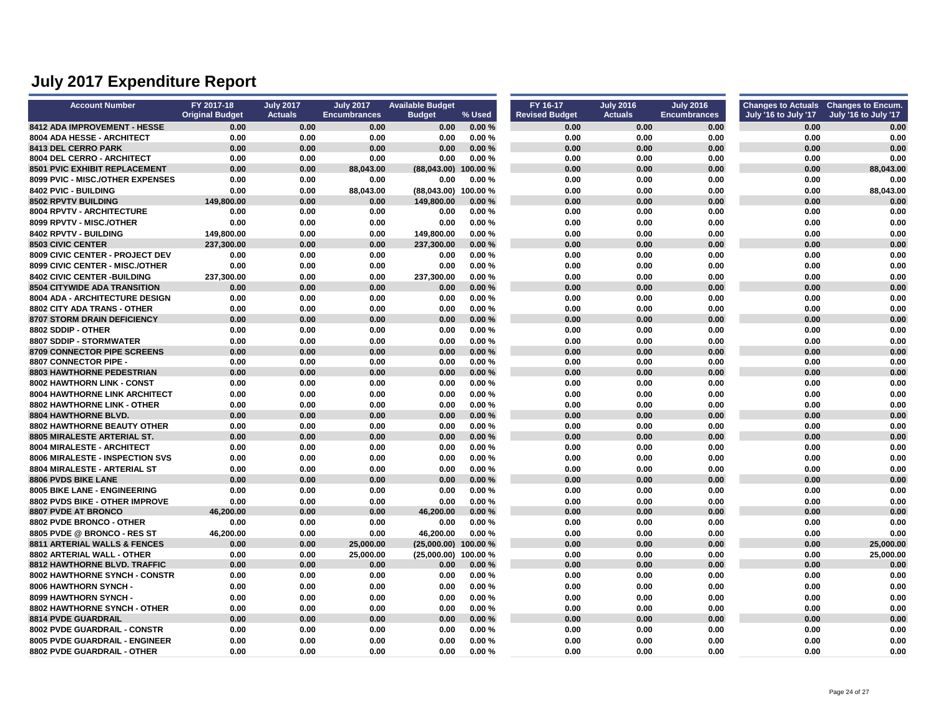| <b>Account Number</b>                | FY 2017-18             | <b>July 2017</b> | <b>July 2017</b>    | <b>Available Budget</b> |         | FY 16-17              | <b>July 2016</b> | <b>July 2016</b>    | Changes to Actuals Changes to Encum. |                      |
|--------------------------------------|------------------------|------------------|---------------------|-------------------------|---------|-----------------------|------------------|---------------------|--------------------------------------|----------------------|
|                                      | <b>Original Budget</b> | <b>Actuals</b>   | <b>Encumbrances</b> | <b>Budget</b>           | % Used  | <b>Revised Budget</b> | <b>Actuals</b>   | <b>Encumbrances</b> | July '16 to July '17                 | July '16 to July '17 |
| 8412 ADA IMPROVEMENT - HESSE         | 0.00                   | 0.00             | 0.00                | 0.00                    | 0.00%   | 0.00                  | 0.00             | 0.00                | 0.00                                 | 0.00                 |
| 8004 ADA HESSE - ARCHITECT           | 0.00                   | 0.00             | 0.00                | 0.00                    | 0.00%   | 0.00                  | 0.00             | 0.00                | 0.00                                 | 0.00                 |
| 8413 DEL CERRO PARK                  | 0.00                   | 0.00             | 0.00                | 0.00                    | 0.00%   | 0.00                  | 0.00             | 0.00                | 0.00                                 | 0.00                 |
| 8004 DEL CERRO - ARCHITECT           | 0.00                   | 0.00             | 0.00                | 0.00                    | 0.00%   | 0.00                  | 0.00             | 0.00                | 0.00                                 | 0.00                 |
| <b>8501 PVIC EXHIBIT REPLACEMENT</b> | 0.00                   | 0.00             | 88,043.00           | (88,043.00)             | 100.00% | 0.00                  | 0.00             | 0.00                | 0.00                                 | 88,043.00            |
| 8099 PVIC - MISC./OTHER EXPENSES     | 0.00                   | 0.00             | 0.00                | 0.00                    | 0.00%   | 0.00                  | 0.00             | 0.00                | 0.00                                 | 0.00                 |
| 8402 PVIC - BUILDING                 | 0.00                   | 0.00             | 88,043.00           | (88,043.00)             | 100.00% | 0.00                  | 0.00             | 0.00                | 0.00                                 | 88,043.00            |
| <b>8502 RPVTV BUILDING</b>           | 149,800.00             | 0.00             | 0.00                | 149,800.00              | 0.00%   | 0.00                  | 0.00             | 0.00                | 0.00                                 | 0.00                 |
| 8004 RPVTV - ARCHITECTURE            | 0.00                   | 0.00             | 0.00                | 0.00                    | 0.00%   | 0.00                  | 0.00             | 0.00                | 0.00                                 | 0.00                 |
| 8099 RPVTV - MISC./OTHER             | 0.00                   | 0.00             | 0.00                | 0.00                    | 0.00%   | 0.00                  | 0.00             | 0.00                | 0.00                                 | 0.00                 |
| 8402 RPVTV - BUILDING                | 149,800.00             | 0.00             | 0.00                | 149,800.00              | 0.00%   | 0.00                  | 0.00             | 0.00                | 0.00                                 | 0.00                 |
| <b>8503 CIVIC CENTER</b>             | 237.300.00             | 0.00             | 0.00                | 237.300.00              | 0.00%   | 0.00                  | 0.00             | 0.00                | 0.00                                 | 0.00                 |
| 8009 CIVIC CENTER - PROJECT DEV      | 0.00                   | 0.00             | 0.00                | 0.00                    | 0.00%   | 0.00                  | 0.00             | 0.00                | 0.00                                 | 0.00                 |
| 8099 CIVIC CENTER - MISC./OTHER      | 0.00                   | 0.00             | 0.00                | 0.00                    | 0.00%   | 0.00                  | 0.00             | 0.00                | 0.00                                 | 0.00                 |
| <b>8402 CIVIC CENTER - BUILDING</b>  | 237,300.00             | 0.00             | 0.00                | 237,300.00              | 0.00%   | 0.00                  | 0.00             | 0.00                | 0.00                                 | 0.00                 |
| <b>8504 CITYWIDE ADA TRANSITION</b>  | 0.00                   | 0.00             | 0.00                | 0.00                    | 0.00%   | 0.00                  | 0.00             | 0.00                | 0.00                                 | 0.00                 |
| 8004 ADA - ARCHITECTURE DESIGN       | 0.00                   | 0.00             | 0.00                | 0.00                    | 0.00%   | 0.00                  | 0.00             | 0.00                | 0.00                                 | 0.00                 |
| 8802 CITY ADA TRANS - OTHER          | 0.00                   | 0.00             | 0.00                | 0.00                    | 0.00%   | 0.00                  | 0.00             | 0.00                | 0.00                                 | 0.00                 |
| 8707 STORM DRAIN DEFICIENCY          | 0.00                   | 0.00             | 0.00                | 0.00                    | 0.00%   | 0.00                  | 0.00             | 0.00                | 0.00                                 | 0.00                 |
| 8802 SDDIP - OTHER                   | 0.00                   | 0.00             | 0.00                | 0.00                    | 0.00%   | 0.00                  | 0.00             | 0.00                | 0.00                                 | 0.00                 |
| 8807 SDDIP - STORMWATER              | 0.00                   | 0.00             | 0.00                | 0.00                    | 0.00%   | 0.00                  | 0.00             | 0.00                | 0.00                                 | 0.00                 |
| 8709 CONNECTOR PIPE SCREENS          | 0.00                   | 0.00             | 0.00                | 0.00                    | 0.00%   | 0.00                  | 0.00             | 0.00                | 0.00                                 | 0.00                 |
| 8807 CONNECTOR PIPE -                | 0.00                   | 0.00             | 0.00                | 0.00                    | 0.00%   | 0.00                  | 0.00             | 0.00                | 0.00                                 | 0.00                 |
| 8803 HAWTHORNE PEDESTRIAN            | 0.00                   | 0.00             | 0.00                | 0.00                    | 0.00%   | 0.00                  | 0.00             | 0.00                | 0.00                                 | 0.00                 |
| 8002 HAWTHORN LINK - CONST           | 0.00                   | 0.00             | 0.00                | 0.00                    | 0.00%   | 0.00                  | 0.00             | 0.00                | 0.00                                 | 0.00                 |
| <b>8004 HAWTHORNE LINK ARCHITECT</b> | 0.00                   | 0.00             | 0.00                | 0.00                    | 0.00%   | 0.00                  | 0.00             | 0.00                | 0.00                                 | 0.00                 |
| 8802 HAWTHORNE LINK - OTHER          | 0.00                   | 0.00             | 0.00                | 0.00                    | 0.00%   | 0.00                  | 0.00             | 0.00                | 0.00                                 | 0.00                 |
| 8804 HAWTHORNE BLVD.                 | 0.00                   | 0.00             | 0.00                | 0.00                    | 0.00%   | 0.00                  | 0.00             | 0.00                | 0.00                                 | 0.00                 |
| <b>8802 HAWTHORNE BEAUTY OTHER</b>   | 0.00                   | 0.00             | 0.00                | 0.00                    | 0.00%   | 0.00                  | 0.00             | 0.00                | 0.00                                 | 0.00                 |
| 8805 MIRALESTE ARTERIAL ST.          | 0.00                   | 0.00             | 0.00                | 0.00                    | 0.00%   | 0.00                  | 0.00             | 0.00                | 0.00                                 | 0.00                 |
| 8004 MIRALESTE - ARCHITECT           | 0.00                   | 0.00             | 0.00                | 0.00                    | 0.00%   | 0.00                  | 0.00             | 0.00                | 0.00                                 | 0.00                 |
| 8006 MIRALESTE - INSPECTION SVS      | 0.00                   | 0.00             | 0.00                | 0.00                    | 0.00%   | 0.00                  | 0.00             | 0.00                | 0.00                                 | 0.00                 |
| 8804 MIRALESTE - ARTERIAL ST         | 0.00                   | 0.00             | 0.00                | 0.00                    | 0.00%   | 0.00                  | 0.00             | 0.00                | 0.00                                 | 0.00                 |
| 8806 PVDS BIKE LANE                  | 0.00                   | 0.00             | 0.00                | 0.00                    | 0.00%   | 0.00                  | 0.00             | 0.00                | 0.00                                 | 0.00                 |
| 8005 BIKE LANE - ENGINEERING         | 0.00                   | 0.00             | 0.00                | 0.00                    | 0.00%   | 0.00                  | 0.00             | 0.00                | 0.00                                 | 0.00                 |
| 8802 PVDS BIKE - OTHER IMPROVE       | 0.00                   | 0.00             | 0.00                | 0.00                    | 0.00%   | 0.00                  | 0.00             | 0.00                | 0.00                                 | 0.00                 |
| 8807 PVDE AT BRONCO                  | 46,200.00              | 0.00             | 0.00                | 46,200.00               | 0.00%   | 0.00                  | 0.00             | 0.00                | 0.00                                 | 0.00                 |
| 8802 PVDE BRONCO - OTHER             | 0.00                   | 0.00             | 0.00                | 0.00                    | 0.00%   | 0.00                  | 0.00             | 0.00                | 0.00                                 | 0.00                 |
| 8805 PVDE @ BRONCO - RES ST          | 46,200.00              | 0.00             | 0.00                | 46,200.00               | 0.00%   | 0.00                  | 0.00             | 0.00                | 0.00                                 | 0.00                 |
| 8811 ARTERIAL WALLS & FENCES         | 0.00                   | 0.00             | 25,000.00           | (25,000.00) 100.00 %    |         | 0.00                  | 0.00             | 0.00                | 0.00                                 | 25,000.00            |
| 8802 ARTERIAL WALL - OTHER           | 0.00                   | 0.00             | 25,000.00           | (25,000.00) 100.00 %    |         | 0.00                  | 0.00             | 0.00                | 0.00                                 | 25,000.00            |
| 8812 HAWTHORNE BLVD. TRAFFIC         | 0.00                   | 0.00             | 0.00                | 0.00                    | 0.00%   | 0.00                  | 0.00             | 0.00                | 0.00                                 | 0.00                 |
| 8002 HAWTHORNE SYNCH - CONSTR        | 0.00                   | 0.00             | 0.00                | 0.00                    | 0.00%   | 0.00                  | 0.00             | 0.00                | 0.00                                 | 0.00                 |
| 8006 HAWTHORN SYNCH -                | 0.00                   | 0.00             | 0.00                | 0.00                    | 0.00%   | 0.00                  | 0.00             | 0.00                | 0.00                                 | 0.00                 |
| 8099 HAWTHORN SYNCH -                | 0.00                   | 0.00             | 0.00                | 0.00                    | 0.00%   | 0.00                  | 0.00             | 0.00                | 0.00                                 | 0.00                 |
| 8802 HAWTHORNE SYNCH - OTHER         | 0.00                   | 0.00             | 0.00                | 0.00                    | 0.00%   | 0.00                  | 0.00             | 0.00                | 0.00                                 | 0.00                 |
| 8814 PVDE GUARDRAIL                  | 0.00                   | 0.00             | 0.00                | 0.00                    | 0.00%   | 0.00                  | 0.00             | 0.00                | 0.00                                 | 0.00                 |
| 8002 PVDE GUARDRAIL - CONSTR         | 0.00                   | 0.00             | 0.00                | 0.00                    | 0.00%   | 0.00                  | 0.00             | 0.00                | 0.00                                 | 0.00                 |
| 8005 PVDE GUARDRAIL - ENGINEER       | 0.00                   | 0.00             | 0.00                | 0.00                    | 0.00%   | 0.00                  | 0.00             | 0.00                | 0.00                                 | 0.00                 |
| 8802 PVDE GUARDRAIL - OTHER          | 0.00                   | 0.00             | 0.00                | 0.00                    | 0.00%   | 0.00                  | 0.00             | 0.00                | 0.00                                 | 0.00                 |
|                                      |                        |                  |                     |                         |         |                       |                  |                     |                                      |                      |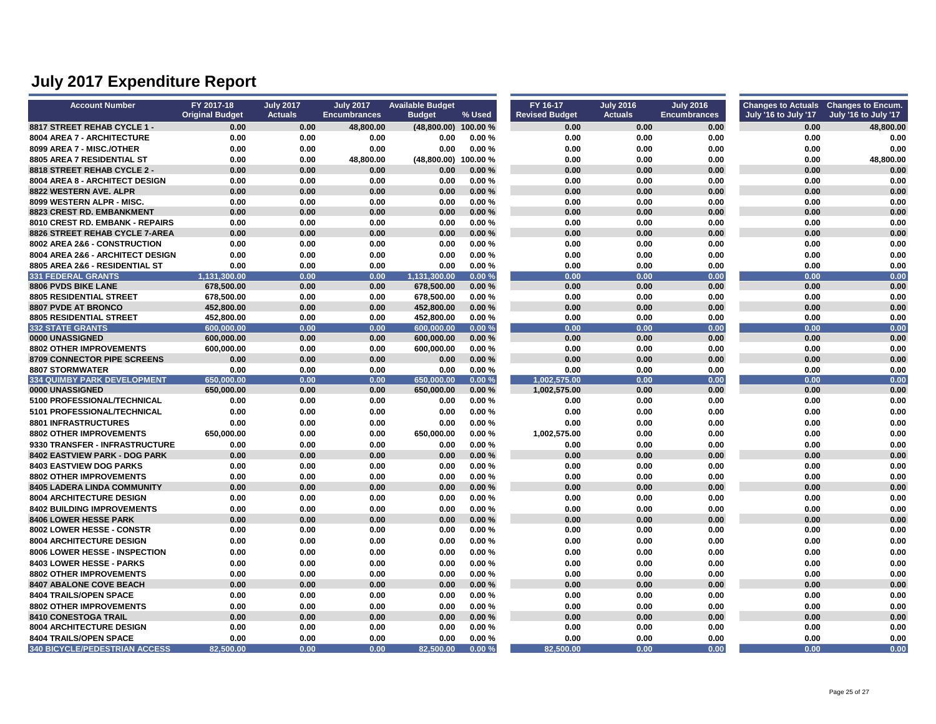| <b>Account Number</b>                      | FY 2017-18               | <b>July 2017</b> | <b>July 2017</b>    | <b>Available Budget</b>  |                | FY 16-17              | <b>July 2016</b> | <b>July 2016</b>    | Changes to Actuals Changes to Encum. |                      |
|--------------------------------------------|--------------------------|------------------|---------------------|--------------------------|----------------|-----------------------|------------------|---------------------|--------------------------------------|----------------------|
|                                            | <b>Original Budget</b>   | <b>Actuals</b>   | <b>Encumbrances</b> | <b>Budget</b>            | % Used         | <b>Revised Budget</b> | <b>Actuals</b>   | <b>Encumbrances</b> | July '16 to July '17                 | July '16 to July '17 |
| 8817 STREET REHAB CYCLE 1 -                | 0.00                     | 0.00             | 48.800.00           | (48,800.00) 100.00 %     |                | 0.00                  | 0.00             | 0.00                | 0.00                                 | 48.800.00            |
| 8004 AREA 7 - ARCHITECTURE                 | 0.00                     | 0.00             | 0.00                | 0.00                     | 0.00%          | 0.00                  | 0.00             | 0.00                | 0.00                                 | 0.00                 |
| 8099 AREA 7 - MISC./OTHER                  | 0.00                     | 0.00             | 0.00                | 0.00                     | 0.00%          | 0.00                  | 0.00             | 0.00                | 0.00                                 | 0.00                 |
| 8805 AREA 7 RESIDENTIAL ST                 | 0.00                     | 0.00             | 48,800.00           | (48, 800.00)             | 100.00%        | 0.00                  | 0.00             | 0.00                | 0.00                                 | 48,800.00            |
| 8818 STREET REHAB CYCLE 2 -                | 0.00                     | 0.00             | 0.00                | 0.00                     | 0.00%          | 0.00                  | 0.00             | 0.00                | 0.00                                 | 0.00                 |
| 8004 AREA 8 - ARCHITECT DESIGN             | 0.00                     | 0.00             | 0.00                | 0.00                     | 0.00%          | 0.00                  | 0.00             | 0.00                | 0.00                                 | 0.00                 |
| 8822 WESTERN AVE, ALPR                     | 0.00                     | 0.00             | 0.00                | 0.00                     | 0.00%          | 0.00                  | 0.00             | 0.00                | 0.00                                 | 0.00                 |
| 8099 WESTERN ALPR - MISC.                  | 0.00                     | 0.00             | 0.00                | 0.00                     | 0.00%          | 0.00                  | 0.00             | 0.00                | 0.00                                 | 0.00                 |
| <b>8823 CREST RD. EMBANKMENT</b>           | 0.00                     | 0.00             | 0.00                | 0.00                     | 0.00%          | 0.00                  | 0.00             | 0.00                | 0.00                                 | 0.00                 |
| 8010 CREST RD. EMBANK - REPAIRS            | 0.00                     | 0.00             | 0.00                | 0.00                     | 0.00%          | 0.00                  | 0.00             | 0.00                | 0.00                                 | 0.00                 |
| 8826 STREET REHAB CYCLE 7-AREA             | 0.00                     | 0.00             | 0.00                | 0.00                     | 0.00%          | 0.00                  | 0.00             | 0.00                | 0.00                                 | 0.00                 |
| 8002 AREA 2&6 - CONSTRUCTION               | 0.00                     | 0.00             | 0.00                | 0.00                     | 0.00%          | 0.00                  | 0.00             | 0.00                | 0.00                                 | 0.00                 |
| 8004 AREA 2&6 - ARCHITECT DESIGN           | 0.00                     | 0.00             | 0.00                | 0.00                     | 0.00%          | 0.00                  | 0.00             | 0.00                | 0.00                                 | 0.00                 |
| 8805 AREA 2&6 - RESIDENTIAL ST             | 0.00                     | 0.00             | 0.00                | 0.00                     | 0.00%          | 0.00                  | 0.00             | 0.00                | 0.00                                 | 0.00                 |
| <b>331 FEDERAL GRANTS</b>                  | 1,131,300.00             | 0.00             | 0.00                | 1,131,300.00             | 0.00%          | 0.00                  | 0.00             | 0.00                | 0.00                                 | 0.00                 |
| <b>8806 PVDS BIKE LANE</b>                 | 678.500.00               | 0.00             | 0.00                | 678.500.00               | 0.00%          | 0.00                  | 0.00             | 0.00                | 0.00                                 | 0.00                 |
| 8805 RESIDENTIAL STREET                    | 678,500.00               | 0.00             | 0.00                | 678,500.00               | 0.00%          | 0.00                  | 0.00             | 0.00                | 0.00                                 | 0.00                 |
| 8807 PVDE AT BRONCO                        | 452,800.00               | 0.00             | 0.00                | 452,800.00               | 0.00%          | 0.00                  | 0.00             | 0.00                | 0.00                                 | 0.00                 |
| 8805 RESIDENTIAL STREET                    | 452,800.00               | 0.00             | 0.00                | 452,800.00               | 0.00%          | 0.00                  | 0.00             | 0.00                | 0.00                                 | 0.00                 |
| <b>332 STATE GRANTS</b><br>0000 UNASSIGNED | 600,000.00<br>600,000.00 | 0.00<br>0.00     | 0.00<br>0.00        | 600,000.00<br>600,000.00 | 0.00%<br>0.00% | 0.00<br>0.00          | 0.00<br>0.00     | 0.00<br>0.00        | 0.00<br>0.00                         | 0.00<br>0.00         |
| <b>8802 OTHER IMPROVEMENTS</b>             | 600,000.00               | 0.00             | 0.00                | 600,000.00               | 0.00%          | 0.00                  | 0.00             | 0.00                | 0.00                                 | 0.00                 |
| 8709 CONNECTOR PIPE SCREENS                | 0.00                     | 0.00             | 0.00                | 0.00                     | 0.00%          | 0.00                  | 0.00             | 0.00                | 0.00                                 | 0.00                 |
| <b>8807 STORMWATER</b>                     | 0.00                     | 0.00             | 0.00                | 0.00                     | 0.00%          | 0.00                  | 0.00             | 0.00                | 0.00                                 | 0.00                 |
| <b>334 QUIMBY PARK DEVELOPMENT</b>         | 650.000.00               | 0.00             | 0.00                | 650,000.00               | 0.00%          | 1,002,575.00          | 0.00             | 0.00                | 0.00                                 | 0.00                 |
| 0000 UNASSIGNED                            | 650.000.00               | 0.00             | 0.00                | 650,000.00               | 0.00%          | 1,002,575.00          | 0.00             | 0.00                | 0.00                                 | 0.00                 |
| 5100 PROFESSIONAL/TECHNICAL                | 0.00                     | 0.00             | 0.00                | 0.00                     | 0.00%          | 0.00                  | 0.00             | 0.00                | 0.00                                 | 0.00                 |
| 5101 PROFESSIONAL/TECHNICAL                | 0.00                     | 0.00             | 0.00                | 0.00                     | 0.00%          | 0.00                  | 0.00             | 0.00                | 0.00                                 | 0.00                 |
| <b>8801 INFRASTRUCTURES</b>                | 0.00                     | 0.00             | 0.00                | 0.00                     | 0.00%          | 0.00                  | 0.00             | 0.00                | 0.00                                 | 0.00                 |
| <b>8802 OTHER IMPROVEMENTS</b>             | 650,000.00               | 0.00             | 0.00                | 650,000.00               | 0.00%          | 1,002,575.00          | 0.00             | 0.00                | 0.00                                 | 0.00                 |
| 9330 TRANSFER - INFRASTRUCTURE             | 0.00                     | 0.00             | 0.00                | 0.00                     | 0.00%          | 0.00                  | 0.00             | 0.00                | 0.00                                 | 0.00                 |
| 8402 EASTVIEW PARK - DOG PARK              | 0.00                     | 0.00             | 0.00                | 0.00                     | 0.00%          | 0.00                  | 0.00             | 0.00                | 0.00                                 | 0.00                 |
| <b>8403 EASTVIEW DOG PARKS</b>             | 0.00                     | 0.00             | 0.00                | 0.00                     | 0.00%          | 0.00                  | 0.00             | 0.00                | 0.00                                 | 0.00                 |
| <b>8802 OTHER IMPROVEMENTS</b>             | 0.00                     | 0.00             | 0.00                | 0.00                     | 0.00%          | 0.00                  | 0.00             | 0.00                | 0.00                                 | 0.00                 |
| <b>8405 LADERA LINDA COMMUNITY</b>         | 0.00                     | 0.00             | 0.00                | 0.00                     | 0.00%          | 0.00                  | 0.00             | 0.00                | 0.00                                 | 0.00                 |
| 8004 ARCHITECTURE DESIGN                   | 0.00                     | 0.00             | 0.00                | 0.00                     | 0.00%          | 0.00                  | 0.00             | 0.00                | 0.00                                 | 0.00                 |
| 8402 BUILDING IMPROVEMENTS                 | 0.00                     | 0.00             | 0.00                | 0.00                     | 0.00%          | 0.00                  | 0.00             | 0.00                | 0.00                                 | 0.00                 |
| <b>8406 LOWER HESSE PARK</b>               | 0.00                     | 0.00             | 0.00                | 0.00                     | 0.00%          | 0.00                  | 0.00             | 0.00                | 0.00                                 | 0.00                 |
| 8002 LOWER HESSE - CONSTR                  | 0.00                     | 0.00             | 0.00                | 0.00                     | 0.00%          | 0.00                  | 0.00             | 0.00                | 0.00                                 | 0.00                 |
| 8004 ARCHITECTURE DESIGN                   | 0.00                     | 0.00             | 0.00                | 0.00                     | 0.00%          | 0.00                  | 0.00             | 0.00                | 0.00                                 | 0.00                 |
| 8006 LOWER HESSE - INSPECTION              | 0.00                     | 0.00             | 0.00                | 0.00                     | 0.00%          | 0.00                  | 0.00             | 0.00                | 0.00                                 | 0.00                 |
| 8403 LOWER HESSE - PARKS                   | 0.00                     | 0.00             | 0.00                | 0.00                     | 0.00%          | 0.00                  | 0.00             | 0.00                | 0.00                                 | 0.00                 |
| <b>8802 OTHER IMPROVEMENTS</b>             | 0.00                     | 0.00             | 0.00                | 0.00                     | 0.00%          | 0.00                  | 0.00             | 0.00                | 0.00                                 | 0.00                 |
| 8407 ABALONE COVE BEACH                    | 0.00                     | 0.00             | 0.00                | 0.00                     | 0.00%          | 0.00                  | 0.00             | 0.00                | 0.00                                 | 0.00                 |
| <b>8404 TRAILS/OPEN SPACE</b>              | 0.00                     | 0.00             | 0.00                | 0.00                     | 0.00%          | 0.00                  | 0.00             | 0.00                | 0.00                                 | 0.00                 |
| <b>8802 OTHER IMPROVEMENTS</b>             | 0.00                     | 0.00             | 0.00                | 0.00                     | 0.00%          | 0.00                  | 0.00             | 0.00                | 0.00                                 | 0.00                 |
| 8410 CONESTOGA TRAIL                       | 0.00                     | 0.00             | 0.00                | 0.00                     | 0.00%          | 0.00                  | 0.00             | 0.00                | 0.00                                 | 0.00                 |
| 8004 ARCHITECTURE DESIGN                   | 0.00                     | 0.00             | 0.00                | 0.00                     | 0.00%          | 0.00                  | 0.00             | 0.00                | 0.00                                 | 0.00                 |
| 8404 TRAILS/OPEN SPACE                     | 0.00                     | 0.00             | 0.00                | 0.00                     | 0.00%          | 0.00                  | 0.00             | 0.00                | 0.00                                 | 0.00                 |
| <b>340 BICYCLE/PEDESTRIAN ACCESS</b>       | 82.500.00                | 0.00             | 0.00                | 82,500,00                | 0.00%          | 82,500,00             | 0.00             | 0.00                | 0.00                                 | 0.00                 |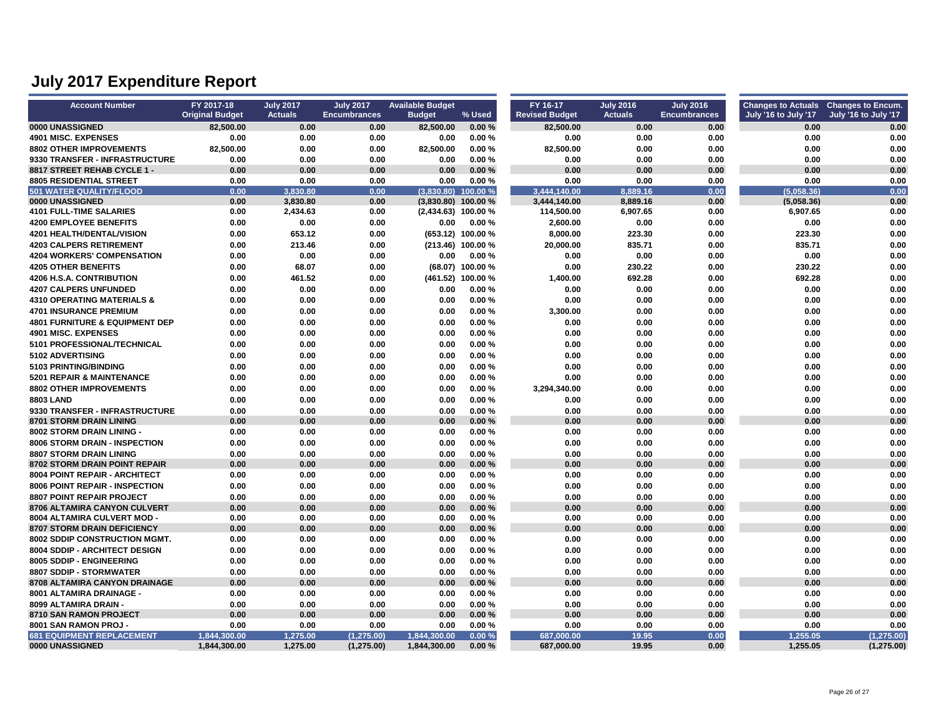| <b>Account Number</b>                     | FY 2017-18             | <b>July 2017</b> | <b>July 2017</b>    | <b>Available Budget</b> |                    | FY 16-17              | <b>July 2016</b> | <b>July 2016</b>    | Changes to Actuals Changes to Encum. |                      |
|-------------------------------------------|------------------------|------------------|---------------------|-------------------------|--------------------|-----------------------|------------------|---------------------|--------------------------------------|----------------------|
|                                           | <b>Original Budget</b> | <b>Actuals</b>   | <b>Encumbrances</b> | <b>Budget</b>           | % Used             | <b>Revised Budget</b> | <b>Actuals</b>   | <b>Encumbrances</b> | July '16 to July '17                 | July '16 to July '17 |
| 0000 UNASSIGNED                           | 82,500.00              | 0.00             | 0.00                | 82,500.00               | 0.00%              | 82,500.00             | 0.00             | 0.00                | 0.00                                 | 0.00                 |
| <b>4901 MISC, EXPENSES</b>                | 0.00                   | 0.00             | 0.00                | 0.00                    | 0.00%              | 0.00                  | 0.00             | 0.00                | 0.00                                 | 0.00                 |
| <b>8802 OTHER IMPROVEMENTS</b>            | 82,500.00              | 0.00             | 0.00                | 82,500.00               | 0.00%              | 82,500.00             | 0.00             | 0.00                | 0.00                                 | 0.00                 |
| 9330 TRANSFER - INFRASTRUCTURE            | 0.00                   | 0.00             | 0.00                | 0.00                    | 0.00%              | 0.00                  | 0.00             | 0.00                | 0.00                                 | 0.00                 |
| 8817 STREET REHAB CYCLE 1 -               | 0.00                   | 0.00             | 0.00                | 0.00                    | 0.00%              | 0.00                  | 0.00             | 0.00                | 0.00                                 | 0.00                 |
| 8805 RESIDENTIAL STREET                   | 0.00                   | 0.00             | 0.00                | 0.00                    | 0.00%              | 0.00                  | 0.00             | 0.00                | 0.00                                 | 0.00                 |
| <b>501 WATER QUALITY/FLOOD</b>            | 0.00                   | 3.830.80         | 0.00                | $(3.830.80)$ 100.00 %   |                    | 3.444,140.00          | 8.889.16         | 0.00                | (5.058.36)                           | 0.00                 |
| 0000 UNASSIGNED                           | 0.00                   | 3,830.80         | 0.00                | $(3,830.80)$ 100.00 %   |                    | 3.444.140.00          | 8,889.16         | 0.00                | (5.058.36)                           | 0.00                 |
| <b>4101 FULL-TIME SALARIES</b>            | 0.00                   | 2,434.63         | 0.00                | (2,434.63) 100.00 %     |                    | 114,500.00            | 6,907.65         | 0.00                | 6,907.65                             | 0.00                 |
| <b>4200 EMPLOYEE BENEFITS</b>             | 0.00                   | 0.00             | 0.00                | 0.00                    | 0.00%              | 2,600.00              | 0.00             | 0.00                | 0.00                                 | 0.00                 |
| <b>4201 HEALTH/DENTAL/VISION</b>          | 0.00                   | 653.12           | 0.00                |                         | (653.12) 100.00 %  | 8,000.00              | 223.30           | 0.00                | 223.30                               | 0.00                 |
| <b>4203 CALPERS RETIREMENT</b>            | 0.00                   | 213.46           | 0.00                |                         | (213.46) 100.00 %  | 20,000.00             | 835.71           | 0.00                | 835.71                               | 0.00                 |
| <b>4204 WORKERS' COMPENSATION</b>         | 0.00                   | 0.00             | 0.00                | 0.00                    | 0.00%              | 0.00                  | 0.00             | 0.00                | 0.00                                 | 0.00                 |
| <b>4205 OTHER BENEFITS</b>                | 0.00                   | 68.07            | 0.00                |                         | $(68.07)$ 100.00 % | 0.00                  | 230.22           | 0.00                | 230.22                               | 0.00                 |
| <b>4206 H.S.A. CONTRIBUTION</b>           | 0.00                   | 461.52           | 0.00                |                         | (461.52) 100.00 %  | 1,400.00              | 692.28           | 0.00                | 692.28                               | 0.00                 |
| <b>4207 CALPERS UNFUNDED</b>              | 0.00                   | 0.00             | 0.00                | 0.00                    | 0.00%              | 0.00                  | 0.00             | 0.00                | 0.00                                 | 0.00                 |
| <b>4310 OPERATING MATERIALS &amp;</b>     | 0.00                   | 0.00             | 0.00                | 0.00                    | 0.00%              | 0.00                  | 0.00             | 0.00                | 0.00                                 | 0.00                 |
| <b>4701 INSURANCE PREMIUM</b>             | 0.00                   | 0.00             | 0.00                | 0.00                    | 0.00%              | 3,300.00              | 0.00             | 0.00                | 0.00                                 | 0.00                 |
| <b>4801 FURNITURE &amp; EQUIPMENT DEP</b> | 0.00                   | 0.00             | 0.00                | 0.00                    | 0.00%              | 0.00                  | 0.00             | 0.00                | 0.00                                 | 0.00                 |
| <b>4901 MISC, EXPENSES</b>                | 0.00                   | 0.00             | 0.00                | 0.00                    | 0.00%              | 0.00                  | 0.00             | 0.00                | 0.00                                 | 0.00                 |
| 5101 PROFESSIONAL/TECHNICAL               | 0.00                   | 0.00             | 0.00                | 0.00                    | 0.00%              | 0.00                  | 0.00             | 0.00                | 0.00                                 | 0.00                 |
| 5102 ADVERTISING                          | 0.00                   | 0.00             | 0.00                | 0.00                    | 0.00%              | 0.00                  | 0.00             | 0.00                | 0.00                                 | 0.00                 |
| 5103 PRINTING/BINDING                     | 0.00                   | 0.00             | 0.00                | 0.00                    | 0.00%              | 0.00                  | 0.00             | 0.00                | 0.00                                 | 0.00                 |
| 5201 REPAIR & MAINTENANCE                 | 0.00                   | 0.00             | 0.00                | 0.00                    | 0.00%              | 0.00                  | 0.00             | 0.00                | 0.00                                 | 0.00                 |
| <b>8802 OTHER IMPROVEMENTS</b>            | 0.00                   | 0.00             | 0.00                | 0.00                    | 0.00%              | 3,294,340.00          | 0.00             | 0.00                | 0.00                                 | 0.00                 |
| <b>8803 LAND</b>                          | 0.00                   | 0.00             | 0.00                | 0.00                    | 0.00%              | 0.00                  | 0.00             | 0.00                | 0.00                                 | 0.00                 |
| 9330 TRANSFER - INFRASTRUCTURE            | 0.00                   | 0.00             | 0.00                | 0.00                    | 0.00%              | 0.00                  | 0.00             | 0.00                | 0.00                                 | 0.00                 |
| 8701 STORM DRAIN LINING                   | 0.00                   | 0.00             | 0.00                | 0.00                    | 0.00%              | 0.00                  | 0.00             | 0.00                | 0.00                                 | 0.00                 |
| 8002 STORM DRAIN LINING -                 | 0.00                   | 0.00             | 0.00                | 0.00                    | 0.00%              | 0.00                  | 0.00             | 0.00                | 0.00                                 | 0.00                 |
| 8006 STORM DRAIN - INSPECTION             | 0.00                   | 0.00             | 0.00                | 0.00                    | 0.00%              | 0.00                  | 0.00             | 0.00                | 0.00                                 | 0.00                 |
| 8807 STORM DRAIN LINING                   | 0.00                   | 0.00             | 0.00                | 0.00                    | 0.00%              | 0.00                  | 0.00             | 0.00                | 0.00                                 | 0.00                 |
| 8702 STORM DRAIN POINT REPAIR             | 0.00                   | 0.00             | 0.00                | 0.00                    | 0.00%              | 0.00                  | 0.00             | 0.00                | 0.00                                 | 0.00                 |
| 8004 POINT REPAIR - ARCHITECT             | 0.00                   | 0.00             | 0.00                | 0.00                    | 0.00%              | 0.00                  | 0.00             | 0.00                | 0.00                                 | 0.00                 |
| 8006 POINT REPAIR - INSPECTION            | 0.00                   | 0.00             | 0.00                | 0.00                    | 0.00%              | 0.00                  | 0.00             | 0.00                | 0.00                                 | 0.00                 |
| 8807 POINT REPAIR PROJECT                 | 0.00                   | 0.00             | 0.00                | 0.00                    | 0.00%              | 0.00                  | 0.00             | 0.00                | 0.00                                 | 0.00                 |
| 8706 ALTAMIRA CANYON CULVERT              | 0.00                   | 0.00             | 0.00                | 0.00                    | 0.00%              | 0.00                  | 0.00             | 0.00                | 0.00                                 | 0.00                 |
| 8004 ALTAMIRA CULVERT MOD -               | 0.00                   | 0.00             | 0.00                | 0.00                    | 0.00%              | 0.00                  | 0.00             | 0.00                | 0.00                                 | 0.00                 |
| 8707 STORM DRAIN DEFICIENCY               | 0.00                   | 0.00             | 0.00                | 0.00                    | 0.00%              | 0.00                  | 0.00             | 0.00                | 0.00                                 | 0.00                 |
| 8002 SDDIP CONSTRUCTION MGMT.             | 0.00                   | 0.00             | 0.00                | 0.00                    | 0.00%              | 0.00                  | 0.00             | 0.00                | 0.00                                 | 0.00                 |
| 8004 SDDIP - ARCHITECT DESIGN             | 0.00                   | 0.00             | 0.00                | 0.00                    | 0.00%              | 0.00                  | 0.00             | 0.00                | 0.00                                 | 0.00                 |
| 8005 SDDIP - ENGINEERING                  | 0.00                   | 0.00             | 0.00                | 0.00                    | 0.00%              | 0.00                  | 0.00             | 0.00                | 0.00                                 | 0.00                 |
| 8807 SDDIP - STORMWATER                   | 0.00                   | 0.00             | 0.00                | 0.00                    | 0.00%              | 0.00                  | 0.00             | 0.00                | 0.00                                 | 0.00                 |
| 8708 ALTAMIRA CANYON DRAINAGE             | 0.00                   | 0.00             | 0.00                | 0.00                    | 0.00%              | 0.00                  | 0.00             | 0.00                | 0.00                                 | 0.00                 |
| 8001 ALTAMIRA DRAINAGE -                  | 0.00                   | 0.00             | 0.00                | 0.00                    | 0.00%              | 0.00                  | 0.00             | 0.00                | 0.00                                 | 0.00                 |
| 8099 ALTAMIRA DRAIN -                     | 0.00                   | 0.00             | 0.00                | 0.00                    | 0.00%              | 0.00                  | 0.00             | 0.00                | 0.00                                 | 0.00                 |
| 8710 SAN RAMON PROJECT                    | 0.00                   | 0.00             | 0.00                | 0.00                    | 0.00%              | 0.00                  | 0.00             | 0.00                | 0.00                                 | 0.00                 |
| 8001 SAN RAMON PROJ -                     | 0.00                   | 0.00             | 0.00                | 0.00                    | 0.00%              | 0.00                  | 0.00             | 0.00                | 0.00                                 | 0.00                 |
| <b>681 EQUIPMENT REPLACEMENT</b>          | 1.844.300.00           | 1.275.00         | (1.275.00)          | 1.844.300.00            | 0.00%              | 687.000.00            | 19.95            | 0.00                | 1.255.05                             | (1,275.00)           |
| 0000 UNASSIGNED                           | 1,844,300.00           | 1,275.00         | (1, 275.00)         | 1,844,300.00            | 0.00%              | 687.000.00            | 19.95            | 0.00                | 1.255.05                             | (1,275.00)           |